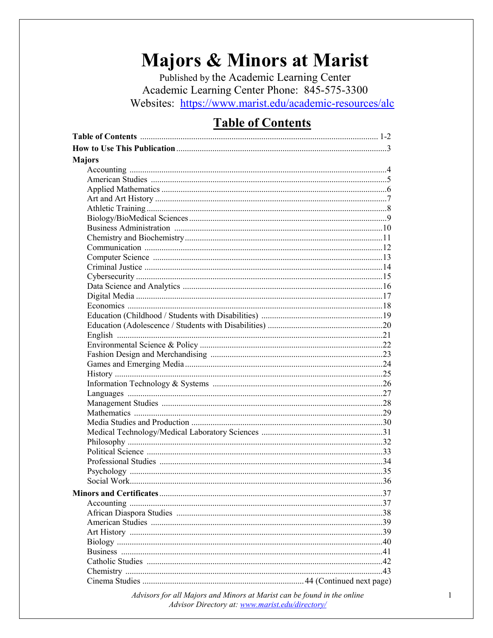# **Majors & Minors at Marist**

Published by the Academic Learning Center Academic Learning Center Phone: 845-575-3300 Websites: https://www.marist.edu/academic-resources/alc

## **Table of Contents**

| <b>Majors</b> |  |
|---------------|--|
|               |  |
|               |  |
|               |  |
|               |  |
|               |  |
|               |  |
|               |  |
|               |  |
|               |  |
|               |  |
|               |  |
|               |  |
|               |  |
|               |  |
|               |  |
|               |  |
|               |  |
|               |  |
|               |  |
|               |  |
|               |  |
|               |  |
|               |  |
|               |  |
|               |  |
|               |  |
|               |  |
|               |  |
|               |  |
|               |  |
|               |  |
|               |  |
|               |  |
|               |  |
|               |  |
|               |  |
|               |  |
|               |  |
|               |  |
|               |  |
|               |  |
|               |  |
|               |  |
|               |  |

Advisors for all Majors and Minors at Marist can be found in the online Advisor Directory at: www.marist.edu/directory/

 $\mathbf{1}$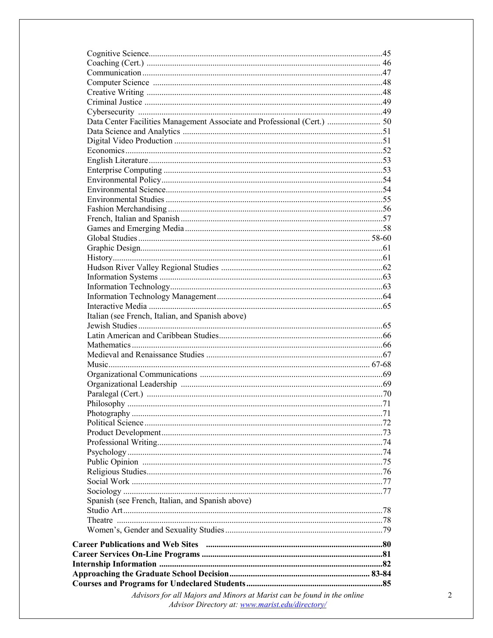| Data Center Facilities Management Associate and Professional (Cert.)  50 |  |
|--------------------------------------------------------------------------|--|
|                                                                          |  |
|                                                                          |  |
|                                                                          |  |
|                                                                          |  |
|                                                                          |  |
|                                                                          |  |
|                                                                          |  |
|                                                                          |  |
|                                                                          |  |
|                                                                          |  |
|                                                                          |  |
|                                                                          |  |
|                                                                          |  |
|                                                                          |  |
|                                                                          |  |
|                                                                          |  |
|                                                                          |  |
|                                                                          |  |
|                                                                          |  |
| Italian (see French, Italian, and Spanish above)                         |  |
|                                                                          |  |
|                                                                          |  |
|                                                                          |  |
|                                                                          |  |
|                                                                          |  |
|                                                                          |  |
|                                                                          |  |
|                                                                          |  |
|                                                                          |  |
|                                                                          |  |
|                                                                          |  |
|                                                                          |  |
|                                                                          |  |
|                                                                          |  |
|                                                                          |  |
|                                                                          |  |
|                                                                          |  |
|                                                                          |  |
| Spanish (see French, Italian, and Spanish above)                         |  |
|                                                                          |  |
|                                                                          |  |
|                                                                          |  |
|                                                                          |  |
|                                                                          |  |
|                                                                          |  |
|                                                                          |  |
|                                                                          |  |
|                                                                          |  |
| Advisors for all Majors and Minors at Marist can be found in the online  |  |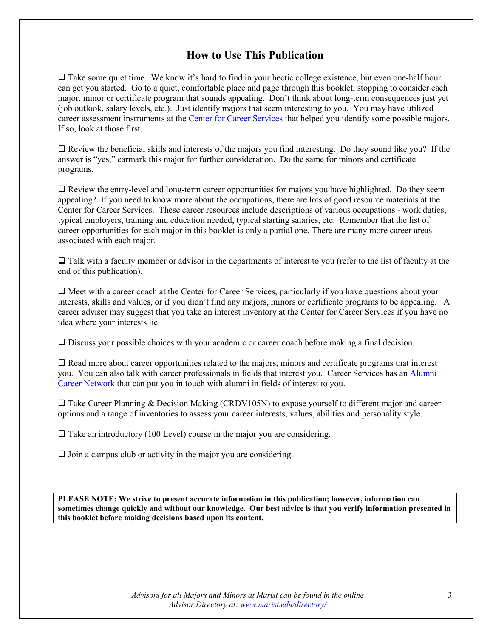#### **How to Use This Publication**

 $\Box$  Take some quiet time. We know it's hard to find in your hectic college existence, but even one-half hour can get you started. Go to a quiet, comfortable place and page through this booklet, stopping to consider each major, minor or certificate program that sounds appealing. Don't think about long-term consequences just yet (job outlook, salary levels, etc.). Just identify majors that seem interesting to you. You may have utilized career assessment instruments at the [Center for Career Services](http://www.marist.edu/careerservices) that helped you identify some possible majors. If so, look at those first.

 Review the beneficial skills and interests of the majors you find interesting. Do they sound like you? If the answer is "yes," earmark this major for further consideration. Do the same for minors and certificate programs.

 Review the entry-level and long-term career opportunities for majors you have highlighted. Do they seem appealing? If you need to know more about the occupations, there are lots of good resource materials at the Center for Career Services. These career resources include descriptions of various occupations - work duties, typical employers, training and education needed, typical starting salaries, etc. Remember that the list of career opportunities for each major in this booklet is only a partial one. There are many more career areas associated with each major.

 $\Box$  Talk with a faculty member or advisor in the departments of interest to you (refer to the list of faculty at the end of this publication).

 $\Box$  Meet with a career coach at the Center for Career Services, particularly if you have questions about your interests, skills and values, or if you didn't find any majors, minors or certificate programs to be appealing. A career adviser may suggest that you take an interest inventory at the Center for Career Services if you have no idea where your interests lie.

Discuss your possible choices with your academic or career coach before making a final decision.

 Read more about career opportunities related to the majors, minors and certificate programs that interest you. You can also talk with career professionals in fields that interest you. Career Services has an [Alumni](http://www.marist.edu/alumni/career.html)  [Career Network](http://www.marist.edu/alumni/career.html) that can put you in touch with alumni in fields of interest to you.

 $\Box$  Take Career Planning & Decision Making (CRDV105N) to expose yourself to different major and career options and a range of inventories to assess your career interests, values, abilities and personality style.

 $\Box$  Take an introductory (100 Level) course in the major you are considering.

 $\Box$  Join a campus club or activity in the major you are considering.

**PLEASE NOTE: We strive to present accurate information in this publication; however, information can sometimes change quickly and without our knowledge. Our best advice is that you verify information presented in this booklet before making decisions based upon its content.**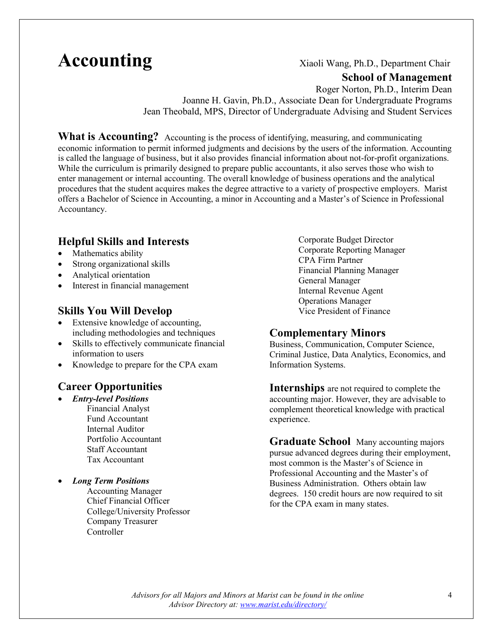## **Accounting** Xiaoli Wang, Ph.D., Department Chair

#### **School of Management**

Roger Norton, Ph.D., Interim Dean Joanne H. Gavin, Ph.D., Associate Dean for Undergraduate Programs Jean Theobald, MPS, Director of Undergraduate Advising and Student Services

**What is Accounting?** Accounting is the process of identifying, measuring, and communicating economic information to permit informed judgments and decisions by the users of the information. Accounting is called the language of business, but it also provides financial information about not-for-profit organizations. While the curriculum is primarily designed to prepare public accountants, it also serves those who wish to enter management or internal accounting. The overall knowledge of business operations and the analytical procedures that the student acquires makes the degree attractive to a variety of prospective employers. Marist offers a Bachelor of Science in Accounting, a minor in Accounting and a Master's of Science in Professional Accountancy.

#### **Helpful Skills and Interests**

- Mathematics ability
- Strong organizational skills
- Analytical orientation
- Interest in financial management

#### **Skills You Will Develop**

- Extensive knowledge of accounting, including methodologies and techniques
- Skills to effectively communicate financial information to users
- Knowledge to prepare for the CPA exam

#### **Career Opportunities**

- *Entry-level Positions* Financial Analyst Fund Accountant Internal Auditor Portfolio Accountant Staff Accountant Tax Accountant
- *Long Term Positions*
	- Accounting Manager Chief Financial Officer College/University Professor Company Treasurer **Controller**

Corporate Budget Director Corporate Reporting Manager CPA Firm Partner Financial Planning Manager General Manager Internal Revenue Agent Operations Manager Vice President of Finance

#### **Complementary Minors**

Business, Communication, Computer Science, Criminal Justice, Data Analytics, Economics, and Information Systems.

**Internships** are not required to complete the accounting major. However, they are advisable to complement theoretical knowledge with practical experience.

**Graduate School** Many accounting majors pursue advanced degrees during their employment, most common is the Master's of Science in Professional Accounting and the Master's of Business Administration. Others obtain law degrees. 150 credit hours are now required to sit for the CPA exam in many states.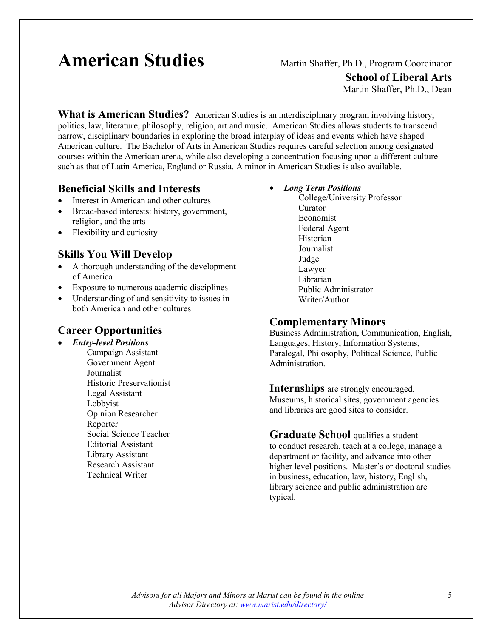# **American Studies** Martin Shaffer, Ph.D., Program Coordinator

**School of Liberal Arts**

Martin Shaffer, Ph.D., Dean

**What is American Studies?** American Studies is an interdisciplinary program involving history, politics, law, literature, philosophy, religion, art and music. American Studies allows students to transcend narrow, disciplinary boundaries in exploring the broad interplay of ideas and events which have shaped American culture. The Bachelor of Arts in American Studies requires careful selection among designated courses within the American arena, while also developing a concentration focusing upon a different culture such as that of Latin America, England or Russia. A minor in American Studies is also available.

#### **Beneficial Skills and Interests**

- Interest in American and other cultures
- Broad-based interests: history, government, religion, and the arts
- Flexibility and curiosity

#### **Skills You Will Develop**

- A thorough understanding of the development of America
- Exposure to numerous academic disciplines
- Understanding of and sensitivity to issues in both American and other cultures

#### **Career Opportunities**

- *Entry-level Positions*
	- Campaign Assistant Government Agent Journalist Historic Preservationist Legal Assistant Lobbyist Opinion Researcher Reporter Social Science Teacher Editorial Assistant Library Assistant Research Assistant Technical Writer

#### • *Long Term Positions*

College/University Professor Curator Economist Federal Agent Historian Journalist Judge Lawyer Librarian Public Administrator Writer/Author

#### **Complementary Minors**

Business Administration, Communication, English, Languages, History, Information Systems, Paralegal, Philosophy, Political Science, Public Administration.

#### **Internships** are strongly encouraged.

Museums, historical sites, government agencies and libraries are good sites to consider.

### **Graduate School** qualifies a student

to conduct research, teach at a college, manage a department or facility, and advance into other higher level positions. Master's or doctoral studies in business, education, law, history, English, library science and public administration are typical.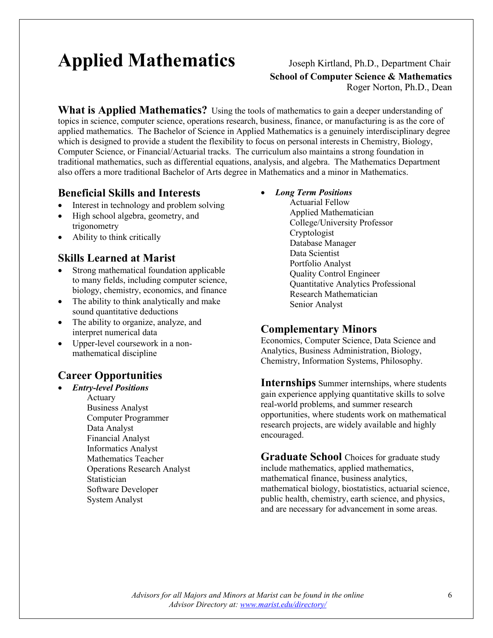# **Applied Mathematics** Joseph Kirtland, Ph.D., Department Chair

## **School of Computer Science & Mathematics** Roger Norton, Ph.D., Dean

**What is Applied Mathematics?** Using the tools of mathematics to gain a deeper understanding of topics in science, computer science, operations research, business, finance, or manufacturing is as the core of applied mathematics. The Bachelor of Science in Applied Mathematics is a genuinely interdisciplinary degree which is designed to provide a student the flexibility to focus on personal interests in Chemistry, Biology, Computer Science, or Financial/Actuarial tracks. The curriculum also maintains a strong foundation in traditional mathematics, such as differential equations, analysis, and algebra. The Mathematics Department also offers a more traditional Bachelor of Arts degree in Mathematics and a minor in Mathematics.

#### **Beneficial Skills and Interests**

- Interest in technology and problem solving
- High school algebra, geometry, and trigonometry
- Ability to think critically

#### **Skills Learned at Marist**

- Strong mathematical foundation applicable to many fields, including computer science, biology, chemistry, economics, and finance
- The ability to think analytically and make sound quantitative deductions
- The ability to organize, analyze, and interpret numerical data
- Upper-level coursework in a nonmathematical discipline

### **Career Opportunities**

- *Entry-level Positions* Actuary Business Analyst Computer Programmer Data Analyst Financial Analyst Informatics Analyst Mathematics Teacher Operations Research Analyst
	- Statistician Software Developer System Analyst
- *Long Term Positions*
	- Actuarial Fellow Applied Mathematician College/University Professor Cryptologist Database Manager Data Scientist Portfolio Analyst Quality Control Engineer Quantitative Analytics Professional Research Mathematician Senior Analyst

#### **Complementary Minors**

Economics, Computer Science, Data Science and Analytics, Business Administration, Biology, Chemistry, Information Systems, Philosophy.

**Internships** Summer internships, where students gain experience applying quantitative skills to solve real-world problems, and summer research opportunities, where students work on mathematical research projects, are widely available and highly encouraged.

**Graduate School** Choices for graduate study include mathematics, applied mathematics, mathematical finance, business analytics, mathematical biology, biostatistics, actuarial science, public health, chemistry, earth science, and physics, and are necessary for advancement in some areas.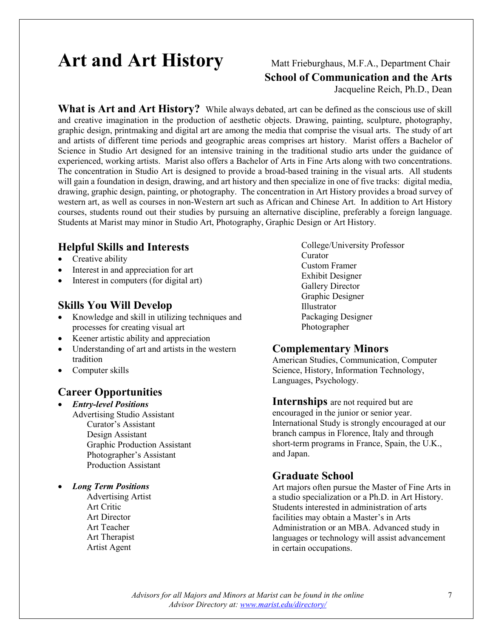## Art and Art History Matt Frieburghaus, M.F.A., Department Chair

**School of Communication and the Arts**

Jacqueline Reich, Ph.D., Dean

**What is Art and Art History?** While always debated, art can be defined as the conscious use of skill and creative imagination in the production of aesthetic objects. Drawing, painting, sculpture, photography, graphic design, printmaking and digital art are among the media that comprise the visual arts. The study of art and artists of different time periods and geographic areas comprises art history. Marist offers a Bachelor of Science in Studio Art designed for an intensive training in the traditional studio arts under the guidance of experienced, working artists. Marist also offers a Bachelor of Arts in Fine Arts along with two concentrations. The concentration in Studio Art is designed to provide a broad-based training in the visual arts. All students will gain a foundation in design, drawing, and art history and then specialize in one of five tracks: digital media, drawing, graphic design, painting, or photography. The concentration in Art History provides a broad survey of western art, as well as courses in non-Western art such as African and Chinese Art. In addition to Art History courses, students round out their studies by pursuing an alternative discipline, preferably a foreign language. Students at Marist may minor in Studio Art, Photography, Graphic Design or Art History.

#### **Helpful Skills and Interests**

- Creative ability
- Interest in and appreciation for art
- Interest in computers (for digital art)

#### **Skills You Will Develop**

- Knowledge and skill in utilizing techniques and processes for creating visual art
- Keener artistic ability and appreciation
- Understanding of art and artists in the western tradition
- Computer skills

#### **Career Opportunities**

• *Entry-level Positions* Advertising Studio Assistant Curator's Assistant Design Assistant Graphic Production Assistant Photographer's Assistant Production Assistant

• *Long Term Positions*

Advertising Artist Art Critic Art Director Art Teacher Art Therapist Artist Agent

College/University Professor Curator Custom Framer Exhibit Designer Gallery Director Graphic Designer Illustrator Packaging Designer Photographer

#### **Complementary Minors**

American Studies, Communication, Computer Science, History, Information Technology, Languages, Psychology.

**Internships** are not required but are

encouraged in the junior or senior year. International Study is strongly encouraged at our branch campus in Florence, Italy and through short-term programs in France, Spain, the U.K., and Japan.

#### **Graduate School**

Art majors often pursue the Master of Fine Arts in a studio specialization or a Ph.D. in Art History. Students interested in administration of arts facilities may obtain a Master's in Arts Administration or an MBA. Advanced study in languages or technology will assist advancement in certain occupations.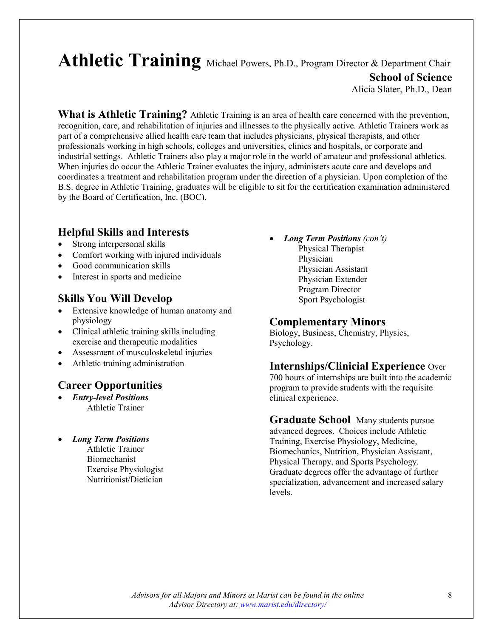### Athletic Training Michael Powers, Ph.D., Program Director & Department Chair **School of Science** Alicia Slater, Ph.D., Dean

**What is Athletic Training?** Athletic Training is an area of health care concerned with the prevention, recognition, care, and rehabilitation of injuries and illnesses to the physically active. Athletic Trainers work as part of a comprehensive allied health care team that includes physicians, physical therapists, and other professionals working in high schools, colleges and universities, clinics and hospitals, or corporate and industrial settings. Athletic Trainers also play a major role in the world of amateur and professional athletics. When injuries do occur the Athletic Trainer evaluates the injury, administers acute care and develops and coordinates a treatment and rehabilitation program under the direction of a physician. Upon completion of the B.S. degree in Athletic Training, graduates will be eligible to sit for the certification examination administered by the Board of Certification, Inc. (BOC).

#### **Helpful Skills and Interests**

- Strong interpersonal skills
- Comfort working with injured individuals
- Good communication skills
- Interest in sports and medicine

#### **Skills You Will Develop**

- Extensive knowledge of human anatomy and physiology
- Clinical athletic training skills including exercise and therapeutic modalities
- Assessment of musculoskeletal injuries
- Athletic training administration

#### **Career Opportunities**

- *Entry-level Positions* Athletic Trainer
- *Long Term Positions* Athletic Trainer Biomechanist
	- Exercise Physiologist Nutritionist/Dietician
- *Long Term Positions (con't)* Physical Therapist
	- Physician Physician Assistant Physician Extender Program Director Sport Psychologist

#### **Complementary Minors**

Biology, Business, Chemistry, Physics, Psychology.

#### **Internships/Clinicial Experience** Over

700 hours of internships are built into the academic program to provide students with the requisite clinical experience.

**Graduate School** Many students pursue advanced degrees. Choices include Athletic Training, Exercise Physiology, Medicine, Biomechanics, Nutrition, Physician Assistant, Physical Therapy, and Sports Psychology. Graduate degrees offer the advantage of further specialization, advancement and increased salary levels.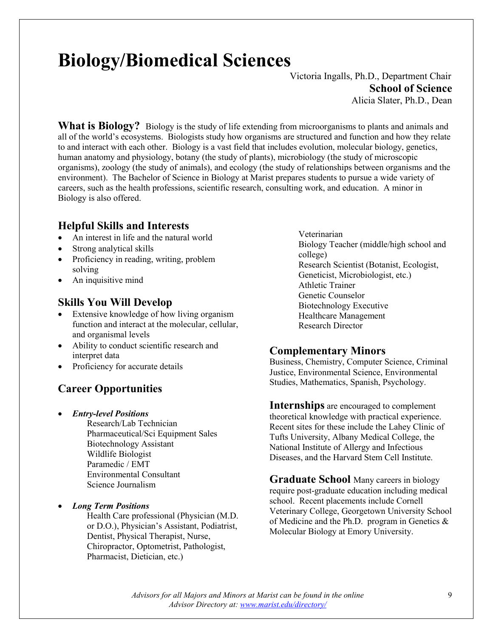# **Biology/Biomedical Sciences**

Victoria Ingalls, Ph.D., Department Chair **School of Science** Alicia Slater, Ph.D., Dean

**What is Biology?** Biology is the study of life extending from microorganisms to plants and animals and all of the world's ecosystems. Biologists study how organisms are structured and function and how they relate to and interact with each other. Biology is a vast field that includes evolution, molecular biology, genetics, human anatomy and physiology, botany (the study of plants), microbiology (the study of microscopic organisms), zoology (the study of animals), and ecology (the study of relationships between organisms and the environment). The Bachelor of Science in Biology at Marist prepares students to pursue a wide variety of careers, such as the health professions, scientific research, consulting work, and education. A minor in Biology is also offered.

#### **Helpful Skills and Interests**

- An interest in life and the natural world
- Strong analytical skills
- Proficiency in reading, writing, problem solving
- An inquisitive mind

#### **Skills You Will Develop**

- Extensive knowledge of how living organism function and interact at the molecular, cellular, and organismal levels
- Ability to conduct scientific research and interpret data
- Proficiency for accurate details

### **Career Opportunities**

• *Entry-level Positions*

Research/Lab Technician Pharmaceutical/Sci Equipment Sales Biotechnology Assistant Wildlife Biologist Paramedic / EMT Environmental Consultant Science Journalism

• *Long Term Positions*

Health Care professional (Physician (M.D. or D.O.), Physician's Assistant, Podiatrist, Dentist, Physical Therapist, Nurse, Chiropractor, Optometrist, Pathologist, Pharmacist, Dietician, etc.)

Veterinarian Biology Teacher (middle/high school and college) Research Scientist (Botanist, Ecologist, Geneticist, Microbiologist, etc.) Athletic Trainer Genetic Counselor Biotechnology Executive Healthcare Management Research Director

#### **Complementary Minors**

Business, Chemistry, Computer Science, Criminal Justice, Environmental Science, Environmental Studies, Mathematics, Spanish, Psychology.

**Internships** are encouraged to complement theoretical knowledge with practical experience. Recent sites for these include the Lahey Clinic of Tufts University, Albany Medical College, the National Institute of Allergy and Infectious Diseases, and the Harvard Stem Cell Institute.

**Graduate School** Many careers in biology require post-graduate education including medical school. Recent placements include Cornell Veterinary College, Georgetown University School of Medicine and the Ph.D. program in Genetics & Molecular Biology at Emory University.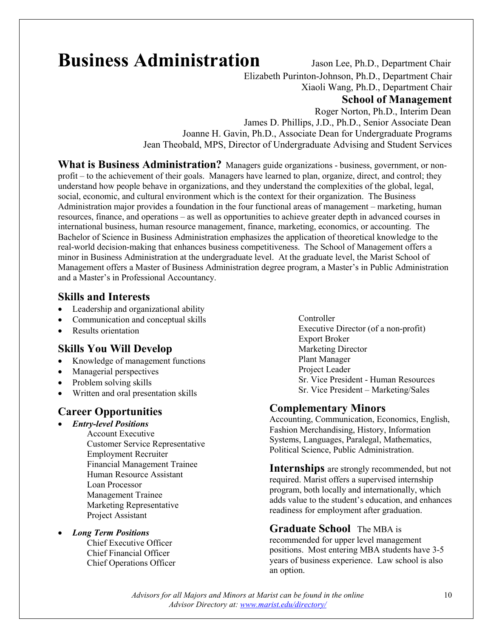## **Business Administration** Jason Lee, Ph.D., Department Chair

Elizabeth Purinton-Johnson, Ph.D., Department Chair

Xiaoli Wang, Ph.D., Department Chair

#### **School of Management**

 Roger Norton, Ph.D., Interim Dean James D. Phillips, J.D., Ph.D., Senior Associate Dean Joanne H. Gavin, Ph.D., Associate Dean for Undergraduate Programs Jean Theobald, MPS, Director of Undergraduate Advising and Student Services

**What is Business Administration?** Managers guide organizations - business, government, or nonprofit – to the achievement of their goals. Managers have learned to plan, organize, direct, and control; they understand how people behave in organizations, and they understand the complexities of the global, legal, social, economic, and cultural environment which is the context for their organization. The Business Administration major provides a foundation in the four functional areas of management – marketing, human resources, finance, and operations – as well as opportunities to achieve greater depth in advanced courses in international business, human resource management, finance, marketing, economics, or accounting. The Bachelor of Science in Business Administration emphasizes the application of theoretical knowledge to the real-world decision-making that enhances business competitiveness. The School of Management offers a minor in Business Administration at the undergraduate level. At the graduate level, the Marist School of Management offers a Master of Business Administration degree program, a Master's in Public Administration and a Master's in Professional Accountancy.

#### **Skills and Interests**

- Leadership and organizational ability
- Communication and conceptual skills
- Results orientation

#### **Skills You Will Develop**

- Knowledge of management functions
- Managerial perspectives
- Problem solving skills
- Written and oral presentation skills

#### **Career Opportunities**

- *Entry-level Positions*
	- Account Executive Customer Service Representative Employment Recruiter Financial Management Trainee Human Resource Assistant Loan Processor Management Trainee Marketing Representative Project Assistant
	- *Long Term Positions* Chief Executive Officer Chief Financial Officer Chief Operations Officer

Controller Executive Director (of a non-profit) Export Broker Marketing Director Plant Manager Project Leader Sr. Vice President - Human Resources Sr. Vice President – Marketing/Sales

#### **Complementary Minors**

Accounting, Communication, Economics, English, Fashion Merchandising, History, Information Systems, Languages, Paralegal, Mathematics, Political Science, Public Administration.

**Internships** are strongly recommended, but not required. Marist offers a supervised internship program, both locally and internationally, which adds value to the student's education, and enhances readiness for employment after graduation.

#### **Graduate School** The MBA is

recommended for upper level management positions. Most entering MBA students have 3-5 years of business experience. Law school is also an option.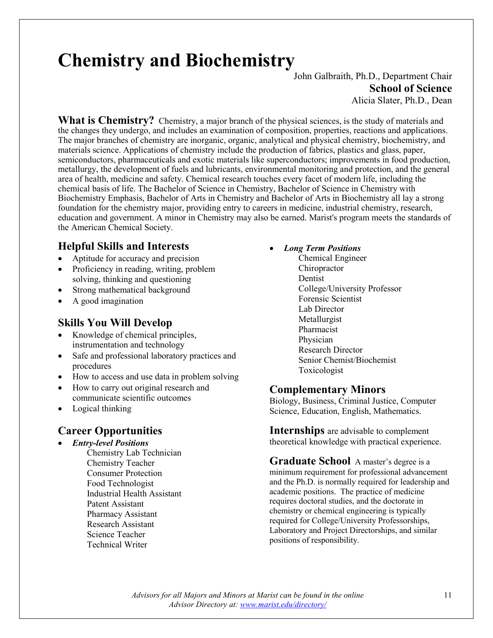# **Chemistry and Biochemistry**<br>John Galbraith, Ph.D., Department Chair

**School of Science** Alicia Slater, Ph.D., Dean

**What is Chemistry?** Chemistry, a major branch of the physical sciences, is the study of materials and the changes they undergo, and includes an examination of composition, properties, reactions and applications. The major branches of chemistry are inorganic, organic, analytical and physical chemistry, biochemistry, and materials science. Applications of chemistry include the production of fabrics, plastics and glass, paper, semiconductors, pharmaceuticals and exotic materials like superconductors; improvements in food production, metallurgy, the development of fuels and lubricants, environmental monitoring and protection, and the general area of health, medicine and safety. Chemical research touches every facet of modern life, including the chemical basis of life. The Bachelor of Science in Chemistry, Bachelor of Science in Chemistry with Biochemistry Emphasis, Bachelor of Arts in Chemistry and Bachelor of Arts in Biochemistry all lay a strong foundation for the chemistry major, providing entry to careers in medicine, industrial chemistry, research, education and government. A minor in Chemistry may also be earned. Marist's program meets the standards of the American Chemical Society.

#### **Helpful Skills and Interests**

- Aptitude for accuracy and precision
- Proficiency in reading, writing, problem solving, thinking and questioning
- Strong mathematical background
- A good imagination

#### **Skills You Will Develop**

- Knowledge of chemical principles, instrumentation and technology
- Safe and professional laboratory practices and procedures
- How to access and use data in problem solving
- How to carry out original research and communicate scientific outcomes
- Logical thinking

#### **Career Opportunities**

- *Entry-level Positions*
	- Chemistry Lab Technician Chemistry Teacher Consumer Protection Food Technologist Industrial Health Assistant Patent Assistant Pharmacy Assistant Research Assistant Science Teacher Technical Writer
- *Long Term Positions*
	- Chemical Engineer **Chiropractor** Dentist College/University Professor Forensic Scientist Lab Director Metallurgist Pharmacist Physician Research Director Senior Chemist/Biochemist Toxicologist

#### **Complementary Minors**

Biology, Business, Criminal Justice, Computer Science, Education, English, Mathematics.

**Internships** are advisable to complement theoretical knowledge with practical experience.

**Graduate School** A master's degree is a minimum requirement for professional advancement and the Ph.D. is normally required for leadership and academic positions. The practice of medicine requires doctoral studies, and the doctorate in chemistry or chemical engineering is typically required for College/University Professorships, Laboratory and Project Directorships, and similar positions of responsibility.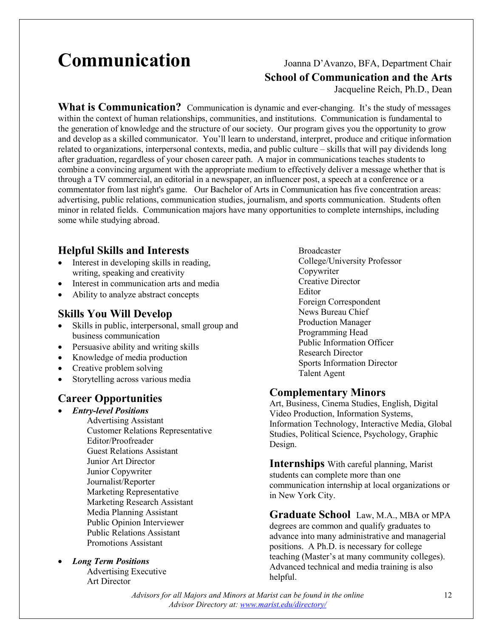# **Communication** Joanna D'Avanzo, BFA, Department Chair

**School of Communication and the Arts**

Jacqueline Reich, Ph.D., Dean

**What is Communication?** Communication is dynamic and ever-changing. It's the study of messages within the context of human relationships, communities, and institutions. Communication is fundamental to the generation of knowledge and the structure of our society. Our program gives you the opportunity to grow and develop as a skilled communicator. You'll learn to understand, interpret, produce and critique information related to organizations, interpersonal contexts, media, and public culture – skills that will pay dividends long after graduation, regardless of your chosen career path. A major in communications teaches students to combine a convincing argument with the appropriate medium to effectively deliver a message whether that is through a TV commercial, an editorial in a newspaper, an influencer post, a speech at a conference or a commentator from last night's game. Our Bachelor of Arts in Communication has five concentration areas: advertising, public relations, communication studies, journalism, and sports communication. Students often minor in related fields. Communication majors have many opportunities to complete internships, including some while studying abroad.

#### **Helpful Skills and Interests**

- Interest in developing skills in reading, writing, speaking and creativity
- Interest in communication arts and media
- Ability to analyze abstract concepts

#### **Skills You Will Develop**

- Skills in public, interpersonal, small group and business communication
- Persuasive ability and writing skills
- Knowledge of media production
- Creative problem solving
- Storytelling across various media

#### **Career Opportunities**

- *Entry-level Positions* Advertising Assistant Customer Relations Representative Editor/Proofreader Guest Relations Assistant Junior Art Director Junior Copywriter Journalist/Reporter Marketing Representative Marketing Research Assistant Media Planning Assistant Public Opinion Interviewer Public Relations Assistant Promotions Assistant
- *Long Term Positions* Advertising Executive Art Director

Broadcaster College/University Professor Copywriter Creative Director Editor Foreign Correspondent News Bureau Chief Production Manager Programming Head Public Information Officer Research Director Sports Information Director Talent Agent

#### **Complementary Minors**

Art, Business, Cinema Studies, English, Digital Video Production, Information Systems, Information Technology, Interactive Media, Global Studies, Political Science, Psychology, Graphic Design.

**Internships** With careful planning, Marist students can complete more than one communication internship at local organizations or in New York City.

**Graduate School** Law, M.A., MBA or MPA degrees are common and qualify graduates to advance into many administrative and managerial positions. A Ph.D. is necessary for college teaching (Master's at many community colleges). Advanced technical and media training is also helpful.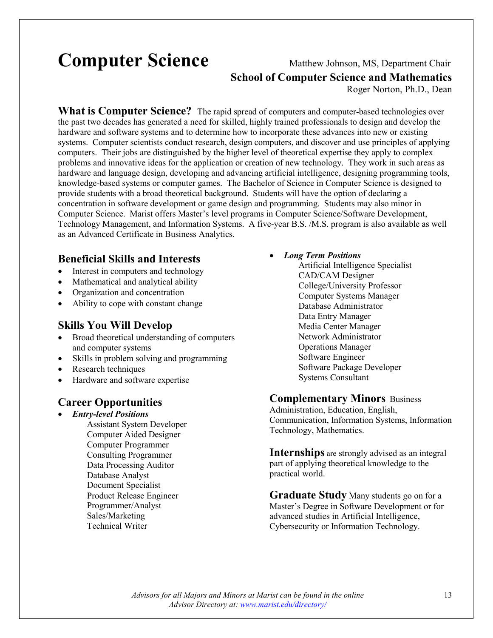## **Computer Science** Matthew Johnson, MS, Department Chair

# **School of Computer Science and Mathematics**

Roger Norton, Ph.D., Dean

**What is Computer Science?** The rapid spread of computers and computer-based technologies over the past two decades has generated a need for skilled, highly trained professionals to design and develop the hardware and software systems and to determine how to incorporate these advances into new or existing systems. Computer scientists conduct research, design computers, and discover and use principles of applying computers. Their jobs are distinguished by the higher level of theoretical expertise they apply to complex problems and innovative ideas for the application or creation of new technology. They work in such areas as hardware and language design, developing and advancing artificial intelligence, designing programming tools, knowledge-based systems or computer games. The Bachelor of Science in Computer Science is designed to provide students with a broad theoretical background. Students will have the option of declaring a concentration in software development or game design and programming. Students may also minor in Computer Science. Marist offers Master's level programs in Computer Science/Software Development, Technology Management, and Information Systems. A five-year B.S. /M.S. program is also available as well as an Advanced Certificate in Business Analytics.

#### **Beneficial Skills and Interests**

- Interest in computers and technology
- Mathematical and analytical ability
- Organization and concentration
- Ability to cope with constant change

#### **Skills You Will Develop**

- Broad theoretical understanding of computers and computer systems
- Skills in problem solving and programming
- Research techniques
- Hardware and software expertise

#### **Career Opportunities**

• *Entry-level Positions* Assistant System Developer Computer Aided Designer Computer Programmer Consulting Programmer Data Processing Auditor Database Analyst Document Specialist Product Release Engineer Programmer/Analyst Sales/Marketing Technical Writer

- *Long Term Positions*
	- Artificial Intelligence Specialist CAD/CAM Designer College/University Professor Computer Systems Manager Database Administrator Data Entry Manager Media Center Manager Network Administrator Operations Manager Software Engineer Software Package Developer Systems Consultant

#### **Complementary Minors** Business

Administration, Education, English, Communication, Information Systems, Information Technology, Mathematics.

**Internships** are strongly advised as an integral part of applying theoretical knowledge to the practical world.

**Graduate Study** Many students go on for a Master's Degree in Software Development or for advanced studies in Artificial Intelligence, Cybersecurity or Information Technology.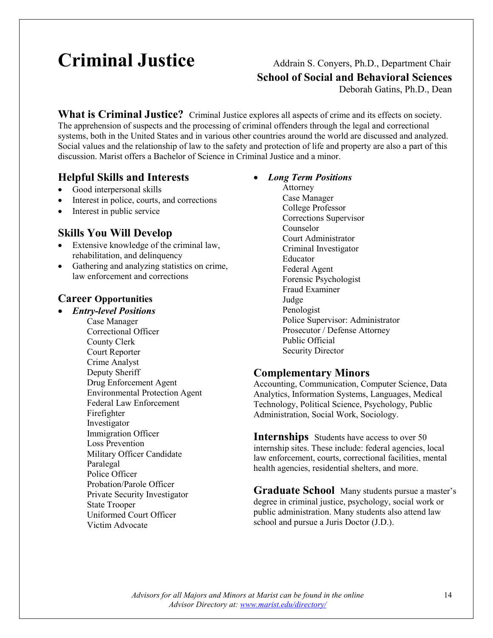# **Criminal Justice** Addrain S. Conyers, Ph.D., Department Chair

**School of Social and Behavioral Sciences**

Deborah Gatins, Ph.D., Dean

**What is Criminal Justice?** Criminal Justice explores all aspects of crime and its effects on society. The apprehension of suspects and the processing of criminal offenders through the legal and correctional systems, both in the United States and in various other countries around the world are discussed and analyzed. Social values and the relationship of law to the safety and protection of life and property are also a part of this discussion. Marist offers a Bachelor of Science in Criminal Justice and a minor.

#### **Helpful Skills and Interests**

- Good interpersonal skills
- Interest in police, courts, and corrections
- Interest in public service

#### **Skills You Will Develop**

- Extensive knowledge of the criminal law, rehabilitation, and delinquency
- Gathering and analyzing statistics on crime, law enforcement and corrections

#### **Career Opportunities**

• *Entry-level Positions* Case Manager Correctional Officer County Clerk Court Reporter Crime Analyst Deputy Sheriff Drug Enforcement Agent Environmental Protection Agent Federal Law Enforcement Firefighter Investigator Immigration Officer Loss Prevention Military Officer Candidate Paralegal Police Officer Probation/Parole Officer Private Security Investigator State Trooper Uniformed Court Officer Victim Advocate

#### • *Long Term Positions*

Attorney Case Manager College Professor Corrections Supervisor Counselor Court Administrator Criminal Investigator Educator Federal Agent Forensic Psychologist Fraud Examiner Judge Penologist Police Supervisor: Administrator Prosecutor / Defense Attorney Public Official Security Director

#### **Complementary Minors**

Accounting, Communication, Computer Science, Data Analytics, Information Systems, Languages, Medical Technology, Political Science, Psychology, Public Administration, Social Work, Sociology.

**Internships** Students have access to over 50 internship sites. These include: federal agencies, local law enforcement, courts, correctional facilities, mental health agencies, residential shelters, and more.

**Graduate School** Many students pursue a master's degree in criminal justice, psychology, social work or public administration. Many students also attend law school and pursue a Juris Doctor (J.D.).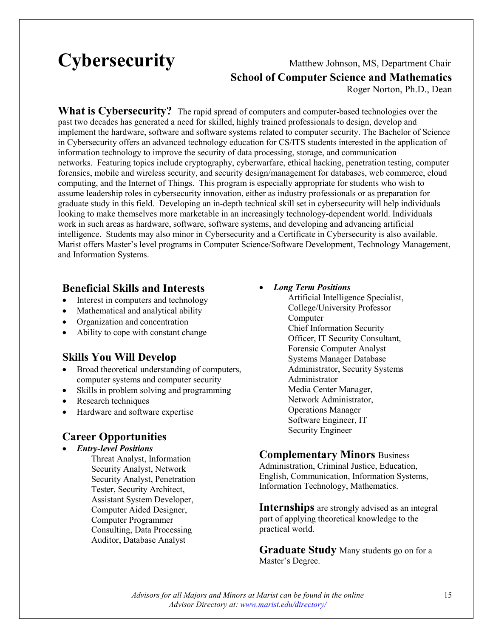# **Cybersecurity** Matthew Johnson, MS, Department Chair

# **School of Computer Science and Mathematics**

Roger Norton, Ph.D., Dean

**What is Cybersecurity?** The rapid spread of computers and computer-based technologies over the past two decades has generated a need for skilled, highly trained professionals to design, develop and implement the hardware, software and software systems related to computer security. The Bachelor of Science in Cybersecurity offers an advanced technology education for CS/ITS students interested in the application of information technology to improve the security of data processing, storage, and communication networks. Featuring topics include cryptography, cyberwarfare, ethical hacking, penetration testing, computer forensics, mobile and wireless security, and security design/management for databases, web commerce, cloud computing, and the Internet of Things. This program is especially appropriate for students who wish to assume leadership roles in cybersecurity innovation, either as industry professionals or as preparation for graduate study in this field. Developing an in-depth technical skill set in cybersecurity will help individuals looking to make themselves more marketable in an increasingly technology-dependent world. Individuals work in such areas as hardware, software, software systems, and developing and advancing artificial intelligence. Students may also minor in Cybersecurity and a Certificate in Cybersecurity is also available. Marist offers Master's level programs in Computer Science/Software Development, Technology Management, and Information Systems.

#### **Beneficial Skills and Interests**

- Interest in computers and technology
- Mathematical and analytical ability
- Organization and concentration
- Ability to cope with constant change

#### **Skills You Will Develop**

- Broad theoretical understanding of computers, computer systems and computer security
- Skills in problem solving and programming
- Research techniques
- Hardware and software expertise

#### **Career Opportunities**

- *Entry-level Positions*
	- Threat Analyst, Information Security Analyst, Network Security Analyst, Penetration Tester, Security Architect, Assistant System Developer, Computer Aided Designer, Computer Programmer Consulting, Data Processing Auditor, Database Analyst

#### • *Long Term Positions*

Artificial Intelligence Specialist, College/University Professor Computer Chief Information Security Officer, IT Security Consultant, Forensic Computer Analyst Systems Manager Database Administrator, Security Systems Administrator Media Center Manager, Network Administrator, Operations Manager Software Engineer, IT Security Engineer

#### **Complementary Minors** Business

Administration, Criminal Justice, Education, English, Communication, Information Systems, Information Technology, Mathematics.

**Internships** are strongly advised as an integral part of applying theoretical knowledge to the practical world.

**Graduate Study** Many students go on for a Master's Degree.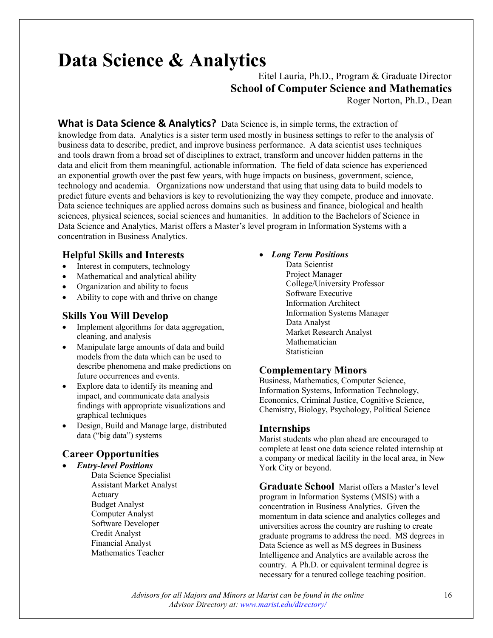# **Data Science & Analytics**

### Eitel Lauria, Ph.D., Program & Graduate Director **School of Computer Science and Mathematics**

Roger Norton, Ph.D., Dean

**What is Data Science & Analytics?** Data Science is, in simple terms, the extraction of knowledge from data. Analytics is a sister term used mostly in business settings to refer to the analysis of business data to describe, predict, and improve business performance. A data scientist uses techniques and tools drawn from a broad set of disciplines to extract, transform and uncover hidden patterns in the data and elicit from them meaningful, actionable information. The field of data science has experienced an exponential growth over the past few years, with huge impacts on business, government, science, technology and academia. Organizations now understand that using that using data to build models to predict future events and behaviors is key to revolutionizing the way they compete, produce and innovate. Data science techniques are applied across domains such as business and finance, biological and health sciences, physical sciences, social sciences and humanities. In addition to the Bachelors of Science in Data Science and Analytics, Marist offers a Master's level program in Information Systems with a concentration in Business Analytics.

#### **Helpful Skills and Interests**

- Interest in computers, technology
- Mathematical and analytical ability
- Organization and ability to focus
- Ability to cope with and thrive on change

#### **Skills You Will Develop**

- Implement algorithms for data aggregation, cleaning, and analysis
- Manipulate large amounts of data and build models from the data which can be used to describe phenomena and make predictions on future occurrences and events.
- Explore data to identify its meaning and impact, and communicate data analysis findings with appropriate visualizations and graphical techniques
- Design, Build and Manage large, distributed data ("big data") systems

#### **Career Opportunities**

• *Entry-level Positions* Data Science Specialist Assistant Market Analyst Actuary Budget Analyst Computer Analyst Software Developer Credit Analyst Financial Analyst Mathematics Teacher

#### • *Long Term Positions*

Data Scientist Project Manager College/University Professor Software Executive Information Architect Information Systems Manager Data Analyst Market Research Analyst Mathematician **Statistician** 

#### **Complementary Minors**

Business, Mathematics, Computer Science, Information Systems, Information Technology, Economics, Criminal Justice, Cognitive Science, Chemistry, Biology, Psychology, Political Science

#### **Internships**

Marist students who plan ahead are encouraged to complete at least one data science related internship at a company or medical facility in the local area, in New York City or beyond.

**Graduate School** Marist offers a Master's level program in Information Systems (MSIS) with a concentration in Business Analytics. Given the momentum in data science and analytics colleges and universities across the country are rushing to create graduate programs to address the need. MS degrees in Data Science as well as MS degrees in Business Intelligence and Analytics are available across the country. A Ph.D. or equivalent terminal degree is necessary for a tenured college teaching position.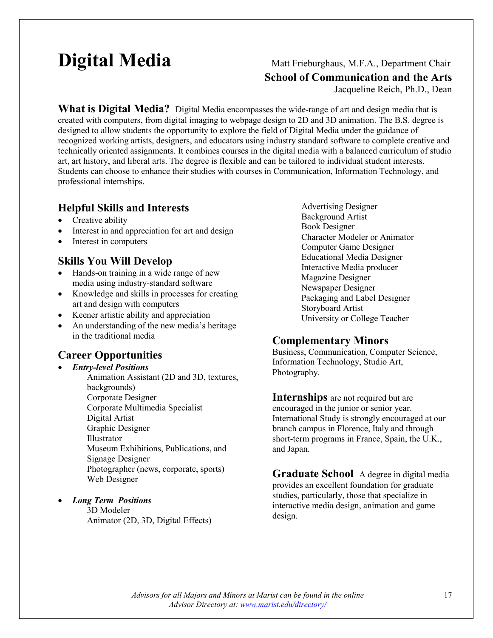## **Digital Media** Matt Frieburghaus, M.F.A., Department Chair

**School of Communication and the Arts**

Jacqueline Reich, Ph.D., Dean

**What is Digital Media?** Digital Media encompasses the wide-range of art and design media that is created with computers, from digital imaging to webpage design to 2D and 3D animation. The B.S. degree is designed to allow students the opportunity to explore the field of Digital Media under the guidance of recognized working artists, designers, and educators using industry standard software to complete creative and technically oriented assignments. It combines courses in the digital media with a balanced curriculum of studio art, art history, and liberal arts. The degree is flexible and can be tailored to individual student interests. Students can choose to enhance their studies with courses in Communication, Information Technology, and professional internships.

#### **Helpful Skills and Interests**

- Creative ability
- Interest in and appreciation for art and design
- Interest in computers

#### **Skills You Will Develop**

- Hands-on training in a wide range of new media using industry-standard software
- Knowledge and skills in processes for creating art and design with computers
- Keener artistic ability and appreciation
- An understanding of the new media's heritage in the traditional media

#### **Career Opportunities**

- *Entry-level Positions* Animation Assistant (2D and 3D, textures, backgrounds) Corporate Designer Corporate Multimedia Specialist Digital Artist Graphic Designer Illustrator Museum Exhibitions, Publications, and Signage Designer Photographer (news, corporate, sports) Web Designer
- *Long Term Positions*

3D Modeler Animator (2D, 3D, Digital Effects)

Advertising Designer Background Artist Book Designer Character Modeler or Animator Computer Game Designer Educational Media Designer Interactive Media producer Magazine Designer Newspaper Designer Packaging and Label Designer Storyboard Artist University or College Teacher

#### **Complementary Minors**

Business, Communication, Computer Science, Information Technology, Studio Art, Photography.

#### **Internships** are not required but are

encouraged in the junior or senior year. International Study is strongly encouraged at our branch campus in Florence, Italy and through short-term programs in France, Spain, the U.K., and Japan.

**Graduate School** A degree in digital media provides an excellent foundation for graduate studies, particularly, those that specialize in interactive media design, animation and game design.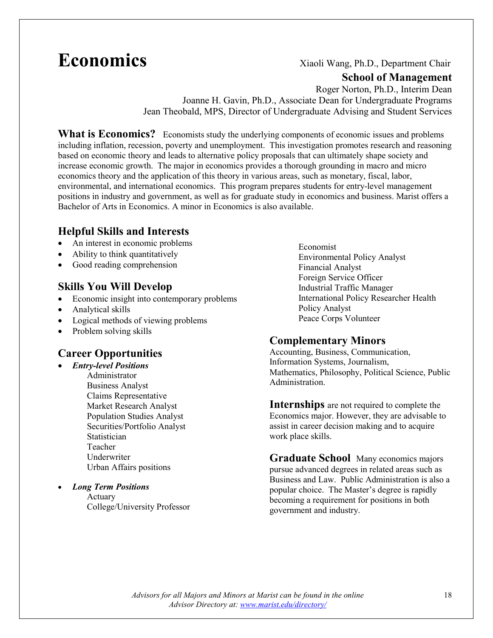## **Economics** Xiaoli Wang, Ph.D., Department Chair

#### **School of Management**

Roger Norton, Ph.D., Interim Dean Joanne H. Gavin, Ph.D., Associate Dean for Undergraduate Programs Jean Theobald, MPS, Director of Undergraduate Advising and Student Services

**What is Economics?** Economists study the underlying components of economic issues and problems including inflation, recession, poverty and unemployment. This investigation promotes research and reasoning based on economic theory and leads to alternative policy proposals that can ultimately shape society and increase economic growth. The major in economics provides a thorough grounding in macro and micro economics theory and the application of this theory in various areas, such as monetary, fiscal, labor, environmental, and international economics. This program prepares students for entry-level management positions in industry and government, as well as for graduate study in economics and business. Marist offers a Bachelor of Arts in Economics. A minor in Economics is also available.

#### **Helpful Skills and Interests**

- An interest in economic problems
- Ability to think quantitatively
- Good reading comprehension

#### **Skills You Will Develop**

- Economic insight into contemporary problems
- Analytical skills
- Logical methods of viewing problems
- Problem solving skills

#### **Career Opportunities**

- *Entry-level Positions* Administrator Business Analyst Claims Representative Market Research Analyst Population Studies Analyst Securities/Portfolio Analyst **Statistician** Teacher Underwriter Urban Affairs positions
- *Long Term Positions* Actuary

College/University Professor

Economist Environmental Policy Analyst Financial Analyst Foreign Service Officer Industrial Traffic Manager International Policy Researcher Health Policy Analyst Peace Corps Volunteer

#### **Complementary Minors**

Accounting, Business, Communication, Information Systems, Journalism, Mathematics, Philosophy, Political Science, Public Administration.

**Internships** are not required to complete the Economics major. However, they are advisable to assist in career decision making and to acquire work place skills.

**Graduate School** Many economics majors pursue advanced degrees in related areas such as Business and Law. Public Administration is also a popular choice. The Master's degree is rapidly becoming a requirement for positions in both government and industry.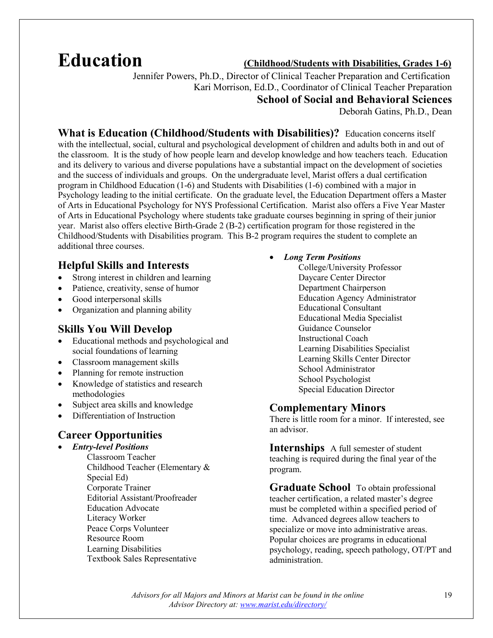## **Education (Childhood/Students with Disabilities, Grades 1-6)**

 Jennifer Powers, Ph.D., Director of Clinical Teacher Preparation and Certification Kari Morrison, Ed.D., Coordinator of Clinical Teacher Preparation **School of Social and Behavioral Sciences** Deborah Gatins, Ph.D., Dean

**What is Education (Childhood/Students with Disabilities)?** Education concerns itself with the intellectual, social, cultural and psychological development of children and adults both in and out of the classroom. It is the study of how people learn and develop knowledge and how teachers teach. Education and its delivery to various and diverse populations have a substantial impact on the development of societies and the success of individuals and groups. On the undergraduate level, Marist offers a dual certification program in Childhood Education (1-6) and Students with Disabilities (1-6) combined with a major in Psychology leading to the initial certificate. On the graduate level, the Education Department offers a Master of Arts in Educational Psychology for NYS Professional Certification. Marist also offers a Five Year Master of Arts in Educational Psychology where students take graduate courses beginning in spring of their junior year. Marist also offers elective Birth-Grade 2 (B-2) certification program for those registered in the Childhood/Students with Disabilities program. This B-2 program requires the student to complete an additional three courses.

#### **Helpful Skills and Interests**

- Strong interest in children and learning
- Patience, creativity, sense of humor
- Good interpersonal skills
- Organization and planning ability

#### **Skills You Will Develop**

- Educational methods and psychological and social foundations of learning
- Classroom management skills
- Planning for remote instruction
- Knowledge of statistics and research methodologies
- Subject area skills and knowledge
- Differentiation of Instruction

#### **Career Opportunities**

- *Entry-level Positions*
	- Classroom Teacher Childhood Teacher (Elementary & Special Ed) Corporate Trainer Editorial Assistant/Proofreader Education Advocate Literacy Worker Peace Corps Volunteer Resource Room Learning Disabilities Textbook Sales Representative
- *Long Term Positions*
	- College/University Professor Daycare Center Director Department Chairperson Education Agency Administrator Educational Consultant Educational Media Specialist Guidance Counselor Instructional Coach Learning Disabilities Specialist Learning Skills Center Director School Administrator School Psychologist Special Education Director

#### **Complementary Minors**

There is little room for a minor. If interested, see an advisor.

**Internships** A full semester of student teaching is required during the final year of the program.

**Graduate School** To obtain professional teacher certification, a related master's degree must be completed within a specified period of time. Advanced degrees allow teachers to specialize or move into administrative areas. Popular choices are programs in educational psychology, reading, speech pathology, OT/PT and administration.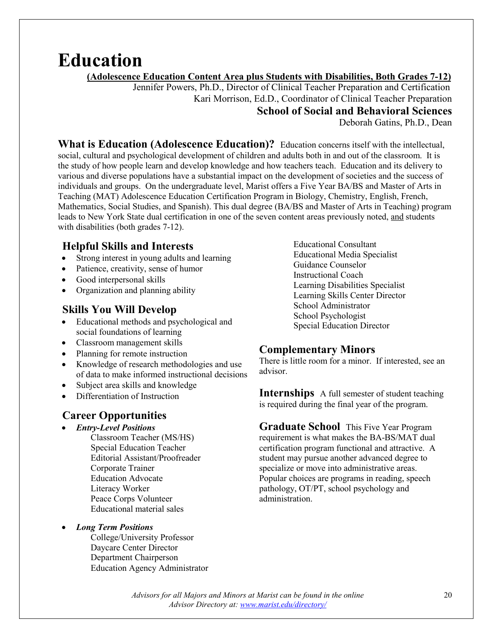## **Education**

 **(Adolescence Education Content Area plus Students with Disabilities, Both Grades 7-12)**

 Jennifer Powers, Ph.D., Director of Clinical Teacher Preparation and Certification Kari Morrison, Ed.D., Coordinator of Clinical Teacher Preparation **School of Social and Behavioral Sciences**

Deborah Gatins, Ph.D., Dean

**What is Education (Adolescence Education)?** Education concerns itself with the intellectual, social, cultural and psychological development of children and adults both in and out of the classroom. It is the study of how people learn and develop knowledge and how teachers teach. Education and its delivery to various and diverse populations have a substantial impact on the development of societies and the success of individuals and groups. On the undergraduate level, Marist offers a Five Year BA/BS and Master of Arts in Teaching (MAT) Adolescence Education Certification Program in Biology, Chemistry, English, French, Mathematics, Social Studies, and Spanish). This dual degree (BA/BS and Master of Arts in Teaching) program leads to New York State dual certification in one of the seven content areas previously noted, and students with disabilities (both grades 7-12).

### **Helpful Skills and Interests**

- Strong interest in young adults and learning
- Patience, creativity, sense of humor
- Good interpersonal skills
- Organization and planning ability

#### **Skills You Will Develop**

- Educational methods and psychological and social foundations of learning
- Classroom management skills
- Planning for remote instruction
- Knowledge of research methodologies and use of data to make informed instructional decisions
- Subject area skills and knowledge
- Differentiation of Instruction

#### **Career Opportunities**

- *Entry-Level Positions*
	- Classroom Teacher (MS/HS) Special Education Teacher Editorial Assistant/Proofreader Corporate Trainer Education Advocate Literacy Worker Peace Corps Volunteer Educational material sales

#### • *Long Term Positions*

College/University Professor Daycare Center Director Department Chairperson Education Agency Administrator Educational Consultant Educational Media Specialist Guidance Counselor Instructional Coach Learning Disabilities Specialist Learning Skills Center Director School Administrator School Psychologist Special Education Director

#### **Complementary Minors**

There is little room for a minor. If interested, see an advisor.

**Internships** A full semester of student teaching is required during the final year of the program.

**Graduate School** This Five Year Program requirement is what makes the BA-BS/MAT dual certification program functional and attractive. A student may pursue another advanced degree to specialize or move into administrative areas. Popular choices are programs in reading, speech pathology, OT/PT, school psychology and administration.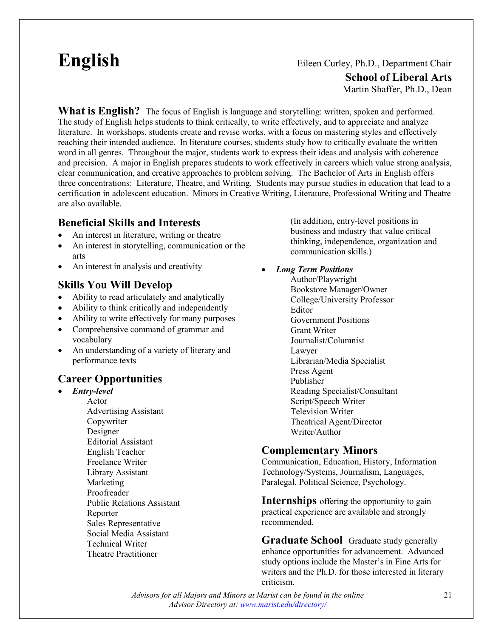### **English** Eileen Curley, Ph.D., Department Chair **School of Liberal Arts** Martin Shaffer, Ph.D., Dean

**What is English?** The focus of English is language and storytelling: written, spoken and performed. The study of English helps students to think critically, to write effectively, and to appreciate and analyze literature. In workshops, students create and revise works, with a focus on mastering styles and effectively reaching their intended audience. In literature courses, students study how to critically evaluate the written word in all genres. Throughout the major, students work to express their ideas and analysis with coherence and precision. A major in English prepares students to work effectively in careers which value strong analysis, clear communication, and creative approaches to problem solving. The Bachelor of Arts in English offers three concentrations: Literature, Theatre, and Writing. Students may pursue studies in education that lead to a certification in adolescent education. Minors in Creative Writing, Literature, Professional Writing and Theatre are also available.

#### **Beneficial Skills and Interests**

- An interest in literature, writing or theatre
- An interest in storytelling, communication or the arts
- An interest in analysis and creativity

#### **Skills You Will Develop**

- Ability to read articulately and analytically
- Ability to think critically and independently
- Ability to write effectively for many purposes
- Comprehensive command of grammar and vocabulary
- An understanding of a variety of literary and performance texts

#### **Career Opportunities**

• *Entry-level* Actor Advertising Assistant Copywriter Designer Editorial Assistant English Teacher Freelance Writer Library Assistant Marketing Proofreader Public Relations Assistant Reporter Sales Representative Social Media Assistant Technical Writer Theatre Practitioner

(In addition, entry-level positions in business and industry that value critical thinking, independence, organization and communication skills.)

• *Long Term Positions*

Author/Playwright Bookstore Manager/Owner College/University Professor Editor Government Positions Grant Writer Journalist/Columnist Lawyer Librarian/Media Specialist Press Agent Publisher Reading Specialist/Consultant Script/Speech Writer Television Writer Theatrical Agent/Director Writer/Author

#### **Complementary Minors**

Communication, Education, History, Information Technology/Systems, Journalism, Languages, Paralegal, Political Science, Psychology.

**Internships** offering the opportunity to gain practical experience are available and strongly recommended.

**Graduate School** Graduate study generally enhance opportunities for advancement. Advanced study options include the Master's in Fine Arts for writers and the Ph.D. for those interested in literary criticism.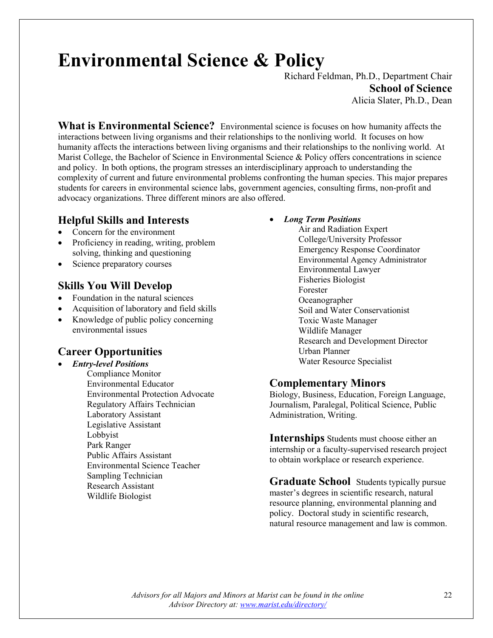# **Environmental Science & Policy**

Richard Feldman, Ph.D., Department Chair **School of Science** Alicia Slater, Ph.D., Dean

**What is Environmental Science?** Environmental science is focuses on how humanity affects the interactions between living organisms and their relationships to the nonliving world. It focuses on how humanity affects the interactions between living organisms and their relationships to the nonliving world. At Marist College, the Bachelor of Science in Environmental Science & Policy offers concentrations in science and policy. In both options, the program stresses an interdisciplinary approach to understanding the complexity of current and future environmental problems confronting the human species. This major prepares students for careers in environmental science labs, government agencies, consulting firms, non-profit and advocacy organizations. Three different minors are also offered.

#### **Helpful Skills and Interests**

- Concern for the environment
- Proficiency in reading, writing, problem solving, thinking and questioning
- Science preparatory courses

#### **Skills You Will Develop**

- Foundation in the natural sciences
- Acquisition of laboratory and field skills
- Knowledge of public policy concerning environmental issues

#### **Career Opportunities**

• *Entry-level Positions* Compliance Monitor Environmental Educator Environmental Protection Advocate Regulatory Affairs Technician Laboratory Assistant Legislative Assistant Lobbyist Park Ranger Public Affairs Assistant Environmental Science Teacher Sampling Technician Research Assistant Wildlife Biologist

• *Long Term Positions*

Air and Radiation Expert College/University Professor Emergency Response Coordinator Environmental Agency Administrator Environmental Lawyer Fisheries Biologist Forester Oceanographer Soil and Water Conservationist Toxic Waste Manager Wildlife Manager Research and Development Director Urban Planner Water Resource Specialist

#### **Complementary Minors**

Biology, Business, Education, Foreign Language, Journalism, Paralegal, Political Science, Public Administration, Writing.

**Internships** Students must choose either an internship or a faculty-supervised research project to obtain workplace or research experience.

**Graduate School** Students typically pursue master's degrees in scientific research, natural resource planning, environmental planning and policy. Doctoral study in scientific research, natural resource management and law is common.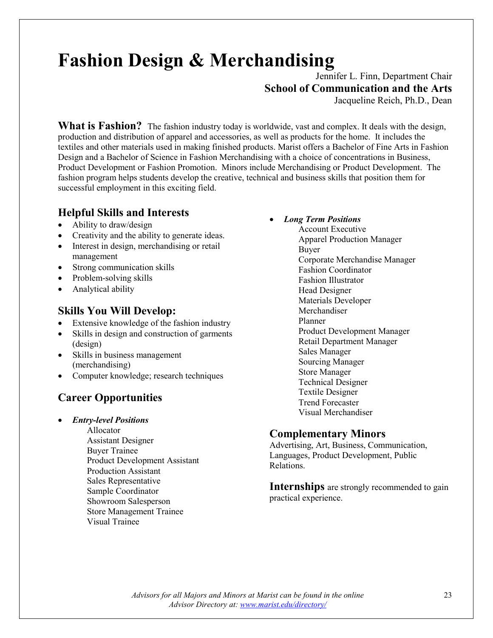# **Fashion Design & Merchandising**

Jennifer L. Finn, Department Chair **School of Communication and the Arts**

Jacqueline Reich, Ph.D., Dean

**What is Fashion?** The fashion industry today is worldwide, vast and complex. It deals with the design, production and distribution of apparel and accessories, as well as products for the home. It includes the textiles and other materials used in making finished products. Marist offers a Bachelor of Fine Arts in Fashion Design and a Bachelor of Science in Fashion Merchandising with a choice of concentrations in Business, Product Development or Fashion Promotion. Minors include Merchandising or Product Development.The fashion program helps students develop the creative, technical and business skills that position them for successful employment in this exciting field.

#### **Helpful Skills and Interests**

- Ability to draw/design
- Creativity and the ability to generate ideas.
- Interest in design, merchandising or retail management
- Strong communication skills
- Problem-solving skills
- Analytical ability

#### **Skills You Will Develop:**

- Extensive knowledge of the fashion industry
- Skills in design and construction of garments (design)
- Skills in business management (merchandising)
- Computer knowledge; research techniques

### **Career Opportunities**

- *Entry-level Positions*
	- Allocator Assistant Designer Buyer Trainee Product Development Assistant Production Assistant Sales Representative Sample Coordinator Showroom Salesperson Store Management Trainee Visual Trainee

• *Long Term Positions*

Account Executive Apparel Production Manager Buyer Corporate Merchandise Manager Fashion Coordinator Fashion Illustrator Head Designer Materials Developer Merchandiser Planner Product Development Manager Retail Department Manager Sales Manager Sourcing Manager Store Manager Technical Designer Textile Designer Trend Forecaster Visual Merchandiser

#### **Complementary Minors**

Advertising, Art, Business, Communication, Languages, Product Development, Public Relations.

**Internships** are strongly recommended to gain practical experience.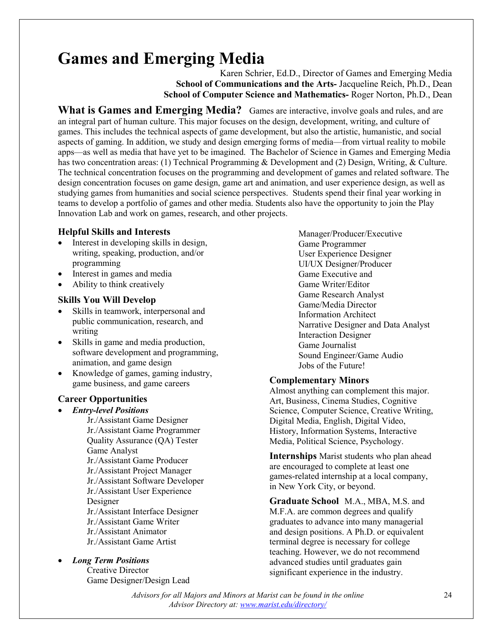## **Games and Emerging Media**

Karen Schrier, Ed.D., Director of Games and Emerging Media **School of Communications and the Arts-** Jacqueline Reich, Ph.D., Dean **School of Computer Science and Mathematics-** Roger Norton, Ph.D., Dean

**What is Games and Emerging Media?** Games are interactive, involve goals and rules, and are an integral part of human culture. This major focuses on the design, development, writing, and culture of games. This includes the technical aspects of game development, but also the artistic, humanistic, and social aspects of gaming. In addition, we study and design emerging forms of media—from virtual reality to mobile apps—as well as media that have yet to be imagined. The Bachelor of Science in Games and Emerging Media has two concentration areas: (1) Technical Programming & Development and (2) Design, Writing, & Culture. The technical concentration focuses on the programming and development of games and related software. The design concentration focuses on game design, game art and animation, and user experience design, as well as studying games from humanities and social science perspectives. Students spend their final year working in teams to develop a portfolio of games and other media. Students also have the opportunity to join the Play Innovation Lab and work on games, research, and other projects.

#### **Helpful Skills and Interests**

- Interest in developing skills in design, writing, speaking, production, and/or programming
- Interest in games and media
- Ability to think creatively

#### **Skills You Will Develop**

- Skills in teamwork, interpersonal and public communication, research, and writing
- Skills in game and media production, software development and programming, animation, and game design
- Knowledge of games, gaming industry, game business, and game careers

#### **Career Opportunities**

- *Entry-level Positions*
	- Jr./Assistant Game Designer Jr./Assistant Game Programmer Quality Assurance (QA) Tester Game Analyst Jr./Assistant Game Producer Jr./Assistant Project Manager Jr./Assistant Software Developer Jr./Assistant User Experience Designer Jr./Assistant Interface Designer Jr./Assistant Game Writer Jr./Assistant Animator Jr./Assistant Game Artist
- *Long Term Positions*

Creative Director Game Designer/Design Lead

Manager/Producer/Executive Game Programmer User Experience Designer UI/UX Designer/Producer Game Executive and Game Writer/Editor Game Research Analyst Game/Media Director Information Architect Narrative Designer and Data Analyst Interaction Designer Game Journalist Sound Engineer/Game Audio Jobs of the Future!

#### **Complementary Minors**

Almost anything can complement this major. Art, Business, Cinema Studies, Cognitive Science, Computer Science, Creative Writing, Digital Media, English, Digital Video, History, Information Systems, Interactive Media, Political Science, Psychology.

**Internships** Marist students who plan ahead are encouraged to complete at least one games-related internship at a local company, in New York City, or beyond.

**Graduate School** M.A., MBA, M.S. and M.F.A. are common degrees and qualify graduates to advance into many managerial and design positions. A Ph.D. or equivalent terminal degree is necessary for college teaching. However, we do not recommend advanced studies until graduates gain significant experience in the industry.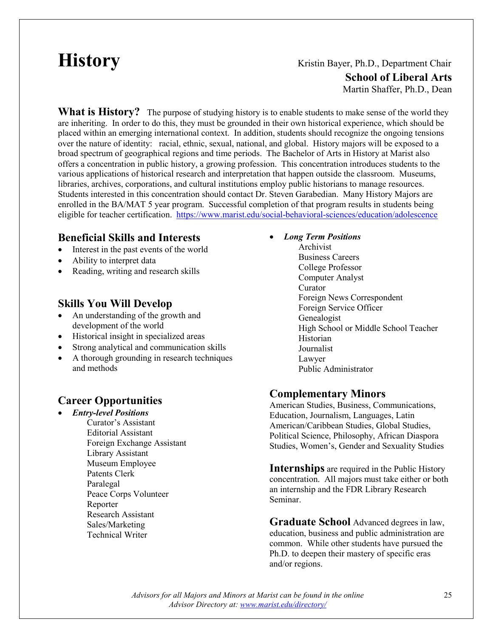### **History Kristin Bayer, Ph.D., Department Chair School of Liberal Arts** Martin Shaffer, Ph.D., Dean

**What is History?** The purpose of studying history is to enable students to make sense of the world they are inheriting. In order to do this, they must be grounded in their own historical experience, which should be placed within an emerging international context. In addition, students should recognize the ongoing tensions over the nature of identity: racial, ethnic, sexual, national, and global. History majors will be exposed to a broad spectrum of geographical regions and time periods. The Bachelor of Arts in History at Marist also offers a concentration in public history, a growing profession. This concentration introduces students to the various applications of historical research and interpretation that happen outside the classroom. Museums, libraries, archives, corporations, and cultural institutions employ public historians to manage resources. Students interested in this concentration should contact Dr. Steven Garabedian. Many History Majors are enrolled in the BA/MAT 5 year program. Successful completion of that program results in students being eligible for teacher certification. <https://www.marist.edu/social-behavioral-sciences/education/adolescence>

#### **Beneficial Skills and Interests**

- Interest in the past events of the world
- Ability to interpret data
- Reading, writing and research skills

#### **Skills You Will Develop**

- An understanding of the growth and development of the world
- Historical insight in specialized areas
- Strong analytical and communication skills
- A thorough grounding in research techniques and methods

#### **Career Opportunities**

• *Entry-level Positions* Curator's Assistant Editorial Assistant Foreign Exchange Assistant Library Assistant Museum Employee Patents Clerk Paralegal Peace Corps Volunteer Reporter Research Assistant Sales/Marketing Technical Writer

- *Long Term Positions*
	- Archivist Business Careers College Professor Computer Analyst Curator Foreign News Correspondent Foreign Service Officer Genealogist High School or Middle School Teacher Historian Journalist Lawyer Public Administrator

#### **Complementary Minors**

American Studies, Business, Communications, Education, Journalism, Languages, Latin American/Caribbean Studies, Global Studies, Political Science, Philosophy, African Diaspora Studies, Women's, Gender and Sexuality Studies

**Internships** are required in the Public History concentration. All majors must take either or both an internship and the FDR Library Research Seminar.

**Graduate School** Advanced degrees in law, education, business and public administration are common. While other students have pursued the Ph.D. to deepen their mastery of specific eras and/or regions.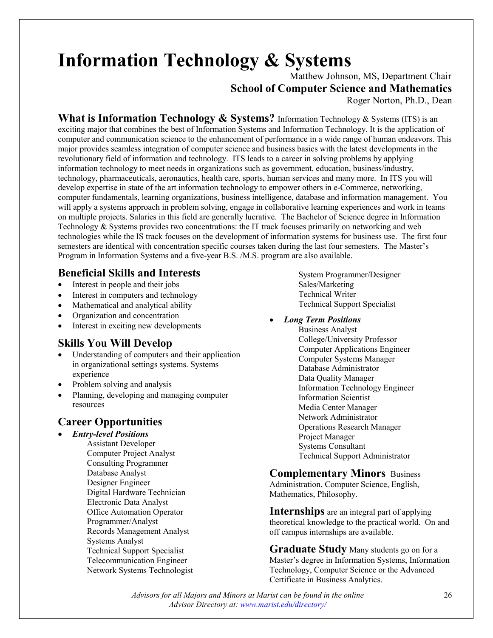# **Information Technology & Systems**

 Matthew Johnson, MS, Department Chair **School of Computer Science and Mathematics**

Roger Norton, Ph.D., Dean

What is Information Technology & Systems? Information Technology & Systems (ITS) is an exciting major that combines the best of Information Systems and Information Technology. It is the application of computer and communication science to the enhancement of performance in a wide range of human endeavors. This major provides seamless integration of computer science and business basics with the latest developments in the revolutionary field of information and technology. ITS leads to a career in solving problems by applying information technology to meet needs in organizations such as government, education, business/industry, technology, pharmaceuticals, aeronautics, health care, sports, human services and many more. In ITS you will develop expertise in state of the art information technology to empower others in e-Commerce, networking, computer fundamentals, learning organizations, business intelligence, database and information management. You will apply a systems approach in problem solving, engage in collaborative learning experiences and work in teams on multiple projects. Salaries in this field are generally lucrative. The Bachelor of Science degree in Information Technology & Systems provides two concentrations: the IT track focuses primarily on networking and web technologies while the IS track focuses on the development of information systems for business use. The first four semesters are identical with concentration specific courses taken during the last four semesters. The Master's Program in Information Systems and a five-year B.S. /M.S. program are also available.

#### **Beneficial Skills and Interests**

- Interest in people and their jobs
- Interest in computers and technology
- Mathematical and analytical ability
- Organization and concentration
- Interest in exciting new developments

#### **Skills You Will Develop**

- Understanding of computers and their application in organizational settings systems. Systems experience
- Problem solving and analysis
- Planning, developing and managing computer resources

### **Career Opportunities**

- *Entry-level Positions*
	- Assistant Developer Computer Project Analyst Consulting Programmer Database Analyst Designer Engineer Digital Hardware Technician Electronic Data Analyst Office Automation Operator Programmer/Analyst Records Management Analyst Systems Analyst Technical Support Specialist Telecommunication Engineer Network Systems Technologist

System Programmer/Designer Sales/Marketing Technical Writer Technical Support Specialist

#### • *Long Term Positions*

Business Analyst College/University Professor Computer Applications Engineer Computer Systems Manager Database Administrator Data Quality Manager Information Technology Engineer Information Scientist Media Center Manager Network Administrator Operations Research Manager Project Manager Systems Consultant Technical Support Administrator

#### **Complementary Minors** Business

Administration, Computer Science, English, Mathematics, Philosophy.

**Internships** are an integral part of applying theoretical knowledge to the practical world. On and off campus internships are available.

**Graduate Study** Many students go on for a Master's degree in Information Systems, Information Technology, Computer Science or the Advanced Certificate in Business Analytics.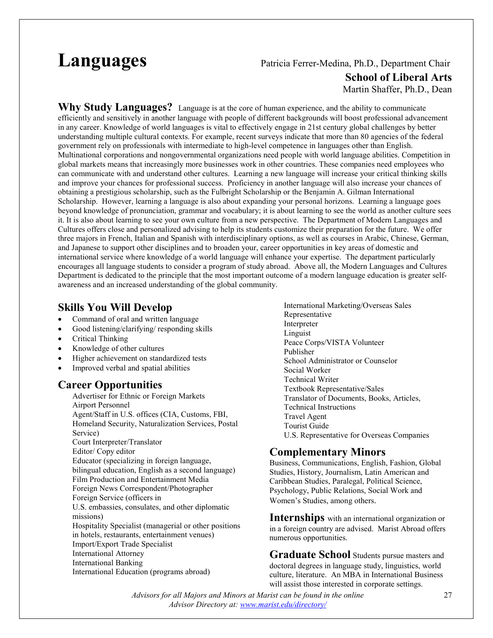#### **Languages** Patricia Ferrer-Medina, Ph.D., Department Chair **School of Liberal Arts**  Martin Shaffer, Ph.D., Dean

**Why Study Languages?** Language is at the core of human experience, and the ability to communicate efficiently and sensitively in another language with people of different backgrounds will boost professional advancement in any career. Knowledge of world languages is vital to effectively engage in 21st century global challenges by better understanding multiple cultural contexts. For example, recent surveys indicate that more than 80 agencies of the federal government rely on professionals with intermediate to high-level competence in languages other than English. Multinational corporations and nongovernmental organizations need people with world language abilities. Competition in global markets means that increasingly more businesses work in other countries. These companies need employees who can communicate with and understand other cultures. Learning a new language will increase your critical thinking skills and improve your chances for professional success. Proficiency in another language will also increase your chances of obtaining a prestigious scholarship, such as the Fulbright Scholarship or the Benjamin A. Gilman International Scholarship. However, learning a language is also about expanding your personal horizons. Learning a language goes beyond knowledge of pronunciation, grammar and vocabulary; it is about learning to see the world as another culture sees it. It is also about learning to see your own culture from a new perspective. The Department of Modern Languages and Cultures offers close and personalized advising to help its students customize their preparation for the future. We offer three majors in French, Italian and Spanish with interdisciplinary options, as well as courses in Arabic, Chinese, German, and Japanese to support other disciplines and to broaden your, career opportunities in key areas of domestic and international service where knowledge of a world language will enhance your expertise. The department particularly encourages all language students to consider a program of study abroad. Above all, the Modern Languages and Cultures Department is dedicated to the principle that the most important outcome of a modern language education is greater selfawareness and an increased understanding of the global community.

#### **Skills You Will Develop**

- Command of oral and written language
- Good listening/clarifying/ responding skills
- Critical Thinking
- Knowledge of other cultures
- Higher achievement on standardized tests
- Improved verbal and spatial abilities

#### **Career Opportunities**

Advertiser for Ethnic or Foreign Markets Airport Personnel Agent/Staff in U.S. offices (CIA, Customs, FBI, Homeland Security, Naturalization Services, Postal Service) Court Interpreter/Translator Editor/ Copy editor Educator (specializing in foreign language, bilingual education, English as a second language) Film Production and Entertainment Media Foreign News Correspondent/Photographer Foreign Service (officers in U.S. embassies, consulates, and other diplomatic missions) Hospitality Specialist (managerial or other positions in hotels, restaurants, entertainment venues) Import/Export Trade Specialist International Attorney International Banking International Education (programs abroad)

International Marketing/Overseas Sales Representative Interpreter Linguist Peace Corps/VISTA Volunteer Publisher School Administrator or Counselor Social Worker Technical Writer Textbook Representative/Sales Translator of Documents, Books, Articles, Technical Instructions Travel Agent Tourist Guide U.S. Representative for Overseas Companies

#### **Complementary Minors**

Business, Communications, English, Fashion, Global Studies, History, Journalism, Latin American and Caribbean Studies, Paralegal, Political Science, Psychology, Public Relations, Social Work and Women's Studies, among others.

**Internships** with an international organization or in a foreign country are advised. Marist Abroad offers numerous opportunities.

**Graduate School** Students pursue masters and doctoral degrees in language study, linguistics, world culture, literature. An MBA in International Business will assist those interested in corporate settings.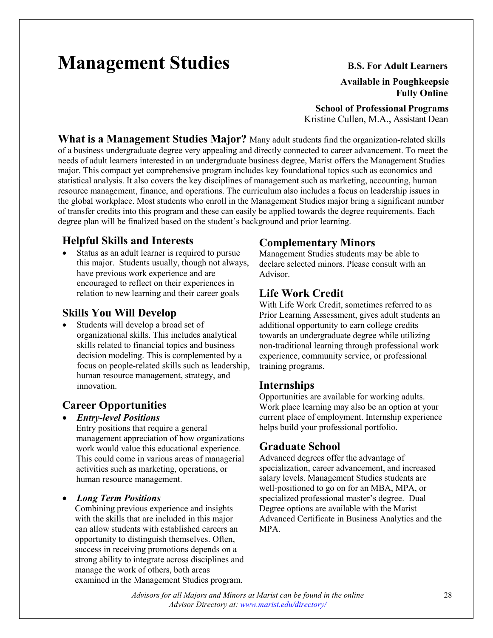# **Management Studies** B.S. For Adult Learners

#### **Available in Poughkeepsie Fully Online**

 **School of Professional Programs**

Kristine Cullen, M.A., Assistant Dean

**What is a Management Studies Major?** Many adult students find the organization-related skills of a business undergraduate degree very appealing and directly connected to career advancement. To meet the needs of adult learners interested in an undergraduate business degree, Marist offers the Management Studies major. This compact yet comprehensive program includes key foundational topics such as economics and statistical analysis. It also covers the key disciplines of management such as marketing, accounting, human resource management, finance, and operations. The curriculum also includes a focus on leadership issues in the global workplace. Most students who enroll in the Management Studies major bring a significant number of transfer credits into this program and these can easily be applied towards the degree requirements. Each degree plan will be finalized based on the student's background and prior learning.

#### **Helpful Skills and Interests**

Status as an adult learner is required to pursue this major. Students usually, though not always, have previous work experience and are encouraged to reflect on their experiences in relation to new learning and their career goals

#### **Skills You Will Develop**

• Students will develop a broad set of organizational skills. This includes analytical skills related to financial topics and business decision modeling. This is complemented by a focus on people-related skills such as leadership, human resource management, strategy, and innovation.

### **Career Opportunities**

#### • *Entry-level Positions*

Entry positions that require a general management appreciation of how organizations work would value this educational experience. This could come in various areas of managerial activities such as marketing, operations, or human resource management.

#### • *Long Term Positions*

Combining previous experience and insights with the skills that are included in this major can allow students with established careers an opportunity to distinguish themselves. Often, success in receiving promotions depends on a strong ability to integrate across disciplines and manage the work of others, both areas examined in the Management Studies program.

#### **Complementary Minors**

Management Studies students may be able to declare selected minors. Please consult with an Advisor.

#### **Life Work Credit**

With Life Work Credit, sometimes referred to as Prior Learning Assessment, gives adult students an additional opportunity to earn college credits towards an undergraduate degree while utilizing non-traditional learning through professional work experience, community service, or professional training programs.

#### **Internships**

Opportunities are available for working adults. Work place learning may also be an option at your current place of employment. Internship experience helps build your professional portfolio.

#### **Graduate School**

Advanced degrees offer the advantage of specialization, career advancement, and increased salary levels. Management Studies students are well-positioned to go on for an MBA, MPA, or specialized professional master's degree. Dual Degree options are available with the Marist Advanced Certificate in Business Analytics and the MPA.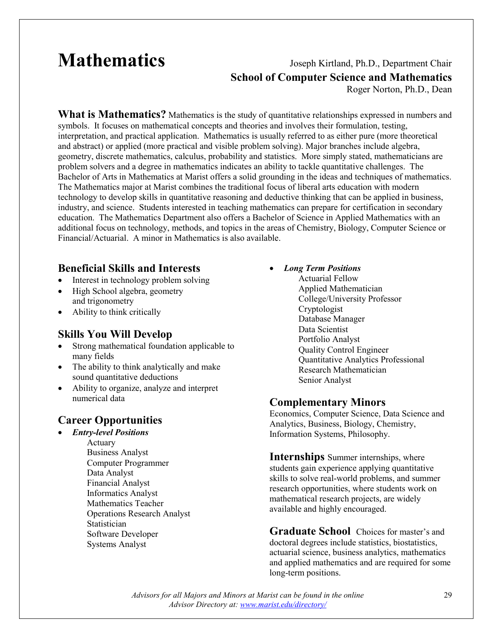## **Mathematics** Joseph Kirtland, Ph.D., Department Chair **School of Computer Science and Mathematics**

Roger Norton, Ph.D., Dean

**What is Mathematics?** Mathematics is the study of quantitative relationships expressed in numbers and symbols. It focuses on mathematical concepts and theories and involves their formulation, testing, interpretation, and practical application. Mathematics is usually referred to as either pure (more theoretical and abstract) or applied (more practical and visible problem solving). Major branches include algebra, geometry, discrete mathematics, calculus, probability and statistics. More simply stated, mathematicians are problem solvers and a degree in mathematics indicates an ability to tackle quantitative challenges. The Bachelor of Arts in Mathematics at Marist offers a solid grounding in the ideas and techniques of mathematics. The Mathematics major at Marist combines the traditional focus of liberal arts education with modern technology to develop skills in quantitative reasoning and deductive thinking that can be applied in business, industry, and science. Students interested in teaching mathematics can prepare for certification in secondary education. The Mathematics Department also offers a Bachelor of Science in Applied Mathematics with an additional focus on technology, methods, and topics in the areas of Chemistry, Biology, Computer Science or Financial/Actuarial. A minor in Mathematics is also available.

#### **Beneficial Skills and Interests**

- Interest in technology problem solving
- High School algebra, geometry and trigonometry
- Ability to think critically

#### **Skills You Will Develop**

- Strong mathematical foundation applicable to many fields
- The ability to think analytically and make sound quantitative deductions
- Ability to organize, analyze and interpret numerical data

### **Career Opportunities**

- *Entry-level Positions*
	- Actuary Business Analyst Computer Programmer Data Analyst Financial Analyst Informatics Analyst Mathematics Teacher Operations Research Analyst Statistician Software Developer Systems Analyst

#### • *Long Term Positions*

Actuarial Fellow Applied Mathematician College/University Professor Cryptologist Database Manager Data Scientist Portfolio Analyst Quality Control Engineer Quantitative Analytics Professional Research Mathematician Senior Analyst

#### **Complementary Minors**

Economics, Computer Science, Data Science and Analytics, Business, Biology, Chemistry, Information Systems, Philosophy.

**Internships** Summer internships, where students gain experience applying quantitative skills to solve real-world problems, and summer research opportunities, where students work on mathematical research projects, are widely available and highly encouraged.

**Graduate School** Choices for master's and doctoral degrees include statistics, biostatistics, actuarial science, business analytics, mathematics and applied mathematics and are required for some long-term positions.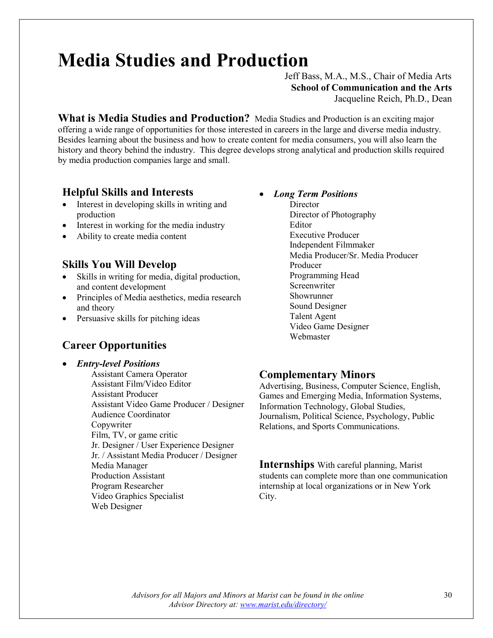# **Media Studies and Production**

Jeff Bass, M.A., M.S., Chair of Media Arts **School of Communication and the Arts** Jacqueline Reich, Ph.D., Dean

**What is Media Studies and Production?** Media Studies and Production is an exciting major offering a wide range of opportunities for those interested in careers in the large and diverse media industry. Besides learning about the business and how to create content for media consumers, you will also learn the history and theory behind the industry. This degree develops strong analytical and production skills required by media production companies large and small.

#### **Helpful Skills and Interests**

- Interest in developing skills in writing and production
- Interest in working for the media industry
- Ability to create media content

#### **Skills You Will Develop**

- Skills in writing for media, digital production, and content development
- Principles of Media aesthetics, media research and theory
- Persuasive skills for pitching ideas

#### **Career Opportunities**

• *Entry-level Positions* Assistant Camera Operator Assistant Film/Video Editor Assistant Producer Assistant Video Game Producer / Designer Audience Coordinator Copywriter Film, TV, or game critic Jr. Designer / User Experience Designer Jr. / Assistant Media Producer / Designer Media Manager Production Assistant Program Researcher

Video Graphics Specialist

Web Designer

- *Long Term Positions*
	- **Director** Director of Photography Editor Executive Producer Independent Filmmaker Media Producer/Sr. Media Producer Producer Programming Head Screenwriter Showrunner Sound Designer Talent Agent Video Game Designer Webmaster

#### **Complementary Minors**

Advertising, Business, Computer Science, English, Games and Emerging Media, Information Systems, Information Technology, Global Studies, Journalism, Political Science, Psychology, Public Relations, and Sports Communications.

**Internships** With careful planning, Marist students can complete more than one communication internship at local organizations or in New York City.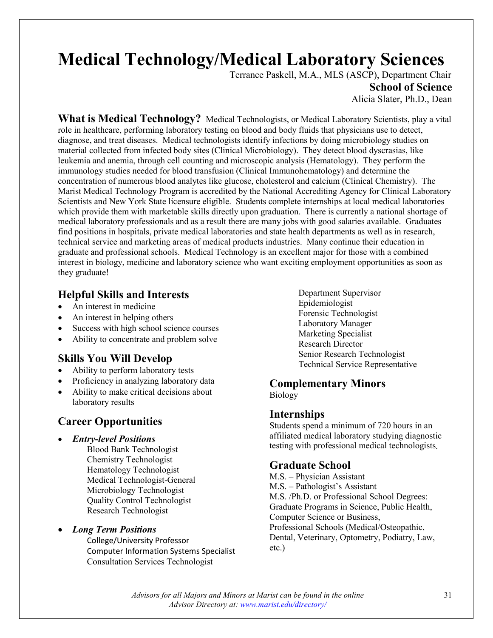# **Medical Technology/Medical Laboratory Sciences** Terrance Paskell, M.A., MLS (ASCP), Department Chair

**School of Science**

Alicia Slater, Ph.D., Dean

What is Medical Technology? Medical Technologists, or Medical Laboratory Scientists, play a vital role in healthcare, performing laboratory testing on blood and body fluids that physicians use to detect, diagnose, and treat diseases. Medical technologists identify infections by doing microbiology studies on material collected from infected body sites (Clinical Microbiology). They detect blood dyscrasias, like leukemia and anemia, through cell counting and microscopic analysis (Hematology). They perform the immunology studies needed for blood transfusion (Clinical Immunohematology) and determine the concentration of numerous blood analytes like glucose, cholesterol and calcium (Clinical Chemistry). The Marist Medical Technology Program is accredited by the National Accrediting Agency for Clinical Laboratory Scientists and New York State licensure eligible. Students complete internships at local medical laboratories which provide them with marketable skills directly upon graduation. There is currently a national shortage of medical laboratory professionals and as a result there are many jobs with good salaries available. Graduates find positions in hospitals, private medical laboratories and state health departments as well as in research, technical service and marketing areas of medical products industries. Many continue their education in graduate and professional schools. Medical Technology is an excellent major for those with a combined interest in biology, medicine and laboratory science who want exciting employment opportunities as soon as they graduate!

#### **Helpful Skills and Interests**

- An interest in medicine
- An interest in helping others
- Success with high school science courses
- Ability to concentrate and problem solve

#### **Skills You Will Develop**

- Ability to perform laboratory tests
- Proficiency in analyzing laboratory data
- Ability to make critical decisions about laboratory results

#### **Career Opportunities**

#### • *Entry-level Positions*

Blood Bank Technologist Chemistry Technologist Hematology Technologist Medical Technologist-General Microbiology Technologist Quality Control Technologist Research Technologist

#### • *Long Term Positions*

College/University Professor Computer Information Systems Specialist Consultation Services Technologist

Department Supervisor Epidemiologist Forensic Technologist Laboratory Manager Marketing Specialist Research Director Senior Research Technologist Technical Service Representative

### **Complementary Minors**

Biology

#### **Internships**

Students spend a minimum of 720 hours in an affiliated medical laboratory studying diagnostic testing with professional medical technologists.

#### **Graduate School**

M.S. – Physician Assistant M.S. – Pathologist's Assistant M.S. /Ph.D. or Professional School Degrees: Graduate Programs in Science, Public Health, Computer Science or Business, Professional Schools (Medical/Osteopathic, Dental, Veterinary, Optometry, Podiatry, Law, etc.)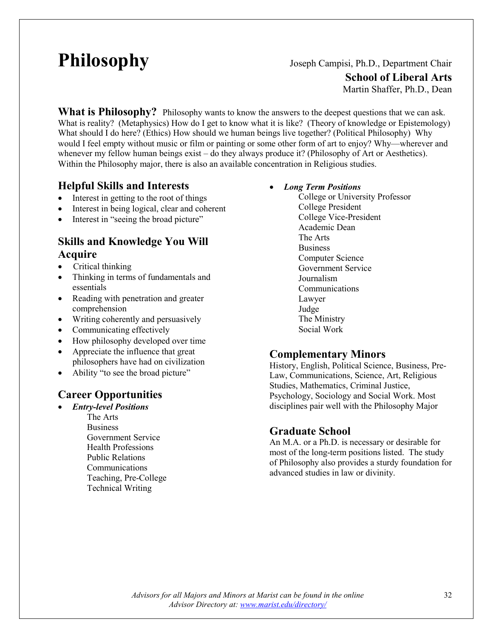**Philosophy** Joseph Campisi, Ph.D., Department Chair

**School of Liberal Arts**

Martin Shaffer, Ph.D., Dean

**What is Philosophy?** Philosophy wants to know the answers to the deepest questions that we can ask. What is reality? (Metaphysics) How do I get to know what it is like? (Theory of knowledge or Epistemology) What should I do here? (Ethics) How should we human beings live together? (Political Philosophy) Why would I feel empty without music or film or painting or some other form of art to enjoy? Why—wherever and whenever my fellow human beings exist – do they always produce it? (Philosophy of Art or Aesthetics). Within the Philosophy major, there is also an available concentration in Religious studies.

#### **Helpful Skills and Interests**

- Interest in getting to the root of things
- Interest in being logical, clear and coherent
- Interest in "seeing the broad picture"

#### **Skills and Knowledge You Will Acquire**

- Critical thinking
- Thinking in terms of fundamentals and essentials
- Reading with penetration and greater comprehension
- Writing coherently and persuasively
- Communicating effectively
- How philosophy developed over time
- Appreciate the influence that great philosophers have had on civilization
- Ability "to see the broad picture"

### **Career Opportunities**

• *Entry-level Positions* The Arts **Business** Government Service Health Professions Public Relations Communications Teaching, Pre-College Technical Writing

- *Long Term Positions*
	- College or University Professor College President College Vice-President Academic Dean The Arts Business Computer Science Government Service Journalism Communications Lawyer Judge The Ministry Social Work

#### **Complementary Minors**

History, English, Political Science, Business, Pre-Law, Communications, Science, Art, Religious Studies, Mathematics, Criminal Justice, Psychology, Sociology and Social Work. Most disciplines pair well with the Philosophy Major

#### **Graduate School**

An M.A. or a Ph.D. is necessary or desirable for most of the long-term positions listed. The study of Philosophy also provides a sturdy foundation for advanced studies in law or divinity.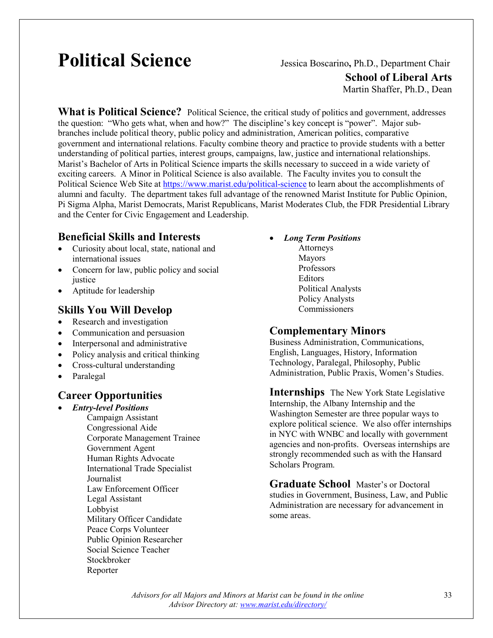# **Political Science** Jessica Boscarino**,** Ph.D., Department Chair

**School of Liberal Arts**

Martin Shaffer, Ph.D., Dean

**What is Political Science?** Political Science, the critical study of politics and government, addresses the question: "Who gets what, when and how?" The discipline's key concept is "power". Major subbranches include political theory, public policy and administration, American politics, comparative government and international relations. Faculty combine theory and practice to provide students with a better understanding of political parties, interest groups, campaigns, law, justice and international relationships. Marist's Bachelor of Arts in Political Science imparts the skills necessary to succeed in a wide variety of exciting careers. A Minor in Political Science is also available. The Faculty invites you to consult the Political Science Web Site at<https://www.marist.edu/political-science> to learn about the accomplishments of alumni and faculty. The department takes full advantage of the renowned Marist Institute for Public Opinion, Pi Sigma Alpha, Marist Democrats, Marist Republicans, Marist Moderates Club, the FDR Presidential Library and the Center for Civic Engagement and Leadership.

#### **Beneficial Skills and Interests**

- Curiosity about local, state, national and international issues
- Concern for law, public policy and social justice
- Aptitude for leadership

#### **Skills You Will Develop**

- Research and investigation
- Communication and persuasion
- Interpersonal and administrative
- Policy analysis and critical thinking
- Cross-cultural understanding
- Paralegal

#### **Career Opportunities**

• *Entry-level Positions* Campaign Assistant Congressional Aide Corporate Management Trainee Government Agent Human Rights Advocate International Trade Specialist Journalist Law Enforcement Officer Legal Assistant Lobbyist Military Officer Candidate Peace Corps Volunteer Public Opinion Researcher Social Science Teacher Stockbroker Reporter

- *Long Term Positions*
	- Attorneys Mayors Professors Editors Political Analysts Policy Analysts Commissioners

#### **Complementary Minors**

Business Administration, Communications, English, Languages, History, Information Technology, Paralegal, Philosophy, Public Administration, Public Praxis, Women's Studies.

**Internships** The New York State Legislative Internship, the Albany Internship and the Washington Semester are three popular ways to explore political science. We also offer internships in NYC with WNBC and locally with government agencies and non-profits. Overseas internships are strongly recommended such as with the Hansard Scholars Program.

**Graduate School** Master's or Doctoral studies in Government, Business, Law, and Public Administration are necessary for advancement in some areas.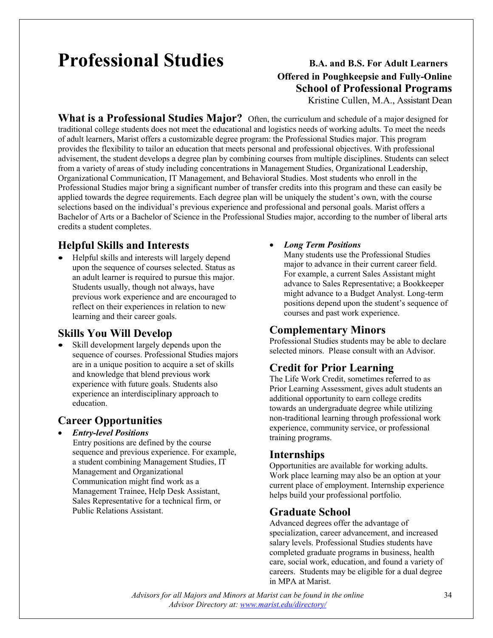# **Professional Studies** B.A. and B.S. For Adult Learners

## **Offered in Poughkeepsie and Fully-Online School of Professional Programs** Kristine Cullen, M.A., Assistant Dean

**What is a Professional Studies Major?** Often, the curriculum and schedule of a major designed for traditional college students does not meet the educational and logistics needs of working adults. To meet the needs of adult learners, Marist offers a customizable degree program: the Professional Studies major. This program provides the flexibility to tailor an education that meets personal and professional objectives. With professional advisement, the student develops a degree plan by combining courses from multiple disciplines. Students can select from a variety of areas of study including concentrations in Management Studies, Organizational Leadership, Organizational Communication, IT Management, and Behavioral Studies. Most students who enroll in the Professional Studies major bring a significant number of transfer credits into this program and these can easily be applied towards the degree requirements. Each degree plan will be uniquely the student's own, with the course selections based on the individual's previous experience and professional and personal goals. Marist offers a Bachelor of Arts or a Bachelor of Science in the Professional Studies major, according to the number of liberal arts credits a student completes.

### **Helpful Skills and Interests**

• Helpful skills and interests will largely depend upon the sequence of courses selected. Status as an adult learner is required to pursue this major. Students usually, though not always, have previous work experience and are encouraged to reflect on their experiences in relation to new learning and their career goals.

#### **Skills You Will Develop**

Skill development largely depends upon the sequence of courses. Professional Studies majors are in a unique position to acquire a set of skills and knowledge that blend previous work experience with future goals. Students also experience an interdisciplinary approach to education.

#### **Career Opportunities**

• *Entry-level Positions*

 Entry positions are defined by the course sequence and previous experience. For example, a student combining Management Studies, IT Management and Organizational Communication might find work as a Management Trainee, Help Desk Assistant, Sales Representative for a technical firm, or Public Relations Assistant.

#### • *Long Term Positions*

Many students use the Professional Studies major to advance in their current career field. For example, a current Sales Assistant might advance to Sales Representative; a Bookkeeper might advance to a Budget Analyst. Long-term positions depend upon the student's sequence of courses and past work experience.

#### **Complementary Minors**

Professional Studies students may be able to declare selected minors. Please consult with an Advisor.

### **Credit for Prior Learning**

The Life Work Credit, sometimes referred to as Prior Learning Assessment, gives adult students an additional opportunity to earn college credits towards an undergraduate degree while utilizing non-traditional learning through professional work experience, community service, or professional training programs.

#### **Internships**

Opportunities are available for working adults. Work place learning may also be an option at your current place of employment. Internship experience helps build your professional portfolio.

#### **Graduate School**

Advanced degrees offer the advantage of specialization, career advancement, and increased salary levels. Professional Studies students have completed graduate programs in business, health care, social work, education, and found a variety of careers. Students may be eligible for a dual degree in MPA at Marist.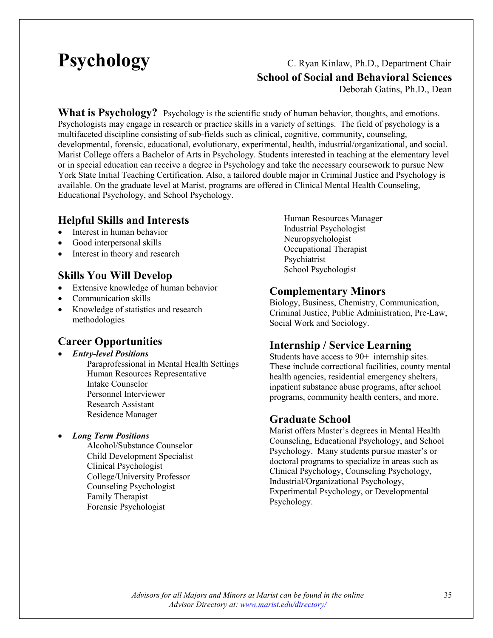## **Psychology** C. Ryan Kinlaw, Ph.D., Department Chair **School of Social and Behavioral Sciences**

Deborah Gatins, Ph.D., Dean

What is Psychology? Psychology is the scientific study of human behavior, thoughts, and emotions. Psychologists may engage in research or practice skills in a variety of settings. The field of psychology is a multifaceted discipline consisting of sub-fields such as clinical, cognitive, community, counseling, developmental, forensic, educational, evolutionary, experimental, health, industrial/organizational, and social. Marist College offers a Bachelor of Arts in Psychology. Students interested in teaching at the elementary level or in special education can receive a degree in Psychology and take the necessary coursework to pursue New York State Initial Teaching Certification. Also, a tailored double major in Criminal Justice and Psychology is available. On the graduate level at Marist, programs are offered in Clinical Mental Health Counseling, Educational Psychology, and School Psychology.

#### **Helpful Skills and Interests**

- Interest in human behavior
- Good interpersonal skills
- Interest in theory and research

#### **Skills You Will Develop**

- Extensive knowledge of human behavior
- Communication skills
- Knowledge of statistics and research methodologies

#### **Career Opportunities**

- *Entry-level Positions*
	- Paraprofessional in Mental Health Settings Human Resources Representative Intake Counselor Personnel Interviewer Research Assistant Residence Manager

#### • *Long Term Positions*

Alcohol/Substance Counselor Child Development Specialist Clinical Psychologist College/University Professor Counseling Psychologist Family Therapist Forensic Psychologist

Human Resources Manager Industrial Psychologist Neuropsychologist Occupational Therapist Psychiatrist School Psychologist

#### **Complementary Minors**

Biology, Business, Chemistry, Communication, Criminal Justice, Public Administration, Pre-Law, Social Work and Sociology.

### **Internship / Service Learning**

Students have access to 90+ internship sites. These include correctional facilities, county mental health agencies, residential emergency shelters, inpatient substance abuse programs, after school programs, community health centers, and more.

#### **Graduate School**

Marist offers Master's degrees in Mental Health Counseling, Educational Psychology, and School Psychology. Many students pursue master's or doctoral programs to specialize in areas such as Clinical Psychology, Counseling Psychology, Industrial/Organizational Psychology, Experimental Psychology, or Developmental Psychology.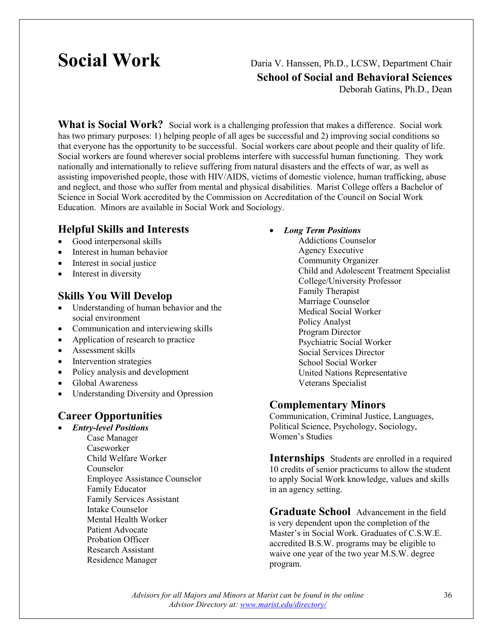## **Social Work** Daria V. Hanssen, Ph.D., LCSW, Department Chair **School of Social and Behavioral Sciences**

Deborah Gatins, Ph.D., Dean

**What is Social Work?** Social work is a challenging profession that makes a difference. Social work has two primary purposes: 1) helping people of all ages be successful and 2) improving social conditions so that everyone has the opportunity to be successful. Social workers care about people and their quality of life. Social workers are found wherever social problems interfere with successful human functioning. They work nationally and internationally to relieve suffering from natural disasters and the effects of war, as well as assisting impoverished people, those with HIV/AIDS, victims of domestic violence, human trafficking, abuse and neglect, and those who suffer from mental and physical disabilities. Marist College offers a Bachelor of Science in Social Work accredited by the Commission on Accreditation of the Council on Social Work Education. Minors are available in Social Work and Sociology.

#### **Helpful Skills and Interests**

- Good interpersonal skills
- Interest in human behavior
- Interest in social justice
- Interest in diversity

#### **Skills You Will Develop**

- Understanding of human behavior and the social environment
- Communication and interviewing skills
- Application of research to practice
- Assessment skills
- Intervention strategies
- Policy analysis and development
- Global Awareness
- Understanding Diversity and Opression

#### **Career Opportunities**

- *Entry-level Positions*
	- Case Manager Caseworker Child Welfare Worker Counselor Employee Assistance Counselor Family Educator Family Services Assistant Intake Counselor Mental Health Worker Patient Advocate Probation Officer Research Assistant Residence Manager

#### • *Long Term Positions*

Addictions Counselor Agency Executive Community Organizer Child and Adolescent Treatment Specialist College/University Professor Family Therapist Marriage Counselor Medical Social Worker Policy Analyst Program Director Psychiatric Social Worker Social Services Director School Social Worker United Nations Representative Veterans Specialist

#### **Complementary Minors**

Communication, Criminal Justice, Languages, Political Science, Psychology, Sociology, Women's Studies

**Internships** Students are enrolled in a required 10 credits of senior practicums to allow the student to apply Social Work knowledge, values and skills in an agency setting.

**Graduate School** Advancement in the field is very dependent upon the completion of the Master's in Social Work. Graduates of C.S.W.E. accredited B.S.W. programs may be eligible to waive one year of the two year M.S.W. degree program.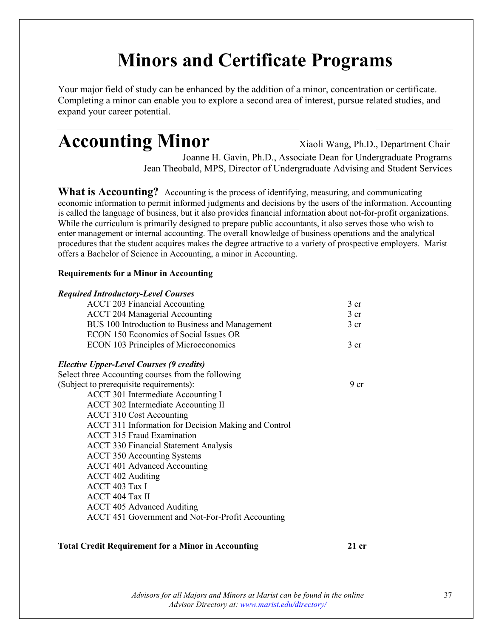### **Minors and Certificate Programs**

Your major field of study can be enhanced by the addition of a minor, concentration or certificate. Completing a minor can enable you to explore a second area of interest, pursue related studies, and expand your career potential.

### Accounting Minor Xiaoli Wang, Ph.D., Department Chair

Joanne H. Gavin, Ph.D., Associate Dean for Undergraduate Programs Jean Theobald, MPS, Director of Undergraduate Advising and Student Services

**What is Accounting?** Accounting is the process of identifying, measuring, and communicating economic information to permit informed judgments and decisions by the users of the information. Accounting is called the language of business, but it also provides financial information about not-for-profit organizations. While the curriculum is primarily designed to prepare public accountants, it also serves those who wish to enter management or internal accounting. The overall knowledge of business operations and the analytical procedures that the student acquires makes the degree attractive to a variety of prospective employers. Marist offers a Bachelor of Science in Accounting, a minor in Accounting.

### **Requirements for a Minor in Accounting**

| <b>Required Introductory-Level Courses</b>           |                 |
|------------------------------------------------------|-----------------|
| <b>ACCT 203 Financial Accounting</b>                 | 3 <sub>cr</sub> |
| <b>ACCT 204 Managerial Accounting</b>                | 3 <sub>cr</sub> |
| BUS 100 Introduction to Business and Management      | 3 <sub>cr</sub> |
| ECON 150 Economics of Social Issues OR               |                 |
| <b>ECON 103 Principles of Microeconomics</b>         | 3 <sub>cr</sub> |
| <b>Elective Upper-Level Courses (9 credits)</b>      |                 |
| Select three Accounting courses from the following   |                 |
| (Subject to prerequisite requirements):              | 9 <sub>cr</sub> |
| ACCT 301 Intermediate Accounting I                   |                 |
| ACCT 302 Intermediate Accounting II                  |                 |
| <b>ACCT 310 Cost Accounting</b>                      |                 |
| ACCT 311 Information for Decision Making and Control |                 |
| <b>ACCT 315 Fraud Examination</b>                    |                 |
| <b>ACCT 330 Financial Statement Analysis</b>         |                 |
| <b>ACCT 350 Accounting Systems</b>                   |                 |
| <b>ACCT 401 Advanced Accounting</b>                  |                 |
| <b>ACCT 402 Auditing</b>                             |                 |
| ACCT 403 Tax I                                       |                 |
| ACCT 404 Tax II                                      |                 |
| <b>ACCT 405 Advanced Auditing</b>                    |                 |
| ACCT 451 Government and Not-For-Profit Accounting    |                 |
|                                                      |                 |

### **Total Credit Requirement for a Minor in Accounting 21 cr**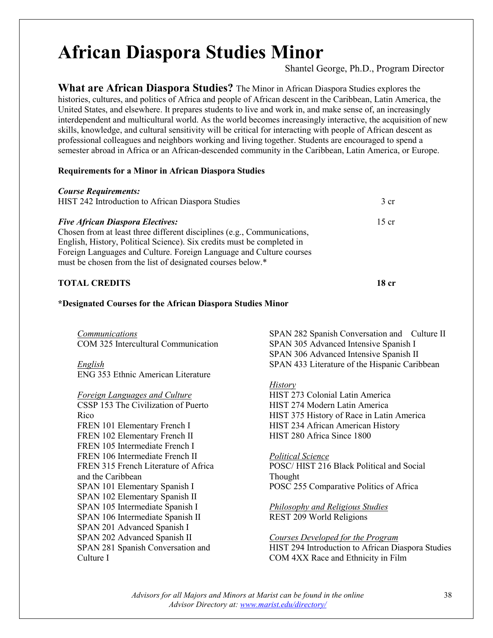### **African Diaspora Studies Minor**

Shantel George, Ph.D., Program Director

**What are African Diaspora Studies?** The Minor in African Diaspora Studies explores the histories, cultures, and politics of Africa and people of African descent in the Caribbean, Latin America, the United States, and elsewhere. It prepares students to live and work in, and make sense of, an increasingly interdependent and multicultural world. As the world becomes increasingly interactive, the acquisition of new skills, knowledge, and cultural sensitivity will be critical for interacting with people of African descent as professional colleagues and neighbors working and living together. Students are encouraged to spend a semester abroad in Africa or an African-descended community in the Caribbean, Latin America, or Europe.

### **Requirements for a Minor in African Diaspora Studies**

| <b>Course Requirements:</b>                                             |                 |
|-------------------------------------------------------------------------|-----------------|
| HIST 242 Introduction to African Diaspora Studies                       | 3 <sub>cr</sub> |
| <b>Five African Diaspora Electives:</b>                                 | $15$ cr         |
| Chosen from at least three different disciplines (e.g., Communications, |                 |
| English, History, Political Science). Six credits must be completed in  |                 |
| Foreign Languages and Culture. Foreign Language and Culture courses     |                 |
| must be chosen from the list of designated courses below.*              |                 |
| <b>TOTAL CREDITS</b>                                                    |                 |

### **\*Designated Courses for the African Diaspora Studies Minor**

*Communications* COM 325 Intercultural Communication

*English* ENG 353 Ethnic American Literature

*Foreign Languages and Culture*

CSSP 153 The Civilization of Puerto Rico FREN 101 Elementary French I FREN 102 Elementary French II FREN 105 Intermediate French I FREN 106 Intermediate French II FREN 315 French Literature of Africa and the Caribbean SPAN 101 Elementary Spanish I SPAN 102 Elementary Spanish II SPAN 105 Intermediate Spanish I SPAN 106 Intermediate Spanish II SPAN 201 Advanced Spanish I SPAN 202 Advanced Spanish II SPAN 281 Spanish Conversation and Culture I

SPAN 282 Spanish Conversation and Culture II SPAN 305 Advanced Intensive Spanish I SPAN 306 Advanced Intensive Spanish II SPAN 433 Literature of the Hispanic Caribbean

### *History*

HIST 273 Colonial Latin America HIST 274 Modern Latin America HIST 375 History of Race in Latin America HIST 234 African American History HIST 280 Africa Since 1800

*Political Science* POSC/ HIST 216 Black Political and Social Thought POSC 255 Comparative Politics of Africa

*Philosophy and Religious Studies* REST 209 World Religions

*Courses Developed for the Program* HIST 294 Introduction to African Diaspora Studies COM 4XX Race and Ethnicity in Film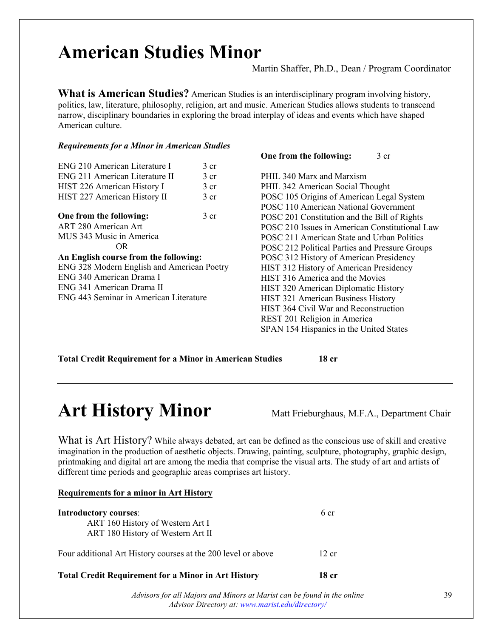## American Studies Minor Martin Shaffer, Ph.D., Dean / Program Coordinator

**What is American Studies?** American Studies is an interdisciplinary program involving history, politics, law, literature, philosophy, religion, art and music. American Studies allows students to transcend narrow, disciplinary boundaries in exploring the broad interplay of ideas and events which have shaped American culture.

### *Requirements for a Minor in American Studies*

| <b>ENG 210 American Literature I</b>       | $\frac{3}{5}$ cr |
|--------------------------------------------|------------------|
| ENG 211 American Literature II             | 3 <sub>cr</sub>  |
| HIST 226 American History I                | 3 <sub>cr</sub>  |
| HIST 227 American History II               | 3 <sub>cr</sub>  |
| One from the following:                    | 3 <sub>cr</sub>  |
| ART 280 American Art                       |                  |
| MUS 343 Music in America                   |                  |
| OR.                                        |                  |
| An English course from the following:      |                  |
| ENG 328 Modern English and American Poetry |                  |
| ENG 340 American Drama I                   |                  |
| ENG 341 American Drama II                  |                  |
| ENG 443 Seminar in American Literature     |                  |
|                                            |                  |

**One from the following:** 3 cr

PHIL 340 Marx and Marxism PHIL 342 American Social Thought POSC 105 Origins of American Legal System POSC 110 American National Government POSC 201 Constitution and the Bill of Rights POSC 210 Issues in American Constitutional Law POSC 211 American State and Urban Politics POSC 212 Political Parties and Pressure Groups POSC 312 History of American Presidency HIST 312 History of American Presidency HIST 316 America and the Movies HIST 320 American Diplomatic History HIST 321 American Business History HIST 364 Civil War and Reconstruction REST 201 Religion in America SPAN 154 Hispanics in the United States

### **Total Credit Requirement for a Minor in American Studies 18 cr**

### **Art History Minor** Matt Frieburghaus, M.F.A., Department Chair

**Requirements for a minor in Art History**

What is Art History? While always debated, art can be defined as the conscious use of skill and creative imagination in the production of aesthetic objects. Drawing, painting, sculpture, photography, graphic design, printmaking and digital art are among the media that comprise the visual arts. The study of art and artists of different time periods and geographic areas comprises art history.

| <b>Total Credit Requirement for a Minor in Art History</b>    | 18 cr |  |
|---------------------------------------------------------------|-------|--|
| Four additional Art History courses at the 200 level or above | 12 cr |  |
| ART 180 History of Western Art II                             |       |  |
| ART 160 History of Western Art I                              |       |  |
| <b>Introductory courses:</b>                                  | 6 cr  |  |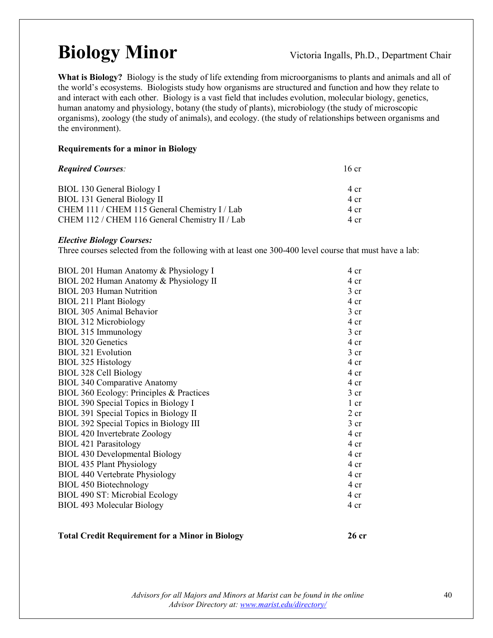### **Biology Minor** Victoria Ingalls, Ph.D., Department Chair

**What is Biology?** Biology is the study of life extending from microorganisms to plants and animals and all of the world's ecosystems. Biologists study how organisms are structured and function and how they relate to and interact with each other. Biology is a vast field that includes evolution, molecular biology, genetics, human anatomy and physiology, botany (the study of plants), microbiology (the study of microscopic organisms), zoology (the study of animals), and ecology. (the study of relationships between organisms and the environment).

### **Requirements for a minor in Biology**

| <b>Required Courses:</b>                       | $16$ cr |  |
|------------------------------------------------|---------|--|
| BIOL 130 General Biology I                     | 4 cr    |  |
| BIOL 131 General Biology II                    | 4 cr    |  |
| CHEM 111 / CHEM 115 General Chemistry I / Lab  | 4 cr    |  |
| CHEM 112 / CHEM 116 General Chemistry II / Lab | 4 cr    |  |

#### *Elective Biology Courses:*

Three courses selected from the following with at least one 300-400 level course that must have a lab:

| BIOL 201 Human Anatomy & Physiology I    | 4 cr            |
|------------------------------------------|-----------------|
| BIOL 202 Human Anatomy & Physiology II   | 4 cr            |
| <b>BIOL 203 Human Nutrition</b>          | $3$ cr          |
| <b>BIOL 211 Plant Biology</b>            | 4 cr            |
| <b>BIOL 305 Animal Behavior</b>          | 3 <sub>cr</sub> |
| BIOL 312 Microbiology                    | 4 cr            |
| BIOL 315 Immunology                      | 3 <sub>cr</sub> |
| <b>BIOL 320 Genetics</b>                 | 4 cr            |
| <b>BIOL 321 Evolution</b>                | 3 <sub>cr</sub> |
| BIOL 325 Histology                       | 4 cr            |
| <b>BIOL 328 Cell Biology</b>             | 4 cr            |
| <b>BIOL 340 Comparative Anatomy</b>      | 4 cr            |
| BIOL 360 Ecology: Principles & Practices | $3$ cr          |
| BIOL 390 Special Topics in Biology I     | 1 cr            |
| BIOL 391 Special Topics in Biology II    | $2$ cr          |
| BIOL 392 Special Topics in Biology III   | $3$ cr          |
| BIOL 420 Invertebrate Zoology            | 4 cr            |
| <b>BIOL 421 Parasitology</b>             | 4 cr            |
| <b>BIOL 430 Developmental Biology</b>    | 4 cr            |
| <b>BIOL 435 Plant Physiology</b>         | 4 cr            |
| <b>BIOL 440 Vertebrate Physiology</b>    | 4 cr            |
| <b>BIOL 450 Biotechnology</b>            | 4 cr            |
| BIOL 490 ST: Microbial Ecology           | 4 cr            |
| <b>BIOL 493 Molecular Biology</b>        | 4 cr            |
|                                          |                 |

#### **Total Credit Requirement for a Minor in Biology 26 cr**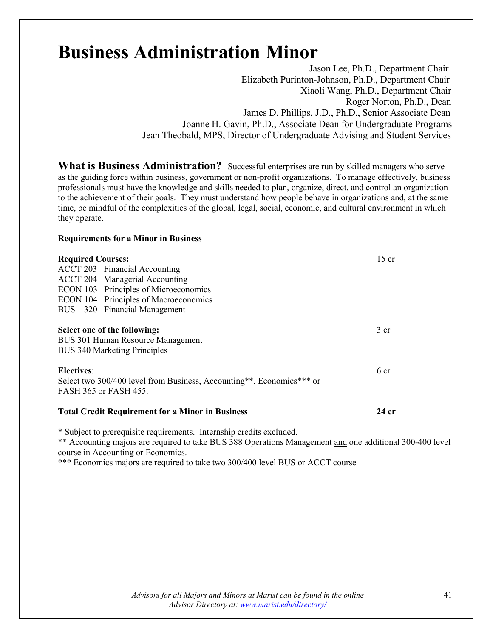### **Business Administration Minor**

Jason Lee, Ph.D., Department Chair Elizabeth Purinton-Johnson, Ph.D., Department Chair Xiaoli Wang, Ph.D., Department Chair Roger Norton, Ph.D., Dean James D. Phillips, J.D., Ph.D., Senior Associate Dean Joanne H. Gavin, Ph.D., Associate Dean for Undergraduate Programs Jean Theobald, MPS, Director of Undergraduate Advising and Student Services

**What is Business Administration?** Successful enterprises are run by skilled managers who serve as the guiding force within business, government or non-profit organizations. To manage effectively, business professionals must have the knowledge and skills needed to plan, organize, direct, and control an organization to the achievement of their goals. They must understand how people behave in organizations and, at the same time, be mindful of the complexities of the global, legal, social, economic, and cultural environment in which they operate.

#### **Requirements for a Minor in Business**

| <b>Required Courses:</b>                                              | $15$ cr         |
|-----------------------------------------------------------------------|-----------------|
| <b>ACCT 203</b> Financial Accounting                                  |                 |
| <b>ACCT 204</b> Managerial Accounting                                 |                 |
| ECON 103 Principles of Microeconomics                                 |                 |
| ECON 104 Principles of Macroeconomics                                 |                 |
| BUS 320 Financial Management                                          |                 |
| Select one of the following:                                          | 3 <sub>cr</sub> |
| BUS 301 Human Resource Management                                     |                 |
| <b>BUS 340 Marketing Principles</b>                                   |                 |
| <b>Electives:</b>                                                     | 6 cr            |
| Select two 300/400 level from Business, Accounting**, Economics*** or |                 |
| FASH 365 or FASH 455.                                                 |                 |
| <b>Total Credit Requirement for a Minor in Business</b>               | 24 cr           |

\* Subject to prerequisite requirements. Internship credits excluded.

\*\* Accounting majors are required to take BUS 388 Operations Management and one additional 300-400 level course in Accounting or Economics.

\*\*\* Economics majors are required to take two 300/400 level BUS or ACCT course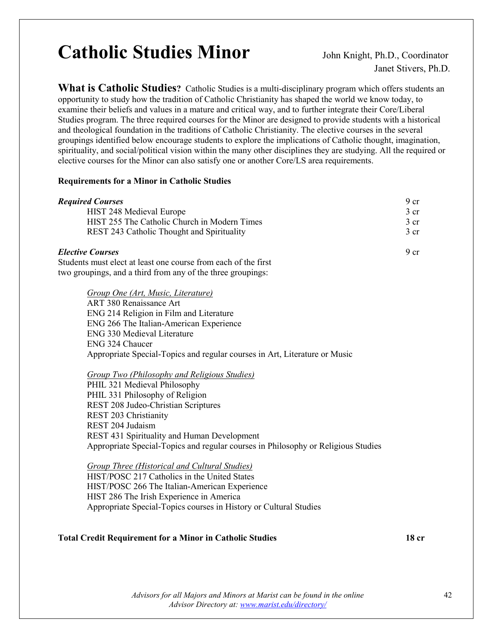### Catholic Studies Minor **John Knight, Ph.D., Coordinator**

Janet Stivers, Ph.D.

**What is Catholic Studies?** Catholic Studies is a multi-disciplinary program which offers students an opportunity to study how the tradition of Catholic Christianity has shaped the world we know today, to examine their beliefs and values in a mature and critical way, and to further integrate their Core/Liberal Studies program. The three required courses for the Minor are designed to provide students with a historical and theological foundation in the traditions of Catholic Christianity. The elective courses in the several groupings identified below encourage students to explore the implications of Catholic thought, imagination, spirituality, and social/political vision within the many other disciplines they are studying. All the required or elective courses for the Minor can also satisfy one or another Core/LS area requirements.

#### **Requirements for a Minor in Catholic Studies**

| <b>Required Courses</b>                                                    | 9 cr |
|----------------------------------------------------------------------------|------|
| HIST 248 Medieval Europe                                                   | 3 cr |
| HIST 255 The Catholic Church in Modern Times                               | 3 cr |
| REST 243 Catholic Thought and Spirituality                                 | 3 cr |
| <b>Elective Courses</b>                                                    | 9 cr |
| Students must elect at least one course from each of the first             |      |
| two groupings, and a third from any of the three groupings:                |      |
| Group One (Art, Music, Literature)                                         |      |
| ART 380 Renaissance Art                                                    |      |
| ENG 214 Religion in Film and Literature                                    |      |
| ENG 266 The Italian-American Experience                                    |      |
| <b>ENG 330 Medieval Literature</b>                                         |      |
| ENG 324 Chaucer                                                            |      |
| Appropriate Special-Topics and regular courses in Art, Literature or Music |      |
| <b>Group Two (Philosophy and Religious Studies)</b>                        |      |

PHIL 321 Medieval Philosophy PHIL 331 Philosophy of Religion REST 208 Judeo-Christian Scriptures REST 203 Christianity REST 204 Judaism REST 431 Spirituality and Human Development Appropriate Special-Topics and regular courses in Philosophy or Religious Studies

*Group Three (Historical and Cultural Studies)* HIST/POSC 217 Catholics in the United States HIST/POSC 266 The Italian-American Experience HIST 286 The Irish Experience in America Appropriate Special-Topics courses in History or Cultural Studies

### **Total Credit Requirement for a Minor in Catholic Studies 18 cr**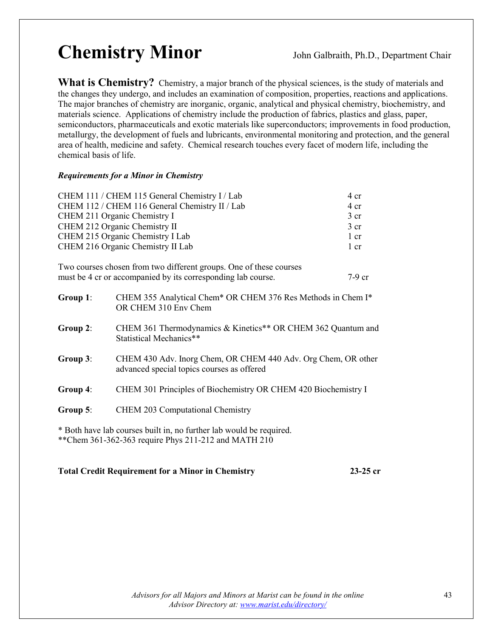## Chemistry Minor John Galbraith, Ph.D., Department Chair

What is Chemistry? Chemistry, a major branch of the physical sciences, is the study of materials and the changes they undergo, and includes an examination of composition, properties, reactions and applications. The major branches of chemistry are inorganic, organic, analytical and physical chemistry, biochemistry, and materials science. Applications of chemistry include the production of fabrics, plastics and glass, paper, semiconductors, pharmaceuticals and exotic materials like superconductors; improvements in food production, metallurgy, the development of fuels and lubricants, environmental monitoring and protection, and the general area of health, medicine and safety. Chemical research touches every facet of modern life, including the chemical basis of life.

### *Requirements for a Minor in Chemistry*

| CHEM 111 / CHEM 115 General Chemistry I / Lab  | 4 cr            |
|------------------------------------------------|-----------------|
| CHEM 112 / CHEM 116 General Chemistry II / Lab | $4 \text{ cr}$  |
| CHEM 211 Organic Chemistry I                   | 3 <sub>cr</sub> |
| CHEM 212 Organic Chemistry II                  | 3 <sub>cr</sub> |
| CHEM 215 Organic Chemistry I Lab               | $1 \text{ cr}$  |
| CHEM 216 Organic Chemistry II Lab              | $1$ cr          |

| Two courses chosen from two different groups. One of these courses |        |
|--------------------------------------------------------------------|--------|
| must be 4 cr or accompanied by its corresponding lab course.       | 7-9 cr |

| Group 1: | CHEM 355 Analytical Chem* OR CHEM 376 Res Methods in Chem I*<br>OR CHEM 310 Env Chem                        |
|----------|-------------------------------------------------------------------------------------------------------------|
| Group 2: | CHEM 361 Thermodynamics & Kinetics** OR CHEM 362 Quantum and<br>Statistical Mechanics**                     |
| Group 3: | CHEM 430 Adv. Inorg Chem, OR CHEM 440 Adv. Org Chem, OR other<br>advanced special topics courses as offered |
| Group 4: | CHEM 301 Principles of Biochemistry OR CHEM 420 Biochemistry I                                              |
| Group 5: | <b>CHEM 203 Computational Chemistry</b>                                                                     |
|          | * Both have lab courses built in, no further lab would be required.                                         |

\*\*Chem 361-362-363 require Phys 211-212 and MATH 210

### **Total Credit Requirement for a Minor in Chemistry 23-25 cr**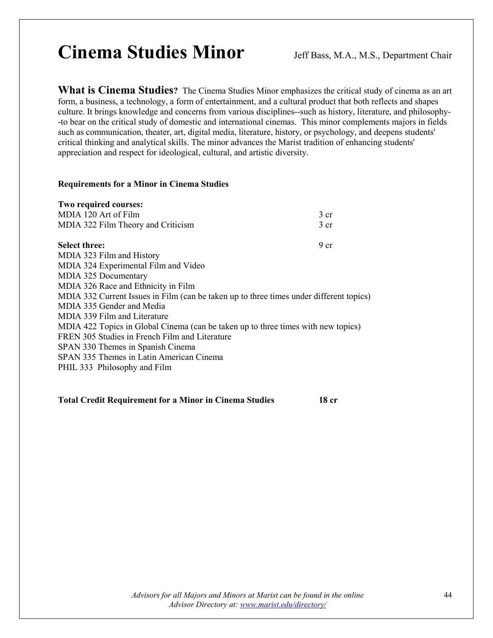### Cinema Studies Minor Jeff Bass, M.A., M.S., Department Chair

**What is Cinema Studies?** The Cinema Studies Minor emphasizes the critical study of cinema as an art form, a business, a technology, a form of entertainment, and a cultural product that both reflects and shapes culture. It brings knowledge and concerns from various disciplines--such as history, literature, and philosophy- -to bear on the critical study of domestic and international cinemas. This minor complements majors in fields such as communication, theater, art, digital media, literature, history, or psychology, and deepens students' critical thinking and analytical skills. The minor advances the Marist tradition of enhancing students' appreciation and respect for ideological, cultural, and artistic diversity.

#### **Requirements for a Minor in Cinema Studies**

| Two required courses:                                                                   |                 |
|-----------------------------------------------------------------------------------------|-----------------|
| MDIA 120 Art of Film                                                                    | 3 cr            |
| MDIA 322 Film Theory and Criticism                                                      | 3 <sub>cr</sub> |
| <b>Select three:</b>                                                                    | 9 <sub>cr</sub> |
| MDIA 323 Film and History                                                               |                 |
| MDIA 324 Experimental Film and Video                                                    |                 |
| MDIA 325 Documentary                                                                    |                 |
| MDIA 326 Race and Ethnicity in Film                                                     |                 |
| MDIA 332 Current Issues in Film (can be taken up to three times under different topics) |                 |
| MDIA 335 Gender and Media                                                               |                 |
| MDIA 339 Film and Literature                                                            |                 |
| MDIA 422 Topics in Global Cinema (can be taken up to three times with new topics)       |                 |
| FREN 305 Studies in French Film and Literature                                          |                 |
| SPAN 330 Themes in Spanish Cinema                                                       |                 |
| SPAN 335 Themes in Latin American Cinema                                                |                 |
| PHIL 333 Philosophy and Film                                                            |                 |
|                                                                                         |                 |

**Total Credit Requirement for a Minor in Cinema Studies 18 cr**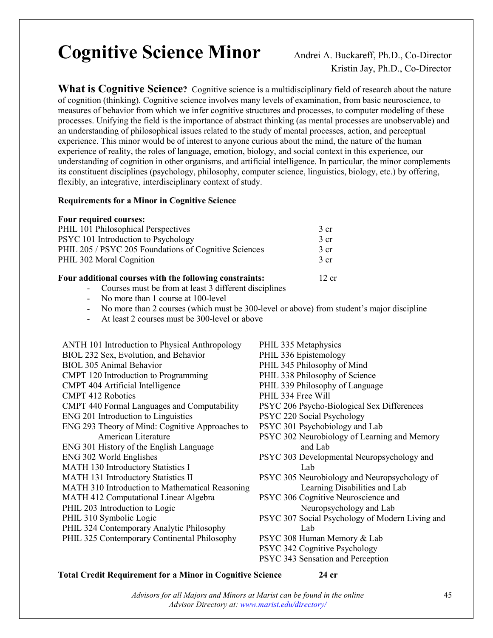### **Cognitive Science Minor** Andrei A. Buckareff, Ph.D., Co-Director

Kristin Jay, Ph.D., Co-Director

**What is Cognitive Science?** Cognitive science is a multidisciplinary field of research about the nature of cognition (thinking). Cognitive science involves many levels of examination, from basic neuroscience, to measures of behavior from which we infer cognitive structures and processes, to computer modeling of these processes. Unifying the field is the importance of abstract thinking (as mental processes are unobservable) and an understanding of philosophical issues related to the study of mental processes, action, and perceptual experience. This minor would be of interest to anyone curious about the mind, the nature of the human experience of reality, the roles of language, emotion, biology, and social context in this experience, our understanding of cognition in other organisms, and artificial intelligence. In particular, the minor complements its constituent disciplines (psychology, philosophy, computer science, linguistics, biology, etc.) by offering, flexibly, an integrative, interdisciplinary context of study.

#### **Requirements for a Minor in Cognitive Science**

#### **Four required courses:**

| Four additional courses with the following constraints: | 12 cr            |
|---------------------------------------------------------|------------------|
| PHIL 302 Moral Cognition                                | $\frac{3}{5}$ cr |
| PHIL 205 / PSYC 205 Foundations of Cognitive Sciences   | 3 <sub>cr</sub>  |
| PSYC 101 Introduction to Psychology                     | 3 <sub>cr</sub>  |
| PHIL 101 Philosophical Perspectives                     | 3 cr             |

- Courses must be from at least 3 different disciplines
- No more than 1 course at 100-level
- No more than 2 courses (which must be 300-level or above) from student's major discipline
- At least 2 courses must be 300-level or above
- ANTH 101 Introduction to Physical Anthropology BIOL 232 Sex, Evolution, and Behavior BIOL 305 Animal Behavior CMPT 120 Introduction to Programming CMPT 404 Artificial Intelligence CMPT 412 Robotics CMPT 440 Formal Languages and Computability ENG 201 Introduction to Linguistics ENG 293 Theory of Mind: Cognitive Approaches to American Literature ENG 301 History of the English Language ENG 302 World Englishes MATH 130 Introductory Statistics I MATH 131 Introductory Statistics II MATH 310 Introduction to Mathematical Reasoning MATH 412 Computational Linear Algebra PHIL 203 Introduction to Logic PHIL 310 Symbolic Logic PHIL 324 Contemporary Analytic Philosophy PHIL 325 Contemporary Continental Philosophy PHIL 335 Metaphysics PHIL 336 Epistemology PHIL 345 Philosophy of Mind PHIL 338 Philosophy of Science PHIL 339 Philosophy of Language PHIL 334 Free Will PSYC 206 Psycho-Biological Sex Differences PSYC 220 Social Psychology PSYC 301 Psychobiology and Lab PSYC 302 Neurobiology of Learning and Memory and Lab PSYC 303 Developmental Neuropsychology and Lab PSYC 305 Neurobiology and Neuropsychology of Learning Disabilities and Lab PSYC 306 Cognitive Neuroscience and Neuropsychology and Lab PSYC 307 Social Psychology of Modern Living and Lab PSYC 308 Human Memory & Lab PSYC 342 Cognitive Psychology PSYC 343 Sensation and Perception

#### **Total Credit Requirement for a Minor in Cognitive Science 24 cr**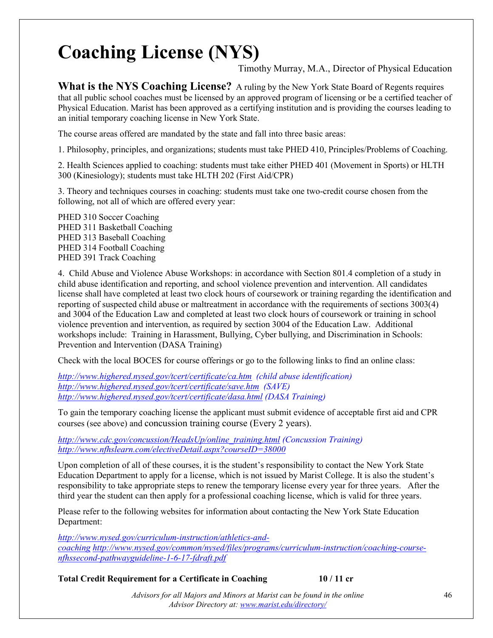### **Coaching License (NYS)**

Timothy Murray, M.A., Director of Physical Education

**What is the NYS Coaching License?** A ruling by the New York State Board of Regents requires that all public school coaches must be licensed by an approved program of licensing or be a certified teacher of Physical Education. Marist has been approved as a certifying institution and is providing the courses leading to an initial temporary coaching license in New York State.

The course areas offered are mandated by the state and fall into three basic areas:

1. Philosophy, principles, and organizations; students must take PHED 410, Principles/Problems of Coaching.

2. Health Sciences applied to coaching: students must take either PHED 401 (Movement in Sports) or HLTH 300 (Kinesiology); students must take HLTH 202 (First Aid/CPR)

3. Theory and techniques courses in coaching: students must take one two-credit course chosen from the following, not all of which are offered every year:

PHED 310 Soccer Coaching PHED 311 Basketball Coaching PHED 313 Baseball Coaching PHED 314 Football Coaching PHED 391 Track Coaching

4. Child Abuse and Violence Abuse Workshops: in accordance with Section 801.4 completion of a study in child abuse identification and reporting, and school violence prevention and intervention. All candidates license shall have completed at least two clock hours of coursework or training regarding the identification and reporting of suspected child abuse or maltreatment in accordance with the requirements of sections 3003(4) and 3004 of the Education Law and completed at least two clock hours of coursework or training in school violence prevention and intervention, as required by section 3004 of the Education Law. Additional workshops include: Training in Harassment, Bullying, Cyber bullying, and Discrimination in Schools: Prevention and Intervention (DASA Training)

Check with the local BOCES for course offerings or go to the following links to find an online class:

*<http://www.highered.nysed.gov/tcert/certificate/ca.htm> (child abuse identification) <http://www.highered.nysed.gov/tcert/certificate/save.htm> (SAVE) <http://www.highered.nysed.gov/tcert/certificate/dasa.html> (DASA Training)*

To gain the temporary coaching license the applicant must submit evidence of acceptable first aid and CPR courses (see above) and concussion training course (Every 2 years).

*[http://www.cdc.gov/concussion/HeadsUp/online\\_training.html](http://www.cdc.gov/concussion/HeadsUp/online_training.html) (Concussion Training) [http://www.nfhslearn.com/electiveDetail.aspx?courseID=38000](http://www.nfhslearn.com/electiveDetail.aspx?courseID=38000%20)*

Upon completion of all of these courses, it is the student's responsibility to contact the New York State Education Department to apply for a license, which is not issued by Marist College. It is also the student's responsibility to take appropriate steps to renew the temporary license every year for three years. After the third year the student can then apply for a professional coaching license, which is valid for three years.

Please refer to the following websites for information about contacting the New York State Education Department:

*[http://www.nysed.gov/curriculum-instruction/athletics-and](http://www.nysed.gov/curriculum-instruction/athletics-and-coaching)[coaching](http://www.nysed.gov/curriculum-instruction/athletics-and-coaching) [http://www.nysed.gov/common/nysed/files/programs/curriculum-instruction/coaching-course](http://www.nysed.gov/common/nysed/files/programs/curriculum-instruction/coaching-course-nfhssecond-pathwayguideline-1-6-17-fdraft.pdf)[nfhssecond-pathwayguideline-1-6-17-fdraft.pdf](http://www.nysed.gov/common/nysed/files/programs/curriculum-instruction/coaching-course-nfhssecond-pathwayguideline-1-6-17-fdraft.pdf)*

**Total Credit Requirement for a Certificate in Coaching 10 / 11 cr**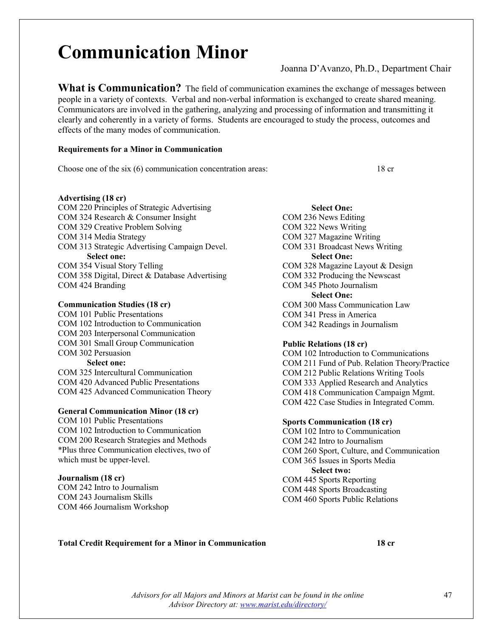### **Communication Minor**

Joanna D'Avanzo, Ph.D., Department Chair

**What is Communication?** The field of communication examines the exchange of messages between people in a variety of contexts. Verbal and non-verbal information is exchanged to create shared meaning. Communicators are involved in the gathering, analyzing and processing of information and transmitting it clearly and coherently in a variety of forms. Students are encouraged to study the process, outcomes and effects of the many modes of communication.

#### **Requirements for a Minor in Communication**

Choose one of the six (6) communication concentration areas: 18 cr

**Advertising (18 cr)**

COM 220 Principles of Strategic Advertising COM 324 Research & Consumer Insight COM 329 Creative Problem Solving COM 314 Media Strategy COM 313 Strategic Advertising Campaign Devel. **Select one:** COM 354 Visual Story Telling COM 358 Digital, Direct & Database Advertising COM 424 Branding

**Communication Studies (18 cr)** COM 101 Public Presentations COM 102 Introduction to Communication COM 203 Interpersonal Communication COM 301 Small Group Communication COM 302 Persuasion **Select one:** COM 325 Intercultural Communication COM 420 Advanced Public Presentations COM 425 Advanced Communication Theory

#### **General Communication Minor (18 cr)**

COM 101 Public Presentations COM 102 Introduction to Communication COM 200 Research Strategies and Methods \*Plus three Communication electives, two of which must be upper-level.

#### **Journalism (18 cr)**

COM 242 Intro to Journalism COM 243 Journalism Skills COM 466 Journalism Workshop

**Select One:** COM 236 News Editing COM 322 News Writing COM 327 Magazine Writing COM 331 Broadcast News Writing **Select One:** COM 328 Magazine Layout & Design COM 332 Producing the Newscast COM 345 Photo Journalism **Select One:** COM 300 Mass Communication Law COM 341 Press in America COM 342 Readings in Journalism

#### **Public Relations (18 cr)**

COM 102 Introduction to Communications COM 211 Fund of Pub. Relation Theory/Practice COM 212 Public Relations Writing Tools COM 333 Applied Research and Analytics COM 418 Communication Campaign Mgmt. COM 422 Case Studies in Integrated Comm.

#### **Sports Communication (18 cr)**

COM 102 Intro to Communication COM 242 Intro to Journalism COM 260 Sport, Culture, and Communication COM 365 Issues in Sports Media **Select two:** COM 445 Sports Reporting COM 448 Sports Broadcasting COM 460 Sports Public Relations

#### **Total Credit Requirement for a Minor in Communication 18 cr**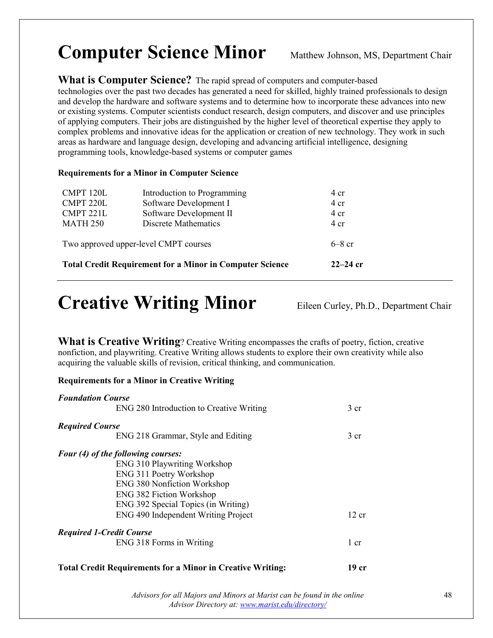### **Computer Science Minor** Matthew Johnson, MS, Department Chair

### **What is Computer Science?** The rapid spread of computers and computer-based

technologies over the past two decades has generated a need for skilled, highly trained professionals to design and develop the hardware and software systems and to determine how to incorporate these advances into new or existing systems. Computer scientists conduct research, design computers, and discover and use principles of applying computers. Their jobs are distinguished by the higher level of theoretical expertise they apply to complex problems and innovative ideas for the application or creation of new technology. They work in such areas as hardware and language design, developing and advancing artificial intelligence, designing programming tools, knowledge-based systems or computer games

### **Requirements for a Minor in Computer Science**

|                 | <b>Total Credit Requirement for a Minor in Computer Science</b> | $22 - 24$ cr |
|-----------------|-----------------------------------------------------------------|--------------|
|                 | Two approved upper-level CMPT courses                           | $6-8$ cr     |
| <b>MATH 250</b> | Discrete Mathematics                                            | 4 cr         |
| CMPT 221L       | Software Development II                                         | 4 cr         |
| CMPT 220L       | Software Development I                                          | 4 cr         |
| CMPT 120L       | Introduction to Programming                                     | 4 cr         |

### Creative Writing Minor Eileen Curley, Ph.D., Department Chair

**What is Creative Writing**? Creative Writing encompasses the crafts of poetry, fiction, creative nonfiction, and playwriting. Creative Writing allows students to explore their own creativity while also acquiring the valuable skills of revision, critical thinking, and communication.

### **Requirements for a Minor in Creative Writing**

| <b>Foundation Course</b>        |                                          |                 |
|---------------------------------|------------------------------------------|-----------------|
|                                 | ENG 280 Introduction to Creative Writing | 3 <sub>cr</sub> |
| <b>Required Course</b>          |                                          |                 |
|                                 | ENG 218 Grammar, Style and Editing       | 3 cr            |
|                                 | Four (4) of the following courses:       |                 |
|                                 | <b>ENG 310 Playwriting Workshop</b>      |                 |
|                                 | ENG 311 Poetry Workshop                  |                 |
|                                 | <b>ENG 380 Nonfiction Workshop</b>       |                 |
|                                 | <b>ENG 382 Fiction Workshop</b>          |                 |
|                                 | ENG 392 Special Topics (in Writing)      |                 |
|                                 | ENG 490 Independent Writing Project      | 12 cr           |
| <b>Required 1-Credit Course</b> |                                          |                 |
|                                 | ENG 318 Forms in Writing                 | 1 cr            |
|                                 |                                          |                 |

### **Total Credit Requirements for a Minor in Creative Writing: 19 cr**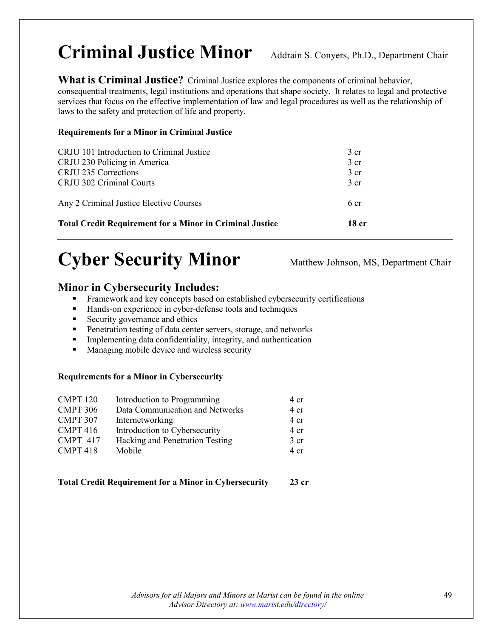### Criminal Justice Minor Addrain S. Conyers, Ph.D., Department Chair

**What is Criminal Justice?** Criminal Justice explores the components of criminal behavior, consequential treatments, legal institutions and operations that shape society. It relates to legal and protective services that focus on the effective implementation of law and legal procedures as well as the relationship of laws to the safety and protection of life and property.

### **Requirements for a Minor in Criminal Justice**

| <b>Total Credit Requirement for a Minor in Criminal Justice</b> | 18 cr           |
|-----------------------------------------------------------------|-----------------|
| Any 2 Criminal Justice Elective Courses                         | 6 cr            |
| CRJU 302 Criminal Courts                                        | 3 cr            |
| CRJU 235 Corrections                                            | $3 \text{ cr}$  |
| CRJU 230 Policing in America                                    | 3 cr            |
| CRJU 101 Introduction to Criminal Justice                       | 3 <sub>cr</sub> |
|                                                                 |                 |

### **Cyber Security Minor** Matthew Johnson, MS, Department Chair

### **Minor in Cybersecurity Includes:**

- **Framework and key concepts based on established cybersecurity certifications**
- Hands-on experience in cyber-defense tools and techniques
- Security governance and ethics
- **Penetration testing of data center servers, storage, and networks**
- Implementing data confidentiality, integrity, and authentication
- **Managing mobile device and wireless security**

### **Requirements for a Minor in Cybersecurity**

| Introduction to Programming     | 4 cr            |
|---------------------------------|-----------------|
| Data Communication and Networks | 4 cr            |
| Internetworking                 | 4 cr            |
| Introduction to Cybersecurity   | 4 cr            |
| Hacking and Penetration Testing | 3 <sub>cr</sub> |
| Mobile                          | 4 cr            |
|                                 |                 |

### **Total Credit Requirement for a Minor in Cybersecurity 23 cr**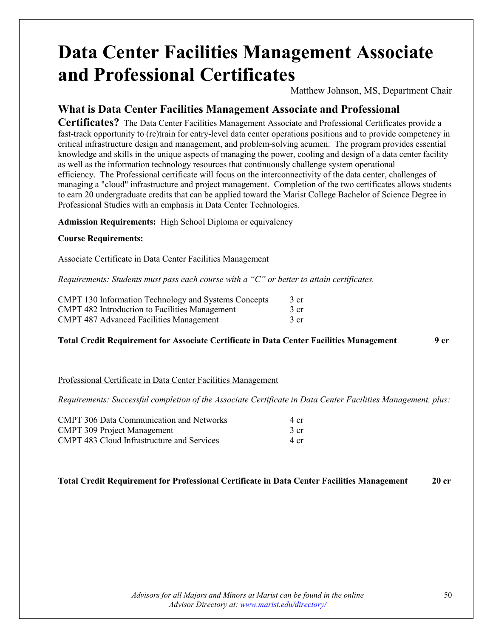### **Data Center Facilities Management Associate and Professional Certificates**

Matthew Johnson, MS, Department Chair

### **What is Data Center Facilities Management Associate and Professional**

**Certificates?** The Data Center Facilities Management Associate and Professional Certificates provide a fast-track opportunity to (re)train for entry-level data center operations positions and to provide competency in critical infrastructure design and management, and problem-solving acumen. The program provides essential knowledge and skills in the unique aspects of managing the power, cooling and design of a data center facility as well as the information technology resources that continuously challenge system operational efficiency. The Professional certificate will focus on the interconnectivity of the data center, challenges of managing a "cloud" infrastructure and project management. Completion of the two certificates allows students to earn 20 undergraduate credits that can be applied toward the Marist College Bachelor of Science Degree in Professional Studies with an emphasis in Data Center Technologies.

**Admission Requirements:** High School Diploma or equivalency

### **Course Requirements:**

Associate Certificate in Data Center Facilities Management

*Requirements: Students must pass each course with a "C" or better to attain certificates.*

| CMPT 130 Information Technology and Systems Concepts  | 3 cr |
|-------------------------------------------------------|------|
| <b>CMPT 482 Introduction to Facilities Management</b> | 3 cr |
| <b>CMPT 487 Advanced Facilities Management</b>        | 3 cr |

### **Total Credit Requirement for Associate Certificate in Data Center Facilities Management 9 cr**

### Professional Certificate in Data Center Facilities Management

*Requirements: Successful completion of the Associate Certificate in Data Center Facilities Management, plus:*

| <b>CMPT 306 Data Communication and Networks</b>   | 4 cr |
|---------------------------------------------------|------|
| <b>CMPT 309 Project Management</b>                | 3 cr |
| <b>CMPT</b> 483 Cloud Infrastructure and Services | 4 cr |

### **Total Credit Requirement for Professional Certificate in Data Center Facilities Management 20 cr**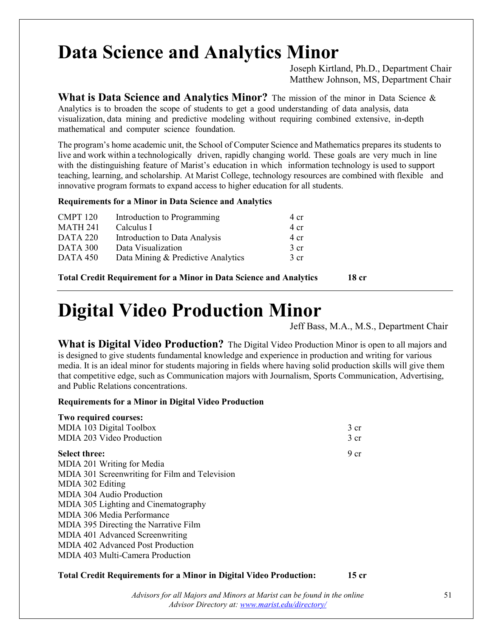### **Data Science and Analytics Minor**

Joseph Kirtland, Ph.D., Department Chair Matthew Johnson, MS, Department Chair

**What is Data Science and Analytics Minor?** The mission of the minor in Data Science & Analytics is to broaden the scope of students to get a good understanding of data analysis, data visualization, data mining and predictive modeling without requiring combined extensive, in-depth mathematical and computer science foundation.

The program's home academic unit, the School of Computer Science and Mathematics prepares its students to live and work within a technologically driven, rapidly changing world. These goals are very much in line with the distinguishing feature of Marist's education in which information technology is used to support teaching, learning, and scholarship. At Marist College, technology resources are combined with flexible and innovative program formats to expand access to higher education for all students.

#### **Requirements for a Minor in Data Science and Analytics**

| Introduction to Programming        | 4 cr            |
|------------------------------------|-----------------|
| Calculus I                         | $4 \text{ cr}$  |
| Introduction to Data Analysis      | 4 cr            |
| Data Visualization                 | 3 <sub>cr</sub> |
| Data Mining & Predictive Analytics | 3 <sub>cr</sub> |
|                                    |                 |

**Total Credit Requirement for a Minor in Data Science and Analytics 18 cr**

### **Digital Video Production Minor**

Jeff Bass, M.A., M.S., Department Chair

**What is Digital Video Production?** The Digital Video Production Minor is open to all majors and is designed to give students fundamental knowledge and experience in production and writing for various media. It is an ideal minor for students majoring in fields where having solid production skills will give them that competitive edge, such as Communication majors with Journalism, Sports Communication, Advertising, and Public Relations concentrations.

### **Requirements for a Minor in Digital Video Production**

| Two required courses:                          |                 |
|------------------------------------------------|-----------------|
| MDIA 103 Digital Toolbox                       | 3 <sub>cr</sub> |
| MDIA 203 Video Production                      | 3 <sub>cr</sub> |
| <b>Select three:</b>                           | 9 <sub>cr</sub> |
| MDIA 201 Writing for Media                     |                 |
| MDIA 301 Screenwriting for Film and Television |                 |
| MDIA 302 Editing                               |                 |
| MDIA 304 Audio Production                      |                 |
| MDIA 305 Lighting and Cinematography           |                 |
| MDIA 306 Media Performance                     |                 |
| MDIA 395 Directing the Narrative Film          |                 |
| MDIA 401 Advanced Screenwriting                |                 |
| MDIA 402 Advanced Post Production              |                 |
| MDIA 403 Multi-Camera Production               |                 |
|                                                |                 |

### **Total Credit Requirements for a Minor in Digital Video Production: 15 cr**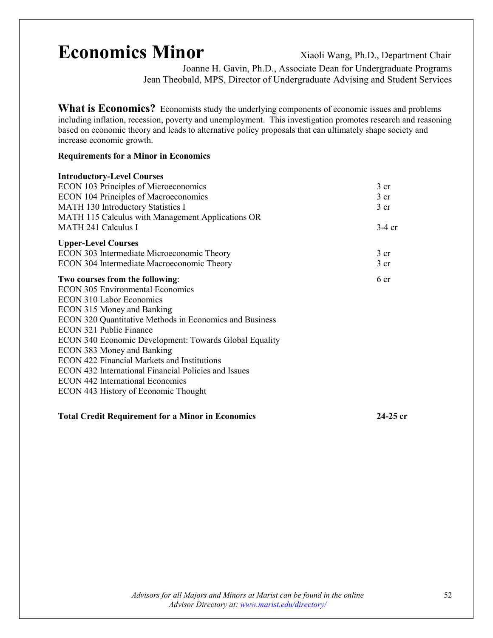### **Economics Minor** Xiaoli Wang, Ph.D., Department Chair

Joanne H. Gavin, Ph.D., Associate Dean for Undergraduate Programs Jean Theobald, MPS, Director of Undergraduate Advising and Student Services

What is Economics? Economists study the underlying components of economic issues and problems including inflation, recession, poverty and unemployment. This investigation promotes research and reasoning based on economic theory and leads to alternative policy proposals that can ultimately shape society and increase economic growth.

#### **Requirements for a Minor in Economics**

| <b>Introductory-Level Courses</b>                       |                 |
|---------------------------------------------------------|-----------------|
| <b>ECON 103 Principles of Microeconomics</b>            | 3 cr            |
| <b>ECON 104 Principles of Macroeconomics</b>            | 3 cr            |
| MATH 130 Introductory Statistics I                      | 3 <sub>cr</sub> |
| MATH 115 Calculus with Management Applications OR       |                 |
| <b>MATH 241 Calculus I</b>                              | $3-4$ cr        |
| <b>Upper-Level Courses</b>                              |                 |
| ECON 303 Intermediate Microeconomic Theory              | 3 <sub>cr</sub> |
| ECON 304 Intermediate Macroeconomic Theory              | 3 <sub>cr</sub> |
| Two courses from the following:                         | 6 cr            |
| <b>ECON 305 Environmental Economics</b>                 |                 |
| <b>ECON 310 Labor Economics</b>                         |                 |
| <b>ECON 315 Money and Banking</b>                       |                 |
| ECON 320 Quantitative Methods in Economics and Business |                 |
| <b>ECON 321 Public Finance</b>                          |                 |
| ECON 340 Economic Development: Towards Global Equality  |                 |
| ECON 383 Money and Banking                              |                 |
| <b>ECON 422 Financial Markets and Institutions</b>      |                 |
| ECON 432 International Financial Policies and Issues    |                 |
| <b>ECON 442 International Economics</b>                 |                 |
| ECON 443 History of Economic Thought                    |                 |
|                                                         |                 |
|                                                         |                 |

**Total Credit Requirement for a Minor in Economics 24-25 cr**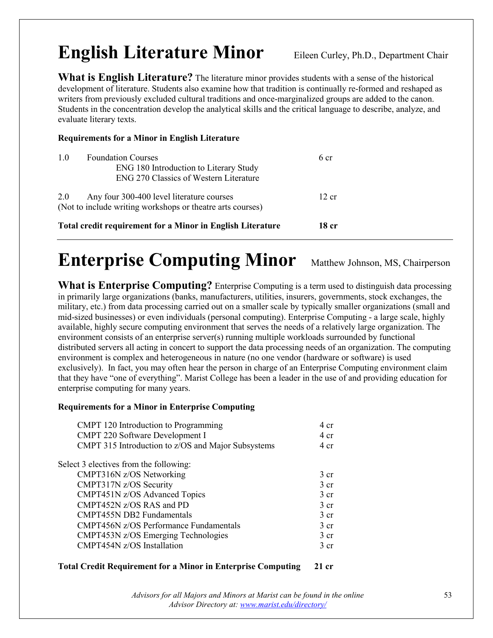### **English Literature Minor** Eileen Curley, Ph.D., Department Chair

**What is English Literature?** The literature minor provides students with a sense of the historical development of literature. Students also examine how that tradition is continually re-formed and reshaped as writers from previously excluded cultural traditions and once-marginalized groups are added to the canon. Students in the concentration develop the analytical skills and the critical language to describe, analyze, and evaluate literary texts.

### **Requirements for a Minor in English Literature**

| 1.0 | <b>Foundation Courses</b><br>ENG 180 Introduction to Literary Study<br>ENG 270 Classics of Western Literature | 6 cr  |
|-----|---------------------------------------------------------------------------------------------------------------|-------|
| 2.0 | Any four 300-400 level literature courses<br>(Not to include writing workshops or theatre arts courses)       | 12 cr |
|     | <b>Total credit requirement for a Minor in English Literature</b>                                             | 18 cr |

### **Enterprise Computing Minor** Matthew Johnson, MS, Chairperson

**What is Enterprise Computing?** Enterprise Computing is a term used to distinguish data processing in primarily large organizations (banks, manufacturers, utilities, insurers, governments, stock exchanges, the military, etc.) from data processing carried out on a smaller scale by typically smaller organizations (small and mid-sized businesses) or even individuals (personal computing). Enterprise Computing - a large scale, highly available, highly secure computing environment that serves the needs of a relatively large organization. The environment consists of an enterprise server(s) running multiple workloads surrounded by functional distributed servers all acting in concert to support the data processing needs of an organization. The computing environment is complex and heterogeneous in nature (no one vendor (hardware or software) is used exclusively). In fact, you may often hear the person in charge of an Enterprise Computing environment claim that they have "one of everything". Marist College has been a leader in the use of and providing education for enterprise computing for many years.

### **Requirements for a Minor in Enterprise Computing**

| CMPT 120 Introduction to Programming               | 4 cr            |
|----------------------------------------------------|-----------------|
| <b>CMPT 220 Software Development I</b>             | 4 cr            |
| CMPT 315 Introduction to z/OS and Major Subsystems | 4 cr            |
| Select 3 electives from the following:             |                 |
| CMPT316N z/OS Networking                           | 3 <sub>cr</sub> |
| CMPT317N z/OS Security                             | 3 <sub>cr</sub> |
| CMPT451N z/OS Advanced Topics                      | 3 <sub>cr</sub> |
| CMPT452N z/OS RAS and PD                           | $3$ cr          |
| <b>CMPT455N DB2 Fundamentals</b>                   | 3 <sub>cr</sub> |
| <b>CMPT456N z/OS Performance Fundamentals</b>      | $3 \text{ cr}$  |
| CMPT453N z/OS Emerging Technologies                | 3 <sub>cr</sub> |
| CMPT454N z/OS Installation                         | 3 <sub>cr</sub> |

### **Total Credit Requirement for a Minor in Enterprise Computing 21 cr**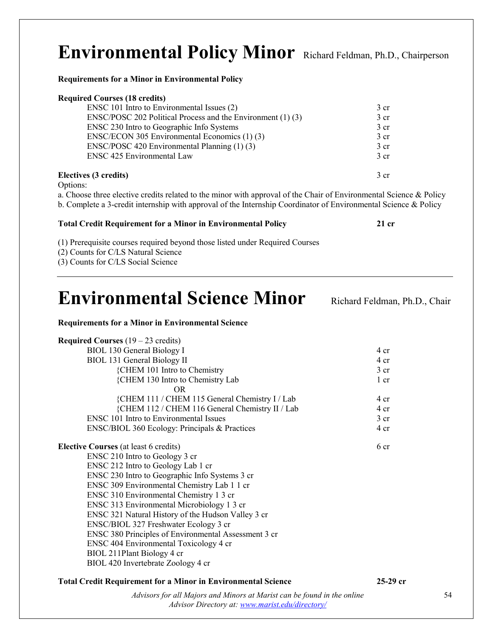### **Environmental Policy Minor** Richard Feldman, Ph.D., Chairperson

**Requirements for a Minor in Environmental Policy**

| <b>Required Courses (18 credits)</b>                        |                 |
|-------------------------------------------------------------|-----------------|
| ENSC 101 Intro to Environmental Issues (2)                  | $3 \text{ cr}$  |
| ENSC/POSC 202 Political Process and the Environment (1) (3) | $3 \text{ cr}$  |
| ENSC 230 Intro to Geographic Info Systems                   | 3 <sub>cr</sub> |
| ENSC/ECON 305 Environmental Economics (1) (3)               | 3 <sub>cr</sub> |
| ENSC/POSC 420 Environmental Planning (1) (3)                | 3 <sub>cr</sub> |
| <b>ENSC 425 Environmental Law</b>                           | $3 \text{ cr}$  |
| Electives (3 credits)                                       | 3 cr            |

Options:

a. Choose three elective credits related to the minor with approval of the Chair of Environmental Science & Policy b. Complete a 3-credit internship with approval of the Internship Coordinator of Environmental Science & Policy

#### **Total Credit Requirement for a Minor in Environmental Policy 21 cr**

(1) Prerequisite courses required beyond those listed under Required Courses

(2) Counts for C/LS Natural Science

(3) Counts for C/LS Social Science

### **Environmental Science Minor** Richard Feldman, Ph.D., Chair

#### **Requirements for a Minor in Environmental Science**

| <b>Required Courses</b> $(19 - 23 \text{ credits})$  |                 |
|------------------------------------------------------|-----------------|
| <b>BIOL 130 General Biology I</b>                    | 4 cr            |
| <b>BIOL 131 General Biology II</b>                   | 4 cr            |
| {CHEM 101 Intro to Chemistry                         | 3 <sub>cr</sub> |
| {CHEM 130 Intro to Chemistry Lab                     | 1 cr            |
| OR.                                                  |                 |
| {CHEM 111 / CHEM 115 General Chemistry I / Lab       | $4 \text{ cr}$  |
| {CHEM 112 / CHEM 116 General Chemistry II / Lab      | 4 <sub>cr</sub> |
| <b>ENSC</b> 101 Intro to Environmental Issues        | 3 <sub>cr</sub> |
| ENSC/BIOL 360 Ecology: Principals & Practices        | 4 <sub>cr</sub> |
| <b>Elective Courses</b> (at least 6 credits)         | 6 <sub>cr</sub> |
| ENSC 210 Intro to Geology 3 cr                       |                 |
| ENSC 212 Intro to Geology Lab 1 cr                   |                 |
| ENSC 230 Intro to Geographic Info Systems 3 cr       |                 |
| ENSC 309 Environmental Chemistry Lab 1 1 cr          |                 |
| ENSC 310 Environmental Chemistry 1 3 cr              |                 |
| ENSC 313 Environmental Microbiology 1 3 cr           |                 |
| ENSC 321 Natural History of the Hudson Valley 3 cr   |                 |
| ENSC/BIOL 327 Freshwater Ecology 3 cr                |                 |
| ENSC 380 Principles of Environmental Assessment 3 cr |                 |
| ENSC 404 Environmental Toxicology 4 cr               |                 |
| BIOL 211Plant Biology 4 cr                           |                 |
| BIOL 420 Invertebrate Zoology 4 cr                   |                 |

### **Total Credit Requirement for a Minor in Environmental Science 25-29 cr**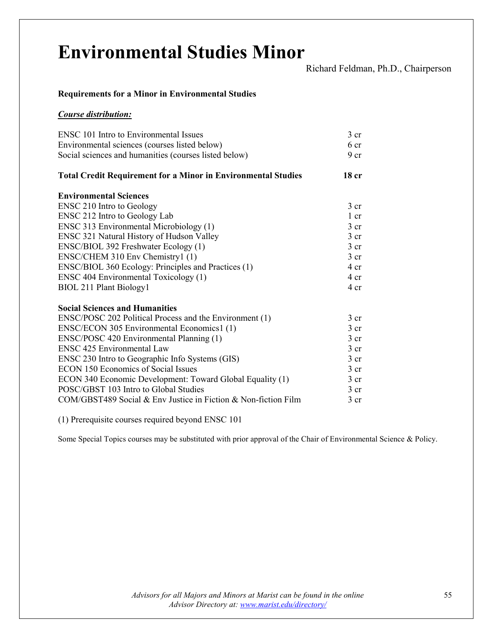# **Environmental Studies Minor** Richard Feldman, Ph.D., Chairperson

### **Requirements for a Minor in Environmental Studies**

#### *Course distribution:*

| <b>ENSC</b> 101 Intro to Environmental Issues                        | $3$ cr           |
|----------------------------------------------------------------------|------------------|
| Environmental sciences (courses listed below)                        | 6 cr             |
| Social sciences and humanities (courses listed below)                | 9 <sub>cr</sub>  |
| <b>Total Credit Requirement for a Minor in Environmental Studies</b> | 18 <sub>cr</sub> |
| <b>Environmental Sciences</b>                                        |                  |
| <b>ENSC 210 Intro to Geology</b>                                     | 3 <sub>cr</sub>  |
| ENSC 212 Intro to Geology Lab                                        | 1 cr             |
| ENSC 313 Environmental Microbiology (1)                              | 3 <sub>cr</sub>  |
| ENSC 321 Natural History of Hudson Valley                            | 3 <sub>cr</sub>  |
| ENSC/BIOL 392 Freshwater Ecology (1)                                 | 3 <sub>cr</sub>  |
| ENSC/CHEM 310 Env Chemistry1 (1)                                     | $3 \text{ cr}$   |
| ENSC/BIOL 360 Ecology: Principles and Practices (1)                  | 4 cr             |
| <b>ENSC 404 Environmental Toxicology (1)</b>                         | 4 cr             |
| BIOL 211 Plant Biology1                                              | 4 cr             |
| <b>Social Sciences and Humanities</b>                                |                  |
| ENSC/POSC 202 Political Process and the Environment (1)              | $3$ cr           |
| ENSC/ECON 305 Environmental Economics1 (1)                           | 3 <sub>cr</sub>  |
| ENSC/POSC 420 Environmental Planning (1)                             | 3 <sub>cr</sub>  |
| <b>ENSC 425 Environmental Law</b>                                    | 3 <sub>cr</sub>  |
| ENSC 230 Intro to Geographic Info Systems (GIS)                      | $3 \text{ cr}$   |
| <b>ECON 150 Economics of Social Issues</b>                           | 3 <sub>cr</sub>  |
| ECON 340 Economic Development: Toward Global Equality (1)            | 3 <sub>cr</sub>  |
| POSC/GBST 103 Intro to Global Studies                                | 3 <sub>cr</sub>  |
| COM/GBST489 Social & Env Justice in Fiction & Non-fiction Film       | $3$ cr           |

(1) Prerequisite courses required beyond ENSC 101

Some Special Topics courses may be substituted with prior approval of the Chair of Environmental Science & Policy.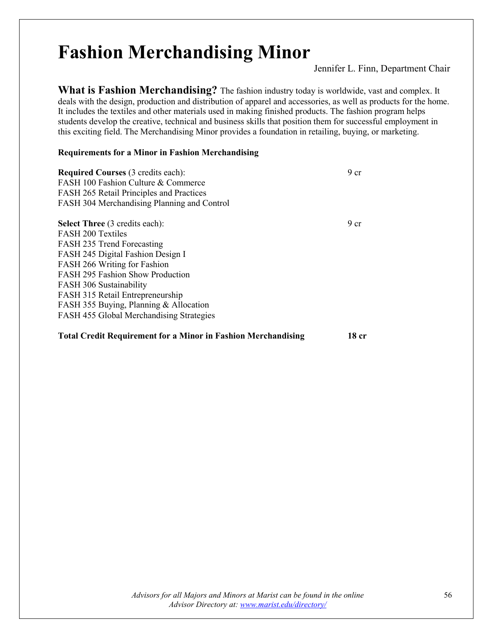### **Fashion Merchandising Minor**

Jennifer L. Finn, Department Chair

**What is Fashion Merchandising?** The fashion industry today is worldwide, vast and complex. It deals with the design, production and distribution of apparel and accessories, as well as products for the home. It includes the textiles and other materials used in making finished products. The fashion program helps students develop the creative, technical and business skills that position them for successful employment in this exciting field. The Merchandising Minor provides a foundation in retailing, buying, or marketing.

### **Requirements for a Minor in Fashion Merchandising**

| <b>Required Courses (3 credits each):</b><br>FASH 100 Fashion Culture & Commerce<br>FASH 265 Retail Principles and Practices<br>FASH 304 Merchandising Planning and Control | 9 <sub>cr</sub> |
|-----------------------------------------------------------------------------------------------------------------------------------------------------------------------------|-----------------|
| <b>Select Three</b> (3 credits each):                                                                                                                                       | 9 <sub>cr</sub> |
| <b>FASH 200 Textiles</b>                                                                                                                                                    |                 |
| FASH 235 Trend Forecasting                                                                                                                                                  |                 |
| FASH 245 Digital Fashion Design I                                                                                                                                           |                 |
| FASH 266 Writing for Fashion                                                                                                                                                |                 |
| FASH 295 Fashion Show Production                                                                                                                                            |                 |
| FASH 306 Sustainability                                                                                                                                                     |                 |
| FASH 315 Retail Entrepreneurship                                                                                                                                            |                 |
| FASH 355 Buying, Planning & Allocation                                                                                                                                      |                 |
| FASH 455 Global Merchandising Strategies                                                                                                                                    |                 |

### **Total Credit Requirement for a Minor in Fashion Merchandising 18 cr**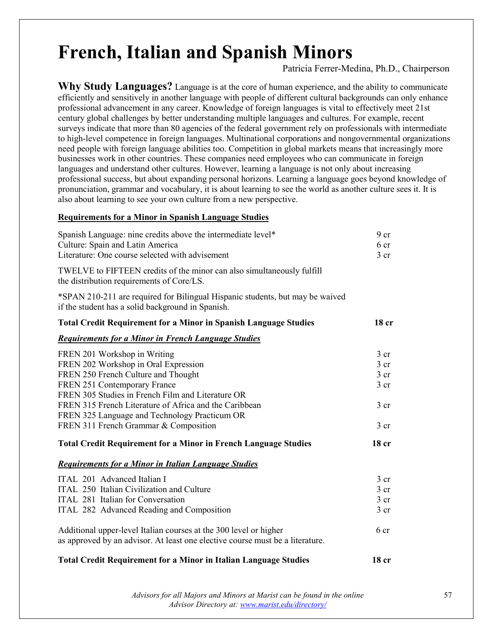### **French, Italian and Spanish Minors**

Patricia Ferrer-Medina, Ph.D., Chairperson

**Why Study Languages?** Language is at the core of human experience, and the ability to communicate efficiently and sensitively in another language with people of different cultural backgrounds can only enhance professional advancement in any career. Knowledge of foreign languages is vital to effectively meet 21st century global challenges by better understanding multiple languages and cultures. For example, recent surveys indicate that more than 80 agencies of the federal government rely on professionals with intermediate to high-level competence in foreign languages. Multinational corporations and nongovernmental organizations need people with foreign language abilities too. Competition in global markets means that increasingly more businesses work in other countries. These companies need employees who can communicate in foreign languages and understand other cultures. However, learning a language is not only about increasing professional success, but about expanding personal horizons. Learning a language goes beyond knowledge of pronunciation, grammar and vocabulary, it is about learning to see the world as another culture sees it. It is also about learning to see your own culture from a new perspective.

### **Requirements for a Minor in Spanish Language Studies**

| Spanish Language: nine credits above the intermediate level*<br>Culture: Spain and Latin America<br>Literature: One course selected with advisement | 9 <sub>cr</sub><br>6 cr<br>3 <sub>cr</sub> |
|-----------------------------------------------------------------------------------------------------------------------------------------------------|--------------------------------------------|
| TWELVE to FIFTEEN credits of the minor can also simultaneously fulfill<br>the distribution requirements of Core/LS.                                 |                                            |
| *SPAN 210-211 are required for Bilingual Hispanic students, but may be waived<br>if the student has a solid background in Spanish.                  |                                            |
| <b>Total Credit Requirement for a Minor in Spanish Language Studies</b>                                                                             | 18 cr                                      |
| <b>Requirements for a Minor in French Language Studies</b>                                                                                          |                                            |
| FREN 201 Workshop in Writing                                                                                                                        | $3$ cr                                     |
| FREN 202 Workshop in Oral Expression                                                                                                                | 3 <sub>cr</sub>                            |
| FREN 250 French Culture and Thought                                                                                                                 | 3 <sub>cr</sub>                            |
| FREN 251 Contemporary France                                                                                                                        | $3$ cr                                     |
| FREN 305 Studies in French Film and Literature OR                                                                                                   |                                            |
| FREN 315 French Literature of Africa and the Caribbean                                                                                              | 3 <sub>cr</sub>                            |
| FREN 325 Language and Technology Practicum OR                                                                                                       |                                            |
| FREN 311 French Grammar & Composition                                                                                                               | 3 <sub>cr</sub>                            |
| <b>Total Credit Requirement for a Minor in French Language Studies</b>                                                                              | 18 <sub>cr</sub>                           |
| <b>Requirements for a Minor in Italian Language Studies</b>                                                                                         |                                            |
| ITAL 201 Advanced Italian I                                                                                                                         | $3$ cr                                     |
| ITAL 250 Italian Civilization and Culture                                                                                                           | 3 <sub>cr</sub>                            |
| ITAL 281 Italian for Conversation                                                                                                                   | 3 <sub>cr</sub>                            |
| ITAL 282 Advanced Reading and Composition                                                                                                           | $3$ cr                                     |
| Additional upper-level Italian courses at the 300 level or higher<br>as approved by an advisor. At least one elective course must be a literature.  | 6 cr                                       |
| <b>Total Credit Requirement for a Minor in Italian Language Studies</b>                                                                             | 18 cr                                      |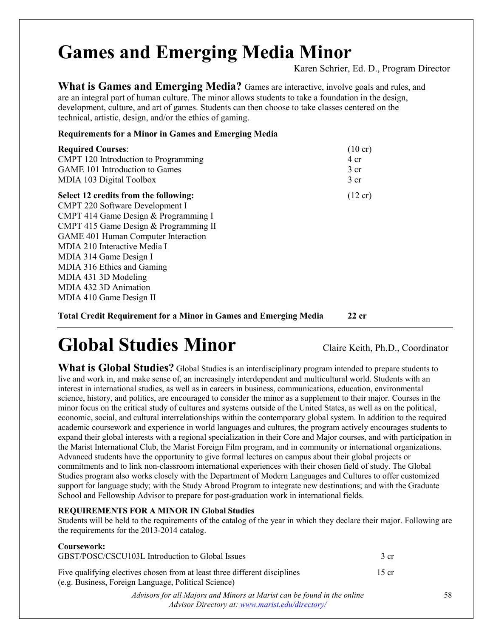## **Games and Emerging Media Minor**

Karen Schrier, Ed. D., Program Director

**What is Games and Emerging Media?** Games are interactive, involve goals and rules, and are an integral part of human culture. The minor allows students to take a foundation in the design, development, culture, and art of games. Students can then choose to take classes centered on the technical, artistic, design, and/or the ethics of gaming.

**Requirements for a Minor in Games and Emerging Media**

| <b>Required Courses:</b>               | $(10 \text{ cr})$ |
|----------------------------------------|-------------------|
| CMPT 120 Introduction to Programming   | 4 cr              |
| <b>GAME 101 Introduction to Games</b>  | 3 <sub>cr</sub>   |
| MDIA 103 Digital Toolbox               | 3 <sub>cr</sub>   |
| Select 12 credits from the following:  | $(12 \text{ cr})$ |
| <b>CMPT 220 Software Development I</b> |                   |
| CMPT 414 Game Design & Programming I   |                   |
| CMPT 415 Game Design & Programming II  |                   |
| GAME 401 Human Computer Interaction    |                   |
| MDIA 210 Interactive Media I           |                   |
| MDIA 314 Game Design I                 |                   |
| MDIA 316 Ethics and Gaming             |                   |
| MDIA 431 3D Modeling                   |                   |
| MDIA 432 3D Animation                  |                   |
| MDIA 410 Game Design II                |                   |
|                                        |                   |

**Total Credit Requirement for a Minor in Games and Emerging Media 22 cr**

## **Global Studies Minor** Claire Keith, Ph.D., Coordinator

What is Global Studies? Global Studies is an interdisciplinary program intended to prepare students to live and work in, and make sense of, an increasingly interdependent and multicultural world. Students with an interest in international studies, as well as in careers in business, communications, education, environmental science, history, and politics, are encouraged to consider the minor as a supplement to their major. Courses in the minor focus on the critical study of cultures and systems outside of the United States, as well as on the political, economic, social, and cultural interrelationships within the contemporary global system. In addition to the required academic coursework and experience in world languages and cultures, the program actively encourages students to expand their global interests with a regional specialization in their Core and Major courses, and with participation in the Marist International Club, the Marist Foreign Film program, and in community or international organizations. Advanced students have the opportunity to give formal lectures on campus about their global projects or commitments and to link non-classroom international experiences with their chosen field of study. The Global Studies program also works closely with the Department of Modern Languages and Cultures to offer customized support for language study; with the Study Abroad Program to integrate new destinations; and with the Graduate School and Fellowship Advisor to prepare for post-graduation work in international fields.

### **REQUIREMENTS FOR A MINOR IN Global Studies**

Students will be held to the requirements of the catalog of the year in which they declare their major. Following are the requirements for the 2013-2014 catalog.

### **Coursework:**

| GBST/POSC/CSCU103L Introduction to Global Issues                                                                                   | 3 cr  |
|------------------------------------------------------------------------------------------------------------------------------------|-------|
| Five qualifying electives chosen from at least three different disciplines<br>(e.g. Business, Foreign Language, Political Science) | 15 cr |
| Advisors for all Majors and Minors at Marist can be found in the online<br>Advisor Directory at: www.marist.edu/directory/         |       |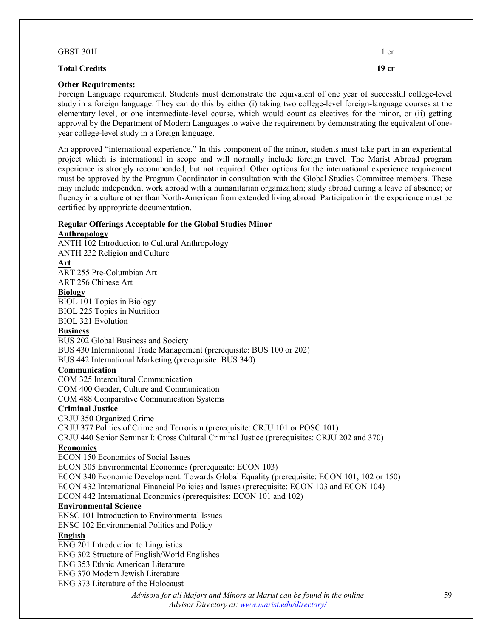| GBST 301L                  | 1 cr  |
|----------------------------|-------|
| <b>Total Credits</b>       | 19 cr |
| <b>Other Requirements:</b> |       |

Foreign Language requirement. Students must demonstrate the equivalent of one year of successful college-level study in a foreign language. They can do this by either (i) taking two college-level foreign-language courses at the elementary level, or one intermediate-level course, which would count as electives for the minor, or (ii) getting approval by the Department of Modern Languages to waive the requirement by demonstrating the equivalent of oneyear college-level study in a foreign language.

An approved "international experience." In this component of the minor, students must take part in an experiential project which is international in scope and will normally include foreign travel. The Marist Abroad program experience is strongly recommended, but not required. Other options for the international experience requirement must be approved by the Program Coordinator in consultation with the Global Studies Committee members. These may include independent work abroad with a humanitarian organization; study abroad during a leave of absence; or fluency in a culture other than North-American from extended living abroad. Participation in the experience must be certified by appropriate documentation.

### **Regular Offerings Acceptable for the Global Studies Minor**

### **Anthropology**

ANTH 102 Introduction to Cultural Anthropology

ANTH 232 Religion and Culture

### **Art**

ART 255 Pre-Columbian Art

ART 256 Chinese Art

### **Biology**

BIOL 101 Topics in Biology BIOL 225 Topics in Nutrition BIOL 321 Evolution

### **Business**

BUS 202 Global Business and Society BUS 430 International Trade Management (prerequisite: BUS 100 or 202) BUS 442 International Marketing (prerequisite: BUS 340)

### **Communication**

COM 325 Intercultural Communication COM 400 Gender, Culture and Communication

COM 488 Comparative Communication Systems

### **Criminal Justice**

CRJU 350 Organized Crime CRJU 377 Politics of Crime and Terrorism (prerequisite: CRJU 101 or POSC 101) CRJU 440 Senior Seminar I: Cross Cultural Criminal Justice (prerequisites: CRJU 202 and 370) **Economics** 

ECON 150 Economics of Social Issues

ECON 305 Environmental Economics (prerequisite: ECON 103)

ECON 340 Economic Development: Towards Global Equality (prerequisite: ECON 101, 102 or 150)

ECON 432 International Financial Policies and Issues (prerequisite: ECON 103 and ECON 104)

ECON 442 International Economics (prerequisites: ECON 101 and 102)

### **Environmental Science**

ENSC 101 Introduction to Environmental Issues

ENSC 102 Environmental Politics and Policy

### **English**

ENG 201 Introduction to Linguistics

ENG 302 Structure of English/World Englishes

ENG 353 Ethnic American Literature

ENG 370 Modern Jewish Literature

ENG 373 Literature of the Holocaust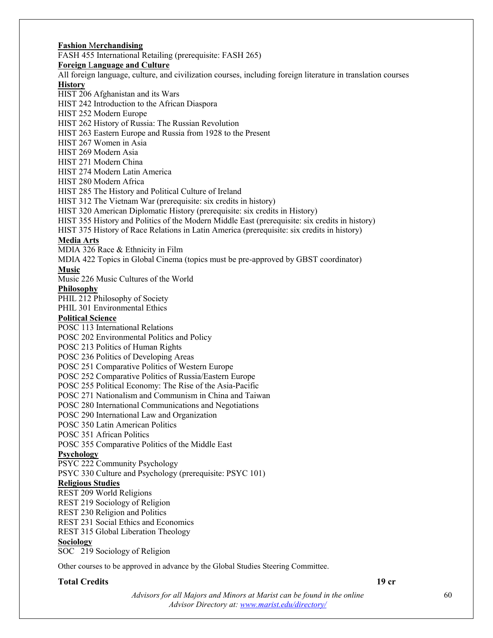**Fashion** M**erchandising**  FASH 455 International Retailing (prerequisite: FASH 265) **Foreign** L**anguage and Culture**  All foreign language, culture, and civilization courses, including foreign literature in translation courses **History**  HIST 206 Afghanistan and its Wars HIST 242 Introduction to the African Diaspora HIST 252 Modern Europe HIST 262 History of Russia: The Russian Revolution HIST 263 Eastern Europe and Russia from 1928 to the Present HIST 267 Women in Asia HIST 269 Modern Asia HIST 271 Modern China HIST 274 Modern Latin America HIST 280 Modern Africa HIST 285 The History and Political Culture of Ireland HIST 312 The Vietnam War (prerequisite: six credits in history) HIST 320 American Diplomatic History (prerequisite: six credits in History) HIST 355 History and Politics of the Modern Middle East (prerequisite: six credits in history) HIST 375 History of Race Relations in Latin America (prerequisite: six credits in history) **Media Arts** MDIA 326 Race & Ethnicity in Film MDIA 422 Topics in Global Cinema (topics must be pre-approved by GBST coordinator) **Music**  Music 226 Music Cultures of the World **Philosophy**  PHIL 212 Philosophy of Society PHIL 301 Environmental Ethics **Political Science**  POSC 113 International Relations POSC 202 Environmental Politics and Policy POSC 213 Politics of Human Rights POSC 236 Politics of Developing Areas POSC 251 Comparative Politics of Western Europe POSC 252 Comparative Politics of Russia/Eastern Europe POSC 255 Political Economy: The Rise of the Asia-Pacific POSC 271 Nationalism and Communism in China and Taiwan POSC 280 International Communications and Negotiations POSC 290 International Law and Organization POSC 350 Latin American Politics POSC 351 African Politics POSC 355 Comparative Politics of the Middle East **Psychology**  PSYC 222 Community Psychology PSYC 330 Culture and Psychology (prerequisite: PSYC 101) **Religious Studies** REST 209 World Religions REST 219 Sociology of Religion REST 230 Religion and Politics REST 231 Social Ethics and Economics REST 315 Global Liberation Theology **Sociology** SOC 219 Sociology of Religion Other courses to be approved in advance by the Global Studies Steering Committee. **Total Credits 19 cr**

> *Advisors for all Majors and Minors at Marist can be found in the online Advisor Directory at: [www.marist.edu/directory/](http://www.marist.edu/directory/)*

60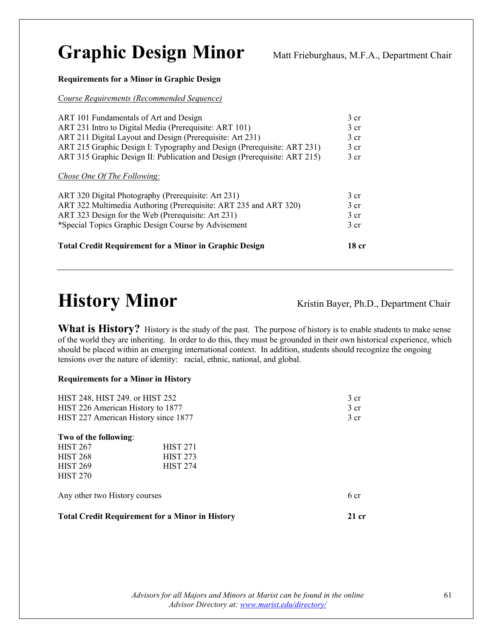### Graphic Design Minor Matt Frieburghaus, M.F.A., Department Chair

### **Requirements for a Minor in Graphic Design**

*Course Requirements (Recommended Sequence)*

| ART 101 Fundamentals of Art and Design                                    | 3 <sub>cr</sub> |
|---------------------------------------------------------------------------|-----------------|
| ART 231 Intro to Digital Media (Prerequisite: ART 101)                    | 3 <sub>cr</sub> |
| ART 211 Digital Layout and Design (Prerequisite: Art 231)                 | 3 <sub>cr</sub> |
| ART 215 Graphic Design I: Typography and Design (Prerequisite: ART 231)   | 3 <sub>cr</sub> |
| ART 315 Graphic Design II: Publication and Design (Prerequisite: ART 215) | 3 <sub>cr</sub> |
| <i>Chose One Of The Following:</i>                                        |                 |
| ART 320 Digital Photography (Prerequisite: Art 231)                       | 3 <sub>cr</sub> |
| ART 322 Multimedia Authoring (Prerequisite: ART 235 and ART 320)          | 3 <sub>cr</sub> |
| ART 323 Design for the Web (Prerequisite: Art 231)                        | 3 <sub>cr</sub> |
| *Special Topics Graphic Design Course by Advisement                       | 3 <sub>cr</sub> |
| <b>Total Credit Requirement for a Minor in Graphic Design</b>             | 18 cr           |

### **History Minor** Kristin Bayer, Ph.D., Department Chair

What is History? History is the study of the past. The purpose of history is to enable students to make sense of the world they are inheriting. In order to do this, they must be grounded in their own historical experience, which should be placed within an emerging international context. In addition, students should recognize the ongoing tensions over the nature of identity: racial, ethnic, national, and global.

#### **Requirements for a Minor in History**

| HIST 248, HIST 249. or HIST 252<br>HIST 226 American History to 1877 | HIST 227 American History since 1877                   | 3 <sub>cr</sub><br>3 cr<br>3 <sub>cr</sub> |
|----------------------------------------------------------------------|--------------------------------------------------------|--------------------------------------------|
| Two of the following:                                                |                                                        |                                            |
| <b>HIST 267</b>                                                      | <b>HIST 271</b>                                        |                                            |
| <b>HIST 268</b>                                                      | <b>HIST 273</b>                                        |                                            |
| <b>HIST 269</b>                                                      | <b>HIST 274</b>                                        |                                            |
| <b>HIST 270</b>                                                      |                                                        |                                            |
| Any other two History courses                                        |                                                        | 6 cr                                       |
|                                                                      | <b>Total Credit Requirement for a Minor in History</b> | 21 cr                                      |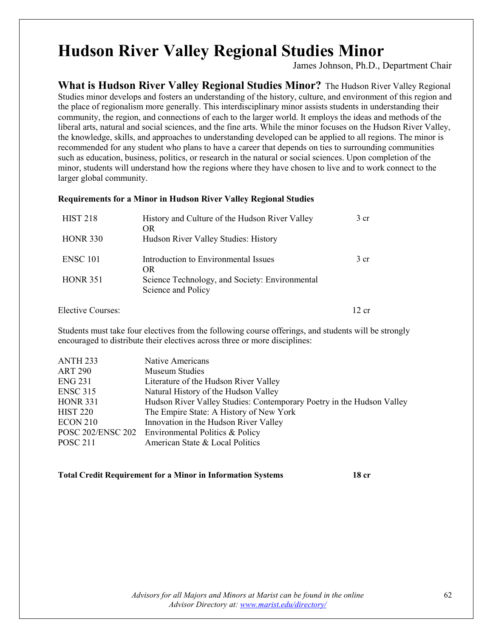### **Hudson River Valley Regional Studies Minor**

James Johnson, Ph.D., Department Chair

**What is Hudson River Valley Regional Studies Minor?** The Hudson River Valley Regional Studies minor develops and fosters an understanding of the history, culture, and environment of this region and the place of regionalism more generally. This interdisciplinary minor assists students in understanding their community, the region, and connections of each to the larger world. It employs the ideas and methods of the liberal arts, natural and social sciences, and the fine arts. While the minor focuses on the Hudson River Valley, the knowledge, skills, and approaches to understanding developed can be applied to all regions. The minor is recommended for any student who plans to have a career that depends on ties to surrounding communities such as education, business, politics, or research in the natural or social sciences. Upon completion of the minor, students will understand how the regions where they have chosen to live and to work connect to the larger global community.

### **Requirements for a Minor in Hudson River Valley Regional Studies**

| <b>HIST 218</b> | History and Culture of the Hudson River Valley<br>OR.                | 3 cr |
|-----------------|----------------------------------------------------------------------|------|
| <b>HONR 330</b> | Hudson River Valley Studies: History                                 |      |
| <b>ENSC 101</b> | Introduction to Environmental Issues<br>OR.                          | 3 cr |
| <b>HONR 351</b> | Science Technology, and Society: Environmental<br>Science and Policy |      |

Elective Courses: 12 cr

Students must take four electives from the following course offerings, and students will be strongly encouraged to distribute their electives across three or more disciplines:

| ANTH <sub>233</sub> | Native Americans                                                      |
|---------------------|-----------------------------------------------------------------------|
| <b>ART 290</b>      | Museum Studies                                                        |
| <b>ENG 231</b>      | Literature of the Hudson River Valley                                 |
| <b>ENSC 315</b>     | Natural History of the Hudson Valley                                  |
| <b>HONR</b> 331     | Hudson River Valley Studies: Contemporary Poetry in the Hudson Valley |
| <b>HIST 220</b>     | The Empire State: A History of New York                               |
| <b>ECON 210</b>     | Innovation in the Hudson River Valley                                 |
|                     | POSC 202/ENSC 202 Environmental Politics & Policy                     |
| <b>POSC 211</b>     | American State & Local Politics                                       |

### **Total Credit Requirement for a Minor in Information Systems 18 cr**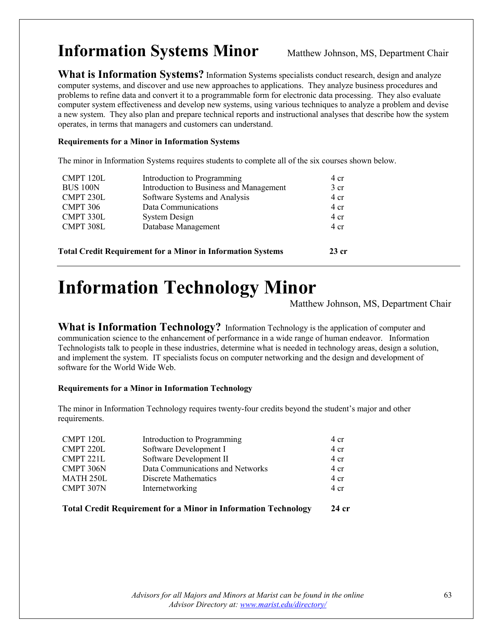### **Information Systems Minor** Matthew Johnson, MS, Department Chair

What is Information Systems? Information Systems specialists conduct research, design and analyze computer systems, and discover and use new approaches to applications. They analyze business procedures and problems to refine data and convert it to a programmable form for electronic data processing. They also evaluate computer system effectiveness and develop new systems, using various techniques to analyze a problem and devise a new system. They also plan and prepare technical reports and instructional analyses that describe how the system operates, in terms that managers and customers can understand.

### **Requirements for a Minor in Information Systems**

The minor in Information Systems requires students to complete all of the six courses shown below.

| CMPT 120L       | Introduction to Programming                                        | 4 cr            |
|-----------------|--------------------------------------------------------------------|-----------------|
| <b>BUS 100N</b> | Introduction to Business and Management                            | 3 <sub>cr</sub> |
| CMPT 230L       | Software Systems and Analysis                                      | 4 cr            |
| CMPT 306        | Data Communications                                                | 4 cr            |
| CMPT 330L       | System Design                                                      | $4 \text{ cr}$  |
| CMPT 308L       | Database Management                                                | 4 cr            |
|                 | <b>Total Credit Requirement for a Minor in Information Systems</b> | $23$ cr         |
|                 |                                                                    |                 |

### **Information Technology Minor**

Matthew Johnson, MS, Department Chair

**What is Information Technology?** Information Technology is the application of computer and communication science to the enhancement of performance in a wide range of human endeavor. Information Technologists talk to people in these industries, determine what is needed in technology areas, design a solution, and implement the system. IT specialists focus on computer networking and the design and development of software for the World Wide Web.

### **Requirements for a Minor in Information Technology**

The minor in Information Technology requires twenty-four credits beyond the student's major and other requirements.

| CMPT 120L | Introduction to Programming      | 4 cr           |
|-----------|----------------------------------|----------------|
| CMPT 220L | Software Development I           | 4 cr           |
| CMPT 221L | Software Development II          | $4 \text{ cr}$ |
| CMPT 306N | Data Communications and Networks | $4 \text{ cr}$ |
| MATH 250L | Discrete Mathematics             | $4 \text{ cr}$ |
| CMPT 307N | Internetworking                  | $4 \text{ cr}$ |
|           |                                  |                |

**Total Credit Requirement for a Minor in Information Technology 24 cr**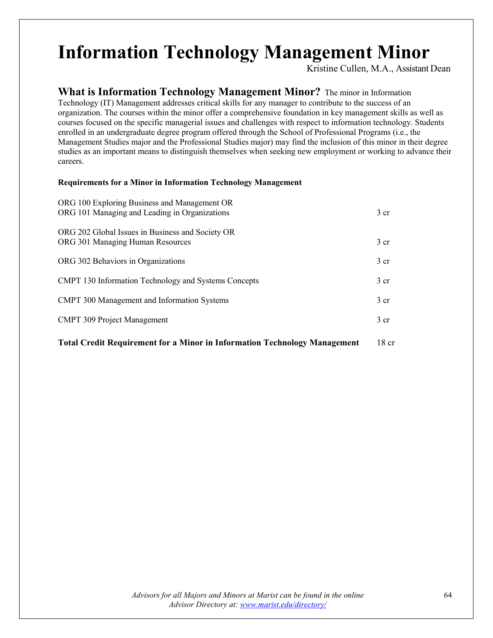### **Information Technology Management Minor**

Kristine Cullen, M.A., Assistant Dean

**What is Information Technology Management Minor?** The minor in Information Technology (IT) Management addresses critical skills for any manager to contribute to the success of an organization. The courses within the minor offer a comprehensive foundation in key management skills as well as courses focused on the specific managerial issues and challenges with respect to information technology. Students enrolled in an undergraduate degree program offered through the School of Professional Programs (i.e., the Management Studies major and the Professional Studies major) may find the inclusion of this minor in their degree studies as an important means to distinguish themselves when seeking new employment or working to advance their careers.

### **Requirements for a Minor in Information Technology Management**

| <b>Total Credit Requirement for a Minor in Information Technology Management</b>              | 18 <sub>cr</sub> |
|-----------------------------------------------------------------------------------------------|------------------|
| <b>CMPT 309 Project Management</b>                                                            | 3 <sub>cr</sub>  |
| <b>CMPT</b> 300 Management and Information Systems                                            | 3 <sub>cr</sub>  |
| <b>CMPT</b> 130 Information Technology and Systems Concepts                                   | 3 <sub>cr</sub>  |
| ORG 302 Behaviors in Organizations                                                            | 3 <sub>cr</sub>  |
| ORG 202 Global Issues in Business and Society OR<br>ORG 301 Managing Human Resources          | 3 <sub>cr</sub>  |
| ORG 100 Exploring Business and Management OR<br>ORG 101 Managing and Leading in Organizations | 3 <sub>cr</sub>  |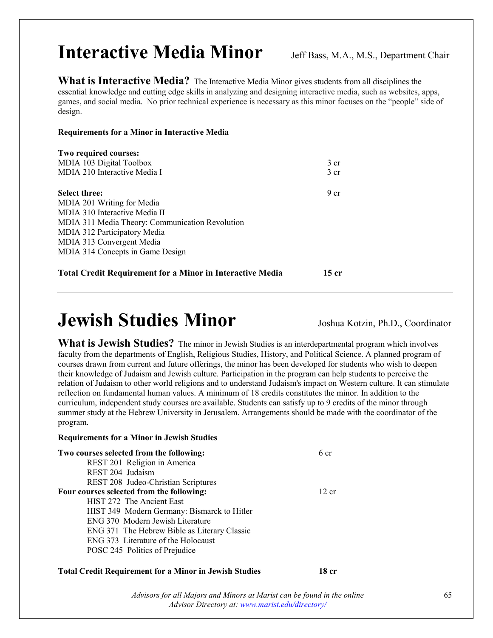### **Interactive Media Minor** Jeff Bass, M.A., M.S., Department Chair

**What is Interactive Media?** The Interactive Media Minor gives students from all disciplines the essential knowledge and cutting edge skills in analyzing and designing interactive media, such as websites, apps, games, and social media. No prior technical experience is necessary as this minor focuses on the "people" side of design.

### **Requirements for a Minor in Interactive Media**

| Two required courses:                           |                 |
|-------------------------------------------------|-----------------|
| MDIA 103 Digital Toolbox                        | $3 \text{ cr}$  |
| MDIA 210 Interactive Media I                    | 3 <sub>cr</sub> |
| <b>Select three:</b>                            | 9 <sub>cr</sub> |
| MDIA 201 Writing for Media                      |                 |
| MDIA 310 Interactive Media II                   |                 |
| MDIA 311 Media Theory: Communication Revolution |                 |
| MDIA 312 Participatory Media                    |                 |
| MDIA 313 Convergent Media                       |                 |
| MDIA 314 Concepts in Game Design                |                 |
|                                                 |                 |

### **Total Credit Requirement for a Minor in Interactive Media 15 cr**

### **Jewish Studies Minor** Joshua Kotzin, Ph.D., Coordinator

**What is Jewish Studies?** The minor in Jewish Studies is an interdepartmental program which involves faculty from the departments of English, Religious Studies, History, and Political Science. A planned program of courses drawn from current and future offerings, the minor has been developed for students who wish to deepen their knowledge of Judaism and Jewish culture. Participation in the program can help students to perceive the relation of Judaism to other world religions and to understand Judaism's impact on Western culture. It can stimulate reflection on fundamental human values. A minimum of 18 credits constitutes the minor. In addition to the curriculum, independent study courses are available. Students can satisfy up to 9 credits of the minor through summer study at the Hebrew University in Jerusalem. Arrangements should be made with the coordinator of the program.

### **Requirements for a Minor in Jewish Studies**

| Two courses selected from the following:     | 6 cr  |
|----------------------------------------------|-------|
| REST 201 Religion in America                 |       |
| REST 204 Judaism                             |       |
| REST 208 Judeo-Christian Scriptures          |       |
| Four courses selected from the following:    | 12 cr |
| HIST 272 The Ancient East                    |       |
| HIST 349 Modern Germany: Bismarck to Hitler  |       |
| ENG 370 Modern Jewish Literature             |       |
| ENG 371 The Hebrew Bible as Literary Classic |       |
| ENG 373 Literature of the Holocaust          |       |
| POSC 245 Politics of Prejudice               |       |
|                                              |       |

### **Total Credit Requirement for a Minor in Jewish Studies 18 cr**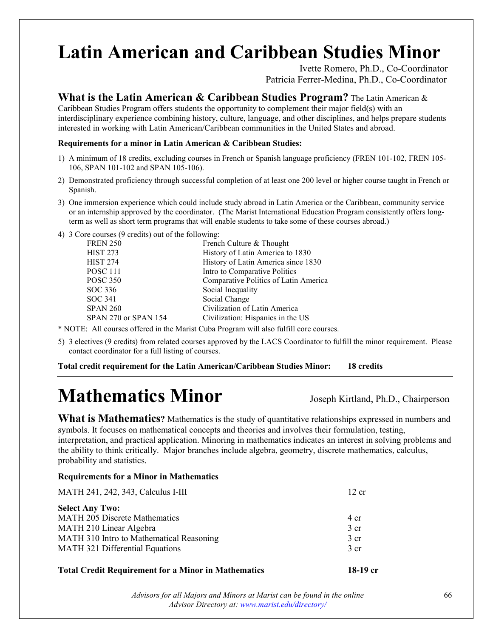# Latin American and Caribbean Studies Minor<br>Ivette Romero, Ph.D., Co-Coordinator

Patricia Ferrer-Medina, Ph.D., Co-Coordinator

### **What is the Latin American & Caribbean Studies Program?** The Latin American &

Caribbean Studies Program offers students the opportunity to complement their major field(s) with an interdisciplinary experience combining history, culture, language, and other disciplines, and helps prepare students interested in working with Latin American/Caribbean communities in the United States and abroad.

#### **Requirements for a minor in Latin American & Caribbean Studies:**

- 1) A minimum of 18 credits, excluding courses in French or Spanish language proficiency (FREN 101-102, FREN 105- 106, SPAN 101-102 and SPAN 105-106).
- 2) Demonstrated proficiency through successful completion of at least one 200 level or higher course taught in French or Spanish.
- 3) One immersion experience which could include study abroad in Latin America or the Caribbean, community service or an internship approved by the coordinator. (The Marist International Education Program consistently offers longterm as well as short term programs that will enable students to take some of these courses abroad.)
- 4) 3 Core courses (9 credits) out of the following:

| <b>FREN 250</b>      | French Culture & Thought              |
|----------------------|---------------------------------------|
| <b>HIST 273</b>      | History of Latin America to 1830      |
| <b>HIST 274</b>      | History of Latin America since 1830   |
| <b>POSC 111</b>      | Intro to Comparative Politics         |
| <b>POSC 350</b>      | Comparative Politics of Latin America |
| SOC 336              | Social Inequality                     |
| SOC 341              | Social Change                         |
| <b>SPAN 260</b>      | Civilization of Latin America         |
| SPAN 270 or SPAN 154 | Civilization: Hispanics in the US     |
|                      |                                       |

\* NOTE: All courses offered in the Marist Cuba Program will also fulfill core courses.

5) 3 electives (9 credits) from related courses approved by the LACS Coordinator to fulfill the minor requirement. Please contact coordinator for a full listing of courses.

**Total credit requirement for the Latin American/Caribbean Studies Minor: 18 credits**

## **Mathematics Minor** Joseph Kirtland, Ph.D., Chairperson

**What is Mathematics?** Mathematics is the study of quantitative relationships expressed in numbers and symbols. It focuses on mathematical concepts and theories and involves their formulation, testing, interpretation, and practical application. Minoring in mathematics indicates an interest in solving problems and the ability to think critically. Major branches include algebra, geometry, discrete mathematics, calculus, probability and statistics.

### **Requirements for a Minor in Mathematics**

| MATH 241, 242, 343, Calculus I-III       | 12 cr          |
|------------------------------------------|----------------|
| <b>Select Any Two:</b>                   |                |
| <b>MATH 205 Discrete Mathematics</b>     | 4 cr           |
| MATH 210 Linear Algebra                  | $3 \text{ cr}$ |
| MATH 310 Intro to Mathematical Reasoning | $3$ cr         |
| MATH 321 Differential Equations          | $3 \text{ cr}$ |
|                                          |                |

### **Total Credit Requirement for a Minor in Mathematics 18-19 cr**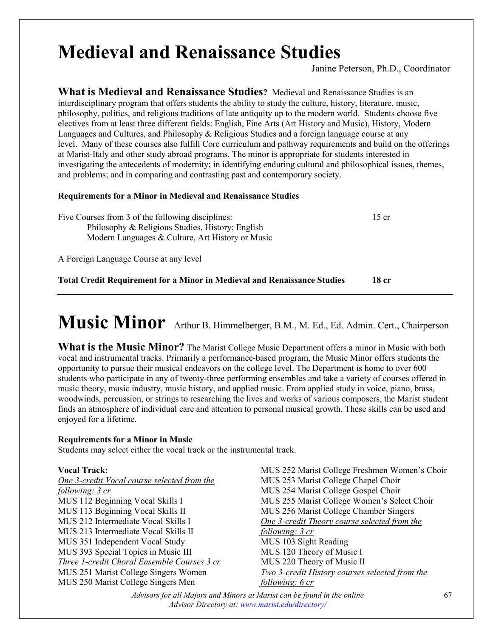### **Medieval and Renaissance Studies**

Janine Peterson, Ph.D., Coordinator

**What is Medieval and Renaissance Studies?** Medieval and Renaissance Studies is an interdisciplinary program that offers students the ability to study the culture, history, literature, music, philosophy, politics, and religious traditions of late antiquity up to the modern world. Students choose five electives from at least three different fields: English, Fine Arts (Art History and Music), History, Modern Languages and Cultures, and Philosophy & Religious Studies and a foreign language course at any level. Many of these courses also fulfill Core curriculum and pathway requirements and build on the offerings at Marist-Italy and other study abroad programs. The minor is appropriate for students interested in investigating the antecedents of modernity; in identifying enduring cultural and philosophical issues, themes, and problems; and in comparing and contrasting past and contemporary society.

### **Requirements for a Minor in Medieval and Renaissance Studies**

Five Courses from 3 of the following disciplines: 15 cr Philosophy & Religious Studies, History; English Modern Languages & Culture, Art History or Music

A Foreign Language Course at any level

**Total Credit Requirement for a Minor in Medieval and Renaissance Studies 18 cr**

### **Music Minor** Arthur B. Himmelberger, B.M., M. Ed., Ed. Admin. Cert., Chairperson

**What is the Music Minor?** The Marist College Music Department offers a minor in Music with both vocal and instrumental tracks. Primarily a performance-based program, the Music Minor offers students the opportunity to pursue their musical endeavors on the college level. The Department is home to over 600 students who participate in any of twenty-three performing ensembles and take a variety of courses offered in music theory, music industry, music history, and applied music. From applied study in voice, piano, brass, woodwinds, percussion, or strings to researching the lives and works of various composers, the Marist student finds an atmosphere of individual care and attention to personal musical growth. These skills can be used and enjoyed for a lifetime.

### **Requirements for a Minor in Music**

Students may select either the vocal track or the instrumental track.

### **Vocal Track:**

*One 3-credit Vocal course selected from the following: 3 cr* MUS 112 Beginning Vocal Skills I MUS 113 Beginning Vocal Skills II MUS 212 Intermediate Vocal Skills I MUS 213 Intermediate Vocal Skills II MUS 351 Independent Vocal Study MUS 393 Special Topics in Music III *Three 1-credit Choral Ensemble Courses 3 cr* MUS 251 Marist College Singers Women MUS 250 Marist College Singers Men

MUS 252 Marist College Freshmen Women's Choir MUS 253 Marist College Chapel Choir MUS 254 Marist College Gospel Choir MUS 255 Marist College Women's Select Choir MUS 256 Marist College Chamber Singers *One 3-credit Theory course selected from the following: 3 cr* MUS 103 Sight Reading MUS 120 Theory of Music I MUS 220 Theory of Music II *Two 3-credit History courses selected from the following: 6 cr*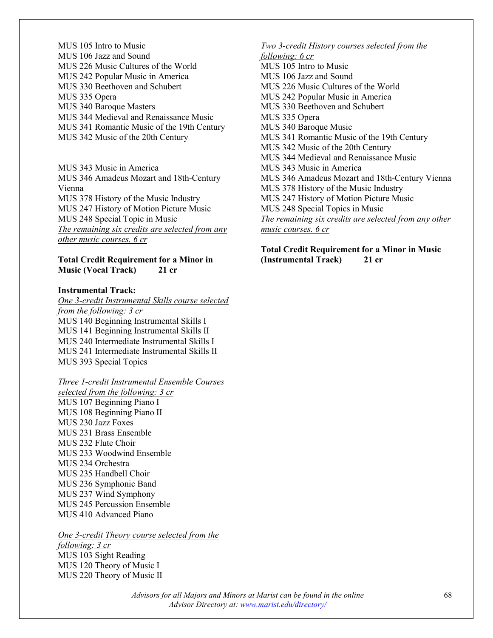MUS 105 Intro to Music MUS 106 Jazz and Sound MUS 226 Music Cultures of the World MUS 242 Popular Music in America MUS 330 Beethoven and Schubert MUS 335 Opera MUS 340 Baroque Masters MUS 344 Medieval and Renaissance Music MUS 341 Romantic Music of the 19th Century MUS 342 Music of the 20th Century

MUS 343 Music in America MUS 346 Amadeus Mozart and 18th-Century Vienna MUS 378 History of the Music Industry MUS 247 History of Motion Picture Music MUS 248 Special Topic in Music *The remaining six credits are selected from any other music courses. 6 cr*

#### **Total Credit Requirement for a Minor in Music (Vocal Track) 21 cr**

#### **Instrumental Track:**

*One 3-credit Instrumental Skills course selected from the following: 3 cr* MUS 140 Beginning Instrumental Skills I MUS 141 Beginning Instrumental Skills II MUS 240 Intermediate Instrumental Skills I MUS 241 Intermediate Instrumental Skills II MUS 393 Special Topics

### *Three 1-credit Instrumental Ensemble Courses*

*selected from the following: 3 cr* MUS 107 Beginning Piano I MUS 108 Beginning Piano II MUS 230 Jazz Foxes MUS 231 Brass Ensemble MUS 232 Flute Choir MUS 233 Woodwind Ensemble MUS 234 Orchestra MUS 235 Handbell Choir MUS 236 Symphonic Band MUS 237 Wind Symphony MUS 245 Percussion Ensemble MUS 410 Advanced Piano

*One 3-credit Theory course selected from the following: 3 cr* MUS 103 Sight Reading MUS 120 Theory of Music I MUS 220 Theory of Music II

### *Two 3-credit History courses selected from the following: 6 cr* MUS 105 Intro to Music MUS 106 Jazz and Sound MUS 226 Music Cultures of the World MUS 242 Popular Music in America MUS 330 Beethoven and Schubert MUS 335 Opera MUS 340 Baroque Music MUS 341 Romantic Music of the 19th Century MUS 342 Music of the 20th Century MUS 344 Medieval and Renaissance Music MUS 343 Music in America MUS 346 Amadeus Mozart and 18th-Century Vienna MUS 378 History of the Music Industry MUS 247 History of Motion Picture Music MUS 248 Special Topics in Music *The remaining six credits are selected from any other music courses. 6 cr*

#### **Total Credit Requirement for a Minor in Music (Instrumental Track) 21 cr**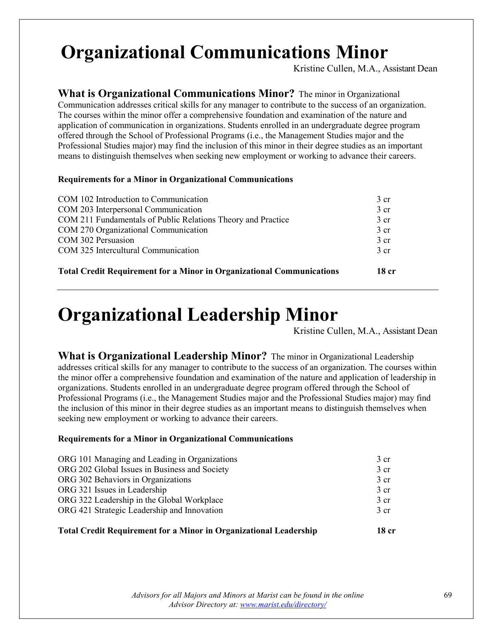### **Organizational Communications Minor**

Kristine Cullen, M.A., Assistant Dean

**What is Organizational Communications Minor?** The minor in Organizational Communication addresses critical skills for any manager to contribute to the success of an organization. The courses within the minor offer a comprehensive foundation and examination of the nature and application of communication in organizations. Students enrolled in an undergraduate degree program offered through the School of Professional Programs (i.e., the Management Studies major and the Professional Studies major) may find the inclusion of this minor in their degree studies as an important means to distinguish themselves when seeking new employment or working to advance their careers.

#### **Requirements for a Minor in Organizational Communications**

| <b>Total Credit Requirement for a Minor in Organizational Communications</b> | 18 <sub>cr</sub> |
|------------------------------------------------------------------------------|------------------|
| COM 325 Intercultural Communication                                          | $3 \text{ cr}$   |
| COM 302 Persuasion                                                           | $3 \text{ cr}$   |
| COM 270 Organizational Communication                                         | 3 <sub>cr</sub>  |
| COM 211 Fundamentals of Public Relations Theory and Practice                 | $3$ cr           |
| COM 203 Interpersonal Communication                                          | $3 \text{ cr}$   |
| COM 102 Introduction to Communication                                        | $3 \text{ cr}$   |
|                                                                              |                  |

### **Organizational Leadership Minor**

Kristine Cullen, M.A., Assistant Dean

**What is Organizational Leadership Minor?** The minor in Organizational Leadership addresses critical skills for any manager to contribute to the success of an organization. The courses within the minor offer a comprehensive foundation and examination of the nature and application of leadership in organizations. Students enrolled in an undergraduate degree program offered through the School of Professional Programs (i.e., the Management Studies major and the Professional Studies major) may find the inclusion of this minor in their degree studies as an important means to distinguish themselves when seeking new employment or working to advance their careers.

### **Requirements for a Minor in Organizational Communications**

| <b>Total Credit Requirement for a Minor in Organizational Leadership</b> | 18 cr           |
|--------------------------------------------------------------------------|-----------------|
| ORG 421 Strategic Leadership and Innovation                              | 3 <sub>cr</sub> |
| ORG 322 Leadership in the Global Workplace                               | 3 <sub>cr</sub> |
| ORG 321 Issues in Leadership                                             | 3 <sub>cr</sub> |
| ORG 302 Behaviors in Organizations                                       | 3 <sub>cr</sub> |
| ORG 202 Global Issues in Business and Society                            | 3 <sub>cr</sub> |
| ORG 101 Managing and Leading in Organizations                            | 3 <sub>cr</sub> |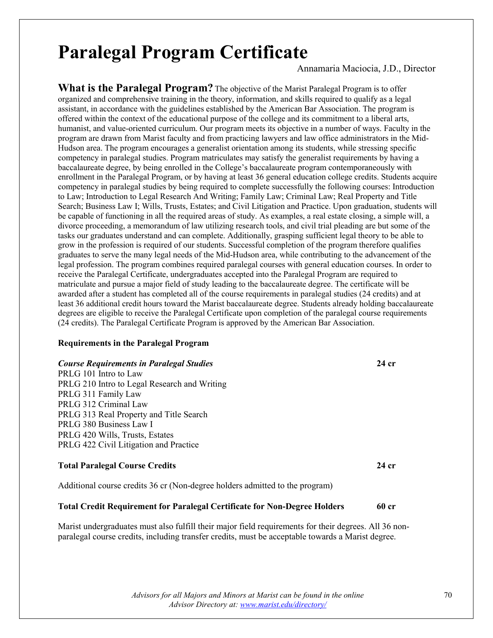### **Paralegal Program Certificate**

Annamaria Maciocia, J.D., Director

**What is the Paralegal Program?** The objective of the Marist Paralegal Program is to offer organized and comprehensive training in the theory, information, and skills required to qualify as a legal assistant, in accordance with the guidelines established by the American Bar Association. The program is offered within the context of the educational purpose of the college and its commitment to a liberal arts, humanist, and value-oriented curriculum. Our program meets its objective in a number of ways. Faculty in the program are drawn from Marist faculty and from practicing lawyers and law office administrators in the Mid-Hudson area. The program encourages a generalist orientation among its students, while stressing specific competency in paralegal studies. Program matriculates may satisfy the generalist requirements by having a baccalaureate degree, by being enrolled in the College's baccalaureate program contemporaneously with enrollment in the Paralegal Program, or by having at least 36 general education college credits. Students acquire competency in paralegal studies by being required to complete successfully the following courses: Introduction to Law; Introduction to Legal Research And Writing; Family Law; Criminal Law; Real Property and Title Search; Business Law I; Wills, Trusts, Estates; and Civil Litigation and Practice. Upon graduation, students will be capable of functioning in all the required areas of study. As examples, a real estate closing, a simple will, a divorce proceeding, a memorandum of law utilizing research tools, and civil trial pleading are but some of the tasks our graduates understand and can complete. Additionally, grasping sufficient legal theory to be able to grow in the profession is required of our students. Successful completion of the program therefore qualifies graduates to serve the many legal needs of the Mid-Hudson area, while contributing to the advancement of the legal profession. The program combines required paralegal courses with general education courses. In order to receive the Paralegal Certificate, undergraduates accepted into the Paralegal Program are required to matriculate and pursue a major field of study leading to the baccalaureate degree. The certificate will be awarded after a student has completed all of the course requirements in paralegal studies (24 credits) and at least 36 additional credit hours toward the Marist baccalaureate degree. Students already holding baccalaureate degrees are eligible to receive the Paralegal Certificate upon completion of the paralegal course requirements (24 credits). The Paralegal Certificate Program is approved by the American Bar Association.

#### **Requirements in the Paralegal Program**

#### *Course Requirements in Paralegal Studies* **24 cr**

PRLG 101 Intro to Law PRLG 210 Intro to Legal Research and Writing PRLG 311 Family Law PRLG 312 Criminal Law PRLG 313 Real Property and Title Search PRLG 380 Business Law I PRLG 420 Wills, Trusts, Estates PRLG 422 Civil Litigation and Practice

### **Total Paralegal Course Credits 24 cr**

Additional course credits 36 cr (Non-degree holders admitted to the program)

### **Total Credit Requirement for Paralegal Certificate for Non-Degree Holders 60 cr**

Marist undergraduates must also fulfill their major field requirements for their degrees. All 36 nonparalegal course credits, including transfer credits, must be acceptable towards a Marist degree.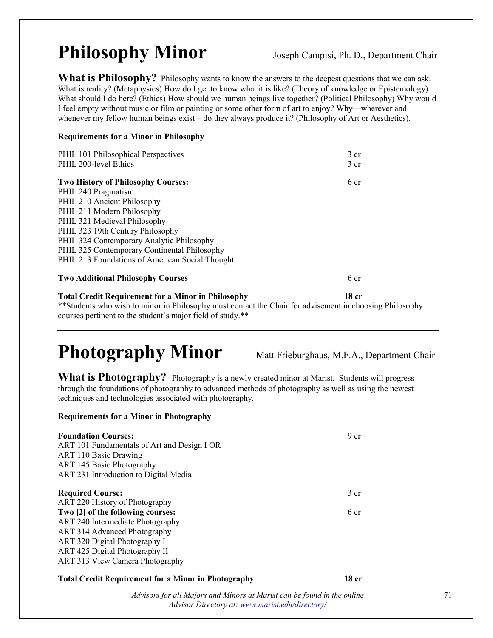## **Philosophy Minor** Joseph Campisi, Ph. D., Department Chair

What is Philosophy? Philosophy wants to know the answers to the deepest questions that we can ask. What is reality? (Metaphysics) How do I get to know what it is like? (Theory of knowledge or Epistemology) What should I do here? (Ethics) How should we human beings live together? (Political Philosophy) Why would I feel empty without music or film or painting or some other form of art to enjoy? Why—wherever and whenever my fellow human beings exist – do they always produce it? (Philosophy of Art or Aesthetics).

### **Requirements for a Minor in Philosophy**

| PHIL 101 Philosophical Perspectives<br>PHIL 200-level Ethics | 3 <sub>cr</sub><br>3 <sub>cr</sub> |
|--------------------------------------------------------------|------------------------------------|
| <b>Two History of Philosophy Courses:</b>                    | 6 <sub>cr</sub>                    |
| PHIL 240 Pragmatism                                          |                                    |
| PHIL 210 Ancient Philosophy                                  |                                    |
| PHIL 211 Modern Philosophy                                   |                                    |
| PHIL 321 Medieval Philosophy                                 |                                    |
| PHIL 323 19th Century Philosophy                             |                                    |
| PHIL 324 Contemporary Analytic Philosophy                    |                                    |
| PHIL 325 Contemporary Continental Philosophy                 |                                    |
| PHIL 213 Foundations of American Social Thought              |                                    |
| <b>Two Additional Philosophy Courses</b>                     | 6 cr                               |

**Total Credit Requirement for a Minor in Philosophy 18 cr** \*\*Students who wish to minor in Philosophy must contact the Chair for advisement in choosing Philosophy courses pertinent to the student's major field of study.\*\*

## Photography Minor Matt Frieburghaus, M.F.A., Department Chair

**What is Photography?** Photography is a newly created minor at Marist. Students will progress through the foundations of photography to advanced methods of photography as well as using the newest techniques and technologies associated with photography.

### **Requirements for a Minor in Photography**

| <b>Foundation Courses:</b><br>ART 101 Fundamentals of Art and Design I OR<br><b>ART 110 Basic Drawing</b><br>ART 145 Basic Photography<br>ART 231 Introduction to Digital Media | 9 <sub>cr</sub> |
|---------------------------------------------------------------------------------------------------------------------------------------------------------------------------------|-----------------|
| <b>Required Course:</b>                                                                                                                                                         | 3 <sub>cr</sub> |
| ART 220 History of Photography                                                                                                                                                  |                 |
| Two [2] of the following courses:                                                                                                                                               | 6 cr            |
| ART 240 Intermediate Photography                                                                                                                                                |                 |
| ART 314 Advanced Photography                                                                                                                                                    |                 |
| ART 320 Digital Photography I                                                                                                                                                   |                 |
| ART 425 Digital Photography II                                                                                                                                                  |                 |
| ART 313 View Camera Photography                                                                                                                                                 |                 |
|                                                                                                                                                                                 |                 |

### **Total Credit** R**equirement for a** M**inor in Photography 18 cr**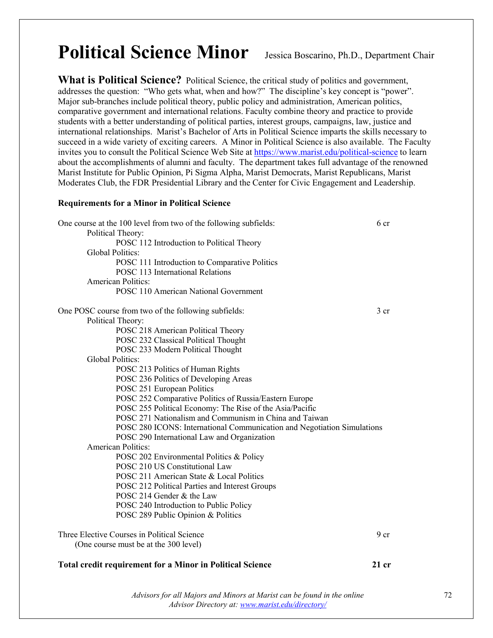### **Political Science Minor** Jessica Boscarino, Ph.D., Department Chair

**What is Political Science?** Political Science, the critical study of politics and government, addresses the question: "Who gets what, when and how?" The discipline's key concept is "power". Major sub-branches include political theory, public policy and administration, American politics, comparative government and international relations. Faculty combine theory and practice to provide students with a better understanding of political parties, interest groups, campaigns, law, justice and international relationships. Marist's Bachelor of Arts in Political Science imparts the skills necessary to succeed in a wide variety of exciting careers. A Minor in Political Science is also available. The Faculty invites you to consult the Political Science Web Site at<https://www.marist.edu/political-science> to learn about the accomplishments of alumni and faculty. The department takes full advantage of the renowned Marist Institute for Public Opinion, Pi Sigma Alpha, Marist Democrats, Marist Republicans, Marist Moderates Club, the FDR Presidential Library and the Center for Civic Engagement and Leadership.

#### **Requirements for a Minor in Political Science**

| One course at the 100 level from two of the following subfields:        | 6 cr            |
|-------------------------------------------------------------------------|-----------------|
| Political Theory:                                                       |                 |
| POSC 112 Introduction to Political Theory                               |                 |
| <b>Global Politics:</b>                                                 |                 |
| POSC 111 Introduction to Comparative Politics                           |                 |
| POSC 113 International Relations                                        |                 |
| <b>American Politics:</b>                                               |                 |
| POSC 110 American National Government                                   |                 |
| One POSC course from two of the following subfields:                    | $3 \text{ cr}$  |
| Political Theory:                                                       |                 |
| POSC 218 American Political Theory                                      |                 |
| POSC 232 Classical Political Thought                                    |                 |
| POSC 233 Modern Political Thought                                       |                 |
| <b>Global Politics:</b>                                                 |                 |
| POSC 213 Politics of Human Rights                                       |                 |
| POSC 236 Politics of Developing Areas                                   |                 |
| POSC 251 European Politics                                              |                 |
| POSC 252 Comparative Politics of Russia/Eastern Europe                  |                 |
| POSC 255 Political Economy: The Rise of the Asia/Pacific                |                 |
| POSC 271 Nationalism and Communism in China and Taiwan                  |                 |
| POSC 280 ICONS: International Communication and Negotiation Simulations |                 |
| POSC 290 International Law and Organization                             |                 |
| <b>American Politics:</b>                                               |                 |
| POSC 202 Environmental Politics & Policy                                |                 |
| POSC 210 US Constitutional Law                                          |                 |
| POSC 211 American State & Local Politics                                |                 |
| POSC 212 Political Parties and Interest Groups                          |                 |
| POSC 214 Gender & the Law                                               |                 |
| POSC 240 Introduction to Public Policy                                  |                 |
| POSC 289 Public Opinion & Politics                                      |                 |
| Three Elective Courses in Political Science                             | 9 <sub>cr</sub> |
| (One course must be at the 300 level)                                   |                 |
| <b>Total credit requirement for a Minor in Political Science</b>        | $21$ cr         |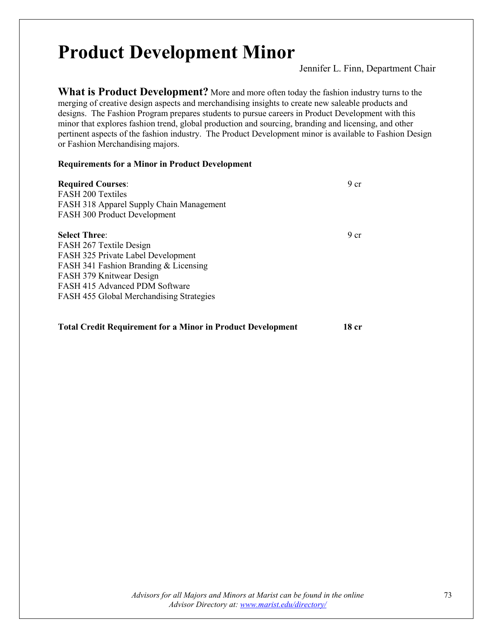## **Product Development Minor**

Jennifer L. Finn, Department Chair

**What is Product Development?** More and more often today the fashion industry turns to the merging of creative design aspects and merchandising insights to create new saleable products and designs. The Fashion Program prepares students to pursue careers in Product Development with this minor that explores fashion trend, global production and sourcing, branding and licensing, and other pertinent aspects of the fashion industry. The Product Development minor is available to Fashion Design or Fashion Merchandising majors.

## **Requirements for a Minor in Product Development**

| <b>Required Courses:</b><br><b>FASH 200 Textiles</b><br>FASH 318 Apparel Supply Chain Management<br>FASH 300 Product Development                                                                                                         | 9 <sub>cr</sub> |
|------------------------------------------------------------------------------------------------------------------------------------------------------------------------------------------------------------------------------------------|-----------------|
| <b>Select Three:</b><br>FASH 267 Textile Design<br>FASH 325 Private Label Development<br>FASH 341 Fashion Branding & Licensing<br>FASH 379 Knitwear Design<br>FASH 415 Advanced PDM Software<br>FASH 455 Global Merchandising Strategies | 9 <sub>cr</sub> |

## **Total Credit Requirement for a Minor in Product Development 18 cr**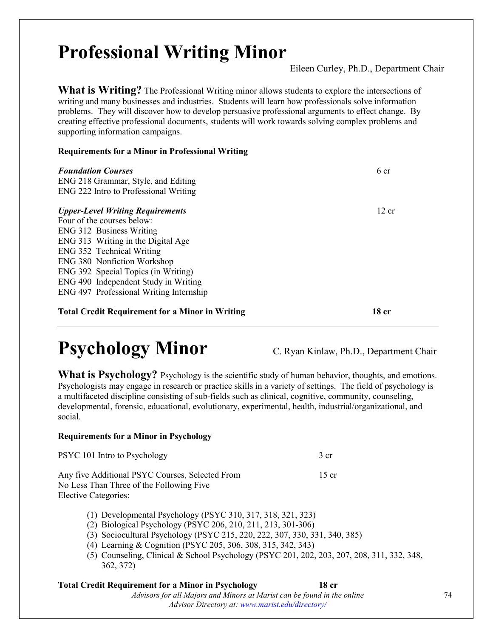## **Professional Writing Minor**

Eileen Curley, Ph.D., Department Chair

**What is Writing?** The Professional Writing minor allows students to explore the intersections of writing and many businesses and industries. Students will learn how professionals solve information problems. They will discover how to develop persuasive professional arguments to effect change. By creating effective professional documents, students will work towards solving complex problems and supporting information campaigns.

## **Requirements for a Minor in Professional Writing**

| <b>Foundation Courses</b><br>ENG 218 Grammar, Style, and Editing<br>ENG 222 Intro to Professional Writing | 6 cr  |
|-----------------------------------------------------------------------------------------------------------|-------|
| <b>Upper-Level Writing Requirements</b>                                                                   | 12 cr |
| Four of the courses below:                                                                                |       |
| ENG 312 Business Writing                                                                                  |       |
| ENG 313 Writing in the Digital Age                                                                        |       |
| ENG 352 Technical Writing                                                                                 |       |
| <b>ENG 380 Nonfiction Workshop</b>                                                                        |       |
| ENG 392 Special Topics (in Writing)                                                                       |       |
| ENG 490 Independent Study in Writing                                                                      |       |
| ENG 497 Professional Writing Internship                                                                   |       |
| <b>Total Credit Requirement for a Minor in Writing</b>                                                    | 18 cr |

## **Psychology Minor** C. Ryan Kinlaw, Ph.D., Department Chair

What is Psychology? Psychology is the scientific study of human behavior, thoughts, and emotions. Psychologists may engage in research or practice skills in a variety of settings. The field of psychology is a multifaceted discipline consisting of sub-fields such as clinical, cognitive, community, counseling, developmental, forensic, educational, evolutionary, experimental, health, industrial/organizational, and social.

## **Requirements for a Minor in Psychology**

| PSYC 101 Intro to Psychology                                                                | 3 cr    |
|---------------------------------------------------------------------------------------------|---------|
| Any five Additional PSYC Courses, Selected From<br>No Less Than Three of the Following Five | $15$ cr |
| Elective Categories:                                                                        |         |

- (1) Developmental Psychology (PSYC 310, 317, 318, 321, 323)
- (2) Biological Psychology (PSYC 206, 210, 211, 213, 301-306)
- (3) Sociocultural Psychology (PSYC 215, 220, 222, 307, 330, 331, 340, 385)
- (4) Learning & Cognition (PSYC 205, 306, 308, 315, 342, 343)
- (5) Counseling, Clinical & School Psychology (PSYC 201, 202, 203, 207, 208, 311, 332, 348, 362, 372)

### *Advisors for all Majors and Minors at Marist can be found in the online Advisor Directory at: [www.marist.edu/directory/](http://www.marist.edu/directory/)* **Total Credit Requirement for a Minor in Psychology 18 cr**

74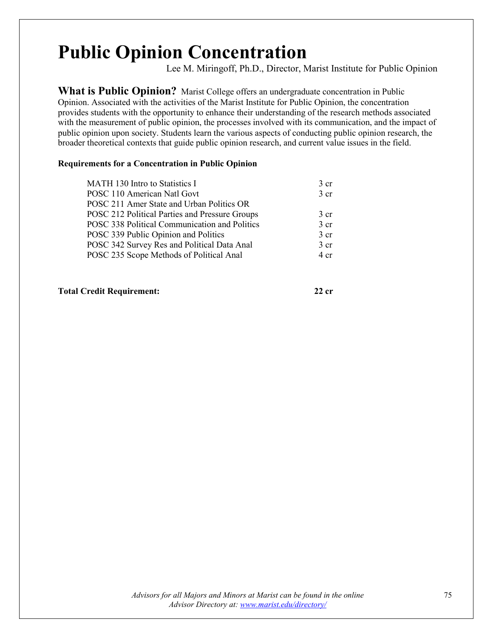## **Public Opinion Concentration**

Lee M. Miringoff, Ph.D., Director, Marist Institute for Public Opinion

**What is Public Opinion?** Marist College offers an undergraduate concentration in Public Opinion. Associated with the activities of the Marist Institute for Public Opinion, the concentration provides students with the opportunity to enhance their understanding of the research methods associated with the measurement of public opinion, the processes involved with its communication, and the impact of public opinion upon society. Students learn the various aspects of conducting public opinion research, the broader theoretical contexts that guide public opinion research, and current value issues in the field.

## **Requirements for a Concentration in Public Opinion**

| MATH 130 Intro to Statistics I                 | 3 <sub>cr</sub> |
|------------------------------------------------|-----------------|
| POSC 110 American Natl Govt                    | 3 <sub>cr</sub> |
| POSC 211 Amer State and Urban Politics OR      |                 |
| POSC 212 Political Parties and Pressure Groups | 3 <sub>cr</sub> |
| POSC 338 Political Communication and Politics  | 3 <sub>cr</sub> |
| POSC 339 Public Opinion and Politics           | 3 <sub>cr</sub> |
| POSC 342 Survey Res and Political Data Anal    | 3 <sub>cr</sub> |
| POSC 235 Scope Methods of Political Anal       | 4 cr            |
|                                                |                 |

## **Total Credit Requirement: 22 cr**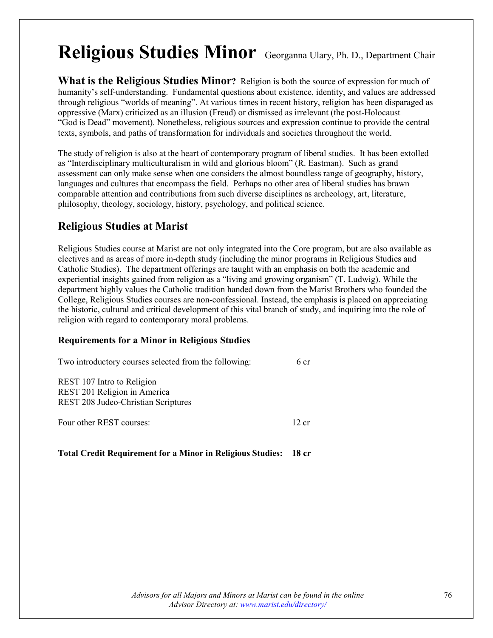## **Religious Studies Minor** Georganna Ulary, Ph. D., Department Chair

**What is the Religious Studies Minor?** Religion is both the source of expression for much of humanity's self-understanding. Fundamental questions about existence, identity, and values are addressed through religious "worlds of meaning". At various times in recent history, religion has been disparaged as oppressive (Marx) criticized as an illusion (Freud) or dismissed as irrelevant (the post-Holocaust "God is Dead" movement). Nonetheless, religious sources and expression continue to provide the central texts, symbols, and paths of transformation for individuals and societies throughout the world.

The study of religion is also at the heart of contemporary program of liberal studies. It has been extolled as "Interdisciplinary multiculturalism in wild and glorious bloom" (R. Eastman). Such as grand assessment can only make sense when one considers the almost boundless range of geography, history, languages and cultures that encompass the field. Perhaps no other area of liberal studies has brawn comparable attention and contributions from such diverse disciplines as archeology, art, literature, philosophy, theology, sociology, history, psychology, and political science.

## **Religious Studies at Marist**

Religious Studies course at Marist are not only integrated into the Core program, but are also available as electives and as areas of more in-depth study (including the minor programs in Religious Studies and Catholic Studies). The department offerings are taught with an emphasis on both the academic and experiential insights gained from religion as a "living and growing organism" (T. Ludwig). While the department highly values the Catholic tradition handed down from the Marist Brothers who founded the College, Religious Studies courses are non-confessional. Instead, the emphasis is placed on appreciating the historic, cultural and critical development of this vital branch of study, and inquiring into the role of religion with regard to contemporary moral problems.

## **Requirements for a Minor in Religious Studies**

| Two introductory courses selected from the following:                                             | 6 cr  |
|---------------------------------------------------------------------------------------------------|-------|
| REST 107 Intro to Religion<br>REST 201 Religion in America<br>REST 208 Judeo-Christian Scriptures |       |
| Four other REST courses:                                                                          | 12 cr |

## **Total Credit Requirement for a Minor in Religious Studies: 18 cr**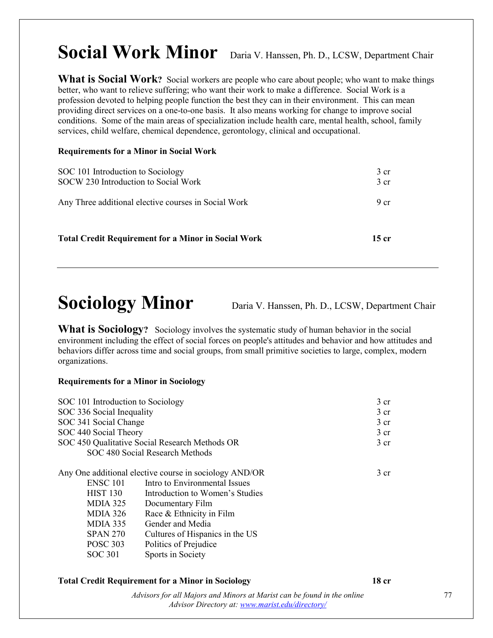## Social Work Minor Daria V. Hanssen, Ph. D., LCSW, Department Chair

**What is Social Work?** Social workers are people who care about people; who want to make things better, who want to relieve suffering; who want their work to make a difference. Social Work is a profession devoted to helping people function the best they can in their environment. This can mean providing direct services on a one-to-one basis. It also means working for change to improve social conditions. Some of the main areas of specialization include health care, mental health, school, family services, child welfare, chemical dependence, gerontology, clinical and occupational.

## **Requirements for a Minor in Social Work**

| SOC 101 Introduction to Sociology<br>SOCW 230 Introduction to Social Work | 3 <sub>cr</sub><br>3 <sub>cr</sub> |
|---------------------------------------------------------------------------|------------------------------------|
| Any Three additional elective courses in Social Work                      | 9 <sub>cr</sub>                    |
| <b>Total Credit Requirement for a Minor in Social Work</b>                | 15 cr                              |

## **Sociology Minor** Daria V. Hanssen, Ph. D., LCSW, Department Chair

What is Sociology? Sociology involves the systematic study of human behavior in the social environment including the effect of social forces on people's attitudes and behavior and how attitudes and behaviors differ across time and social groups, from small primitive societies to large, complex, modern organizations.

## **Requirements for a Minor in Sociology**

| SOC 101 Introduction to Sociology                                                                                                |                                                                                                                                                                                                                                                                                 | 3 <sub>cr</sub> |
|----------------------------------------------------------------------------------------------------------------------------------|---------------------------------------------------------------------------------------------------------------------------------------------------------------------------------------------------------------------------------------------------------------------------------|-----------------|
| SOC 336 Social Inequality                                                                                                        |                                                                                                                                                                                                                                                                                 | 3 <sub>cr</sub> |
| SOC 341 Social Change                                                                                                            |                                                                                                                                                                                                                                                                                 | 3 <sub>cr</sub> |
| SOC 440 Social Theory                                                                                                            |                                                                                                                                                                                                                                                                                 | 3 <sub>cr</sub> |
|                                                                                                                                  | SOC 450 Qualitative Social Research Methods OR                                                                                                                                                                                                                                  | 3 <sub>cr</sub> |
|                                                                                                                                  | SOC 480 Social Research Methods                                                                                                                                                                                                                                                 |                 |
| <b>ENSC 101</b><br><b>HIST 130</b><br>MDIA 325<br>$MDIA$ 326<br>MDIA 335<br><b>SPAN 270</b><br><b>POSC 303</b><br><b>SOC 301</b> | Any One additional elective course in sociology AND/OR<br>Intro to Environmental Issues<br>Introduction to Women's Studies<br>Documentary Film<br>Race & Ethnicity in Film<br>Gender and Media<br>Cultures of Hispanics in the US<br>Politics of Prejudice<br>Sports in Society | 3 <sub>cr</sub> |

## **Total Credit Requirement for a Minor in Sociology 18 cr**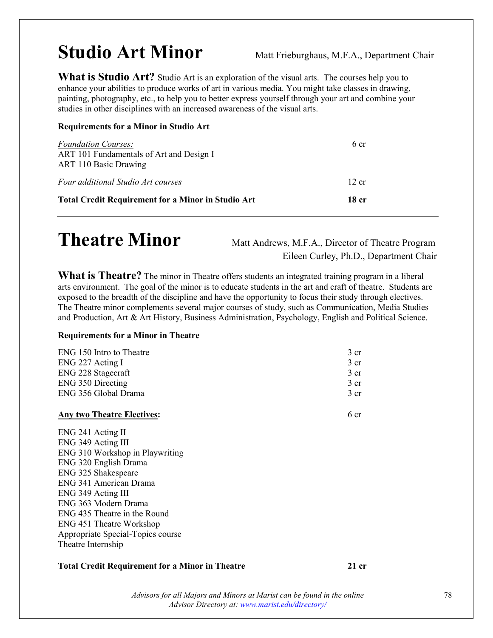## **Studio Art Minor** Matt Frieburghaus, M.F.A., Department Chair

**What is Studio Art?** Studio Art is an exploration of the visual arts. The courses help you to enhance your abilities to produce works of art in various media. You might take classes in drawing, painting, photography, etc., to help you to better express yourself through your art and combine your studies in other disciplines with an increased awareness of the visual arts.

## **Requirements for a Minor in Studio Art**

| 18 cr           | <b>Total Credit Requirement for a Minor in Studio Art</b>         |
|-----------------|-------------------------------------------------------------------|
| $12 \text{ cr}$ | Four additional Studio Art courses                                |
| 6 cr            | ART 101 Fundamentals of Art and Design I<br>ART 110 Basic Drawing |
|                 | <b>Foundation Courses:</b>                                        |

## **Theatre Minor** Matt Andrews, M.F.A., Director of Theatre Program

Eileen Curley, Ph.D., Department Chair

**What is Theatre?** The minor in Theatre offers students an integrated training program in a liberal arts environment. The goal of the minor is to educate students in the art and craft of theatre. Students are exposed to the breadth of the discipline and have the opportunity to focus their study through electives. The Theatre minor complements several major courses of study, such as Communication, Media Studies and Production, Art & Art History, Business Administration, Psychology, English and Political Science.

## **Requirements for a Minor in Theatre**

| ENG 150 Intro to Theatre          | 3 cr            |
|-----------------------------------|-----------------|
| ENG 227 Acting I                  | 3 cr            |
| ENG 228 Stagecraft                | 3 <sub>cr</sub> |
| <b>ENG 350 Directing</b>          | 3 <sub>cr</sub> |
| ENG 356 Global Drama              | 3 <sub>cr</sub> |
| <b>Any two Theatre Electives:</b> | 6 cr            |

ENG 241 Acting II ENG 349 Acting III ENG 310 Workshop in Playwriting ENG 320 English Drama ENG 325 Shakespeare ENG 341 American Drama ENG 349 Acting III ENG 363 Modern Drama ENG 435 Theatre in the Round ENG 451 Theatre Workshop Appropriate Special-Topics course Theatre Internship

## **Total Credit Requirement for a Minor in Theatre 21 cr**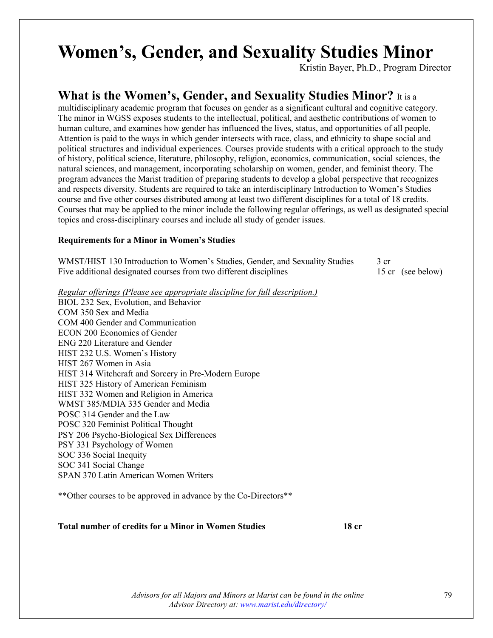# **Women's, Gender, and Sexuality Studies Minor**<br>Kristin Bayer, Ph.D., Program Director

## **What is the Women's, Gender, and Sexuality Studies Minor?** It is a

multidisciplinary academic program that focuses on gender as a significant cultural and cognitive category. The minor in WGSS exposes students to the intellectual, political, and aesthetic contributions of women to human culture, and examines how gender has influenced the lives, status, and opportunities of all people. Attention is paid to the ways in which gender intersects with race, class, and ethnicity to shape social and political structures and individual experiences. Courses provide students with a critical approach to the study of history, political science, literature, philosophy, religion, economics, communication, social sciences, the natural sciences, and management, incorporating scholarship on women, gender, and feminist theory. The program advances the Marist tradition of preparing students to develop a global perspective that recognizes and respects diversity. Students are required to take an interdisciplinary Introduction to Women's Studies course and five other courses distributed among at least two different disciplines for a total of 18 credits. Courses that may be applied to the minor include the following regular offerings, as well as designated special topics and cross-disciplinary courses and include all study of gender issues.

## **Requirements for a Minor in Women's Studies**

| WMST/HIST 130 Introduction to Women's Studies, Gender, and Sexuality Studies |                   |
|------------------------------------------------------------------------------|-------------------|
| Five additional designated courses from two different disciplines            | 15 cr (see below) |

*Regular offerings (Please see appropriate discipline for full description.)*

BIOL 232 Sex, Evolution, and Behavior COM 350 Sex and Media COM 400 Gender and Communication ECON 200 Economics of Gender ENG 220 Literature and Gender HIST 232 U.S. Women's History HIST 267 Women in Asia HIST 314 Witchcraft and Sorcery in Pre-Modern Europe HIST 325 History of American Feminism HIST 332 Women and Religion in America WMST 385/MDIA 335 Gender and Media POSC 314 Gender and the Law POSC 320 Feminist Political Thought PSY 206 Psycho-Biological Sex Differences PSY 331 Psychology of Women SOC 336 Social Inequity SOC 341 Social Change SPAN 370 Latin American Women Writers

\*\*Other courses to be approved in advance by the Co-Directors\*\*

## **Total number of credits for a Minor in Women Studies 18 cr**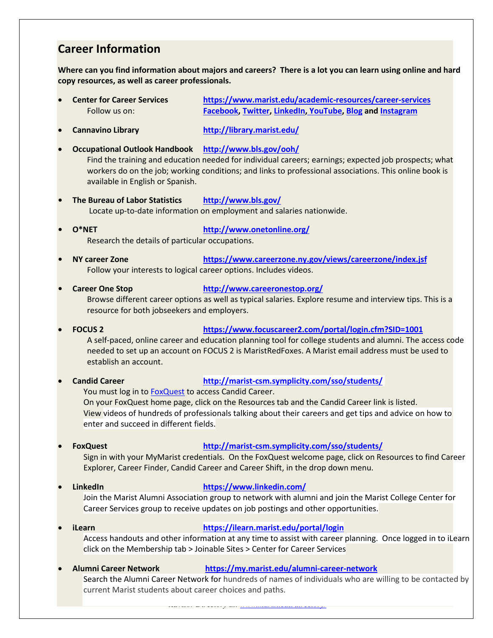## **Career Information**

**Where can you find information about majors and careers? There is a lot you can learn using online and hard copy resources, as well as career professionals.**

- **Center for Career Services https://www.marist.edu/academic-resources/career-services** Follow us on: **Facebook, Twitter, LinkedIn, YouTube, Blog and Instagram**
- **Cannavino Library http://library.marist.edu/**
- **Occupational Outlook Handbook http://www.bls.gov/ooh/**

Find the training and education needed for individual careers; earnings; expected job prospects; what workers do on the job; working conditions; and links to professional associations. This online book is available in English or Spanish.

- **The Bureau of Labor Statistics http://www.bls.gov/** Locate up-to-date information on employment and salaries nationwide.
- **O\*NET http://www.onetonline.org/** Research the details of particular occupations.
- **AY career Zone https://www.careerzone.ny.gov/views/careerzone/index.jsf** Follow your interests to logical career options. Includes videos.
- **Career One Stop http://www.careeronestop.org/** Browse different career options as well as typical salaries. Explore resume and interview tips. This is a resource for both jobseekers and employers.
- **FOCUS 2 https://www.focuscareer2.com/portal/login.cfm?SID=1001** A self-paced, online career and education planning tool for college students and alumni. The access code needed to set up an account on FOCUS 2 is MaristRedFoxes. A Marist email address must be used to

establish an account.

• **Candid Career http://marist-csm.symplicity.com/sso/students/**

You must log in to **FoxQuest** to access Candid Career.

On your FoxQuest home page, click on the Resources tab and the Candid Career link is listed. View videos of hundreds of professionals talking about their careers and get tips and advice on how to enter and succeed in different fields.

## • **FoxQuest http://marist-csm.symplicity.com/sso/students/**

Sign in with your MyMarist credentials. On the FoxQuest welcome page, click on Resources to find Career Explorer, Career Finder, Candid Career and Career Shift, in the drop down menu.

• **LinkedIn https://www.linkedin.com/**

Join the Marist Alumni Association group to network with alumni and join the Marist College Center for Career Services group to receive updates on job postings and other opportunities.

- **iLearn https://ilearn.marist.edu/portal/login** Access handouts and other information at any time to assist with career planning. Once logged in to iLearn click on the Membership tab > Joinable Sites > Center for Career Services
	- **Alumni Career Network https://my.marist.edu/alumni-career-network**

*Advisors for all Majors and Minors at Marist can be found in the online*  current Marist students about career choices and paths.Search the Alumni Career Network for hundreds of names of individuals who are willing to be contacted by

*Advisor Directory at: [www.marist.edu/directory/](http://www.marist.edu/directory/)*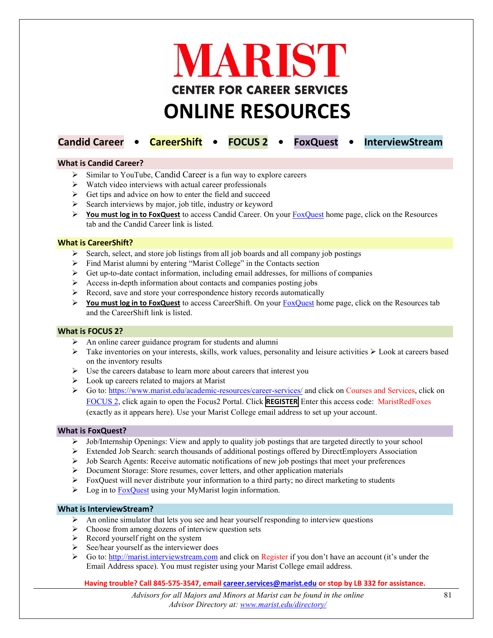

## **Candid Career • CareerShift • FOCUS 2 • FoxQuest • InterviewStream**

#### **What is Candid Career?**

- $\triangleright$  Similar to YouTube, Candid Career is a fun way to explore careers
- $\triangleright$  Watch video interviews with actual career professionals
- $\triangleright$  Get tips and advice on how to enter the field and succeed
- $\triangleright$  Search interviews by major, job title, industry or keyword
- **You must log in to FoxQuest** to access Candid Career. On your [FoxQuest](http://marist-csm.symplicity.com/sso/students/) [ho](http://marist-csm.symplicity.com/sso/students/)me page, click on the Resources tab and the Candid Career link is listed.

#### **What is CareerShift?**

- $\triangleright$  Search, select, and store job listings from all job boards and all company job postings
- $\triangleright$  Find Marist alumni by entering "Marist College" in the Contacts section
- $\triangleright$  Get up-to-date contact information, including email addresses, for millions of companies
- $\triangleright$  Access in-depth information about contacts and companies posting jobs
- $\triangleright$  Record, save and store your correspondence history records automatically
- **You must log in to FoxQuest** to access CareerShift. On your [FoxQuest](http://marist-csm.symplicity.com/sso/students/) [ho](http://marist-csm.symplicity.com/sso/students/)me page, click on the Resources tab and the CareerShift link is listed.

### **What is FOCUS 2?**

- $\triangleright$  An online career guidance program for students and alumni
- $\triangleright$  Take inventories on your interests, skills, work values, personality and leisure activities  $\triangleright$  Look at careers based on the inventory results
- $\triangleright$  Use the careers database to learn more about careers that interest you
- $\triangleright$  Look up careers related to majors at Marist
- Go to: https://www.marist.edu/academic-resources/career-services/ and click on Courses and Services, click on [FOCUS 2,](https://www.focus2career.com/Portal/Login.cfm?SID=1001) click again to open the Focus2 Portal. Click **REGISTER** Enter this access code: MaristRedFoxes (exactly as it appears here). Use your Marist College email address to set up your account.

#### **What is FoxQuest?**

- $\triangleright$  Job/Internship Openings: View and apply to quality job postings that are targeted directly to your school
- Extended Job Search: search thousands of additional postings offered by DirectEmployers Association
- $\triangleright$  Job Search Agents: Receive automatic notifications of new job postings that meet your preferences
- Document Storage: Store resumes, cover letters, and other application materials
- $\triangleright$  FoxQuest will never distribute your information to a third party; no direct marketing to students
- $\triangleright$  Log in to **FoxQuest** [us](http://marist-csm.symplicity.com/sso/students/)ing your MyMarist login information.

#### **What is InterviewStream?**

- $\triangleright$  An online simulator that lets you see and hear yourself responding to interview questions
- $\triangleright$  Choose from among dozens of interview question sets
- $\triangleright$  Record yourself right on the system
- $\triangleright$  See/hear yourself as the interviewer does
- $\triangleright$  $\triangleright$  $\triangleright$  Go to: [http://marist.interviewstream.com](http://marist.interviewstream.com/) and click on Register if you don't have an account (it's under the Email Address space). You must register using your Marist College email address.

#### **Having trouble? Call 845-575-3547, email career.services@marist.edu or stop by LB 332 for assistance.**

*Advisors for all Majors and Minors at Marist can be found in the online Advisor Directory at: [www.marist.edu/directory/](http://www.marist.edu/directory/)*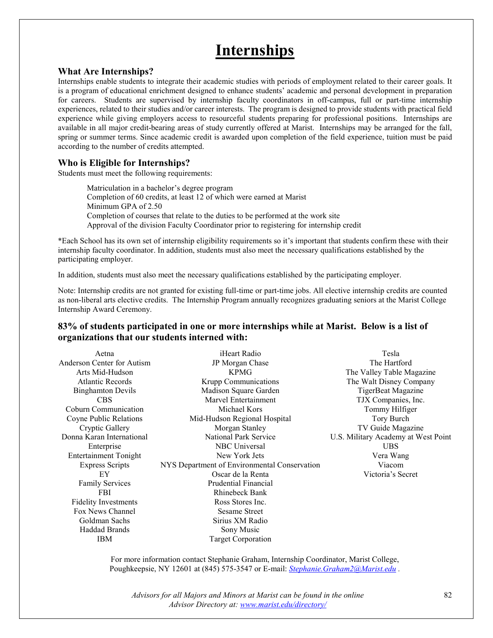## **Internships**

## **What Are Internships?**

Internships enable students to integrate their academic studies with periods of employment related to their career goals. It is a program of educational enrichment designed to enhance students' academic and personal development in preparation for careers. Students are supervised by internship faculty coordinators in off-campus, full or part-time internship experiences, related to their studies and/or career interests. The program is designed to provide students with practical field experience while giving employers access to resourceful students preparing for professional positions. Internships are available in all major credit-bearing areas of study currently offered at Marist. Internships may be arranged for the fall, spring or summer terms. Since academic credit is awarded upon completion of the field experience, tuition must be paid according to the number of credits attempted.

## **Who is Eligible for Internships?**

Students must meet the following requirements:

 Matriculation in a bachelor's degree program Completion of 60 credits, at least 12 of which were earned at Marist Minimum GPA of 2.50 Completion of courses that relate to the duties to be performed at the work site Approval of the division Faculty Coordinator prior to registering for internship credit

\*Each School has its own set of internship eligibility requirements so it's important that students confirm these with their internship faculty coordinator. In addition, students must also meet the necessary qualifications established by the participating employer.

In addition, students must also meet the necessary qualifications established by the participating employer.

Note: Internship credits are not granted for existing full-time or part-time jobs. All elective internship credits are counted as non-liberal arts elective credits. The Internship Program annually recognizes graduating seniors at the Marist College Internship Award Ceremony.

## **83% of students participated in one or more internships while at Marist. Below is a list of organizations that our students interned with:**

| iHeart Radio                                 | Tesla                               |
|----------------------------------------------|-------------------------------------|
| JP Morgan Chase                              | The Hartford                        |
| <b>KPMG</b>                                  | The Valley Table Magazine           |
| Krupp Communications                         | The Walt Disney Company             |
| Madison Square Garden                        | TigerBeat Magazine                  |
| Marvel Entertainment                         | TJX Companies, Inc.                 |
| Michael Kors                                 | Tommy Hilfiger                      |
| Mid-Hudson Regional Hospital                 | Tory Burch                          |
| Morgan Stanley                               | TV Guide Magazine                   |
| National Park Service                        | U.S. Military Academy at West Point |
| <b>NBC</b> Universal                         | <b>UBS</b>                          |
| New York Jets                                | Vera Wang                           |
| NYS Department of Environmental Conservation | Viacom                              |
| Oscar de la Renta                            | Victoria's Secret                   |
| Prudential Financial                         |                                     |
| <b>Rhinebeck Bank</b>                        |                                     |
| Ross Stores Inc.                             |                                     |
| <b>Sesame Street</b>                         |                                     |
| Sirius XM Radio                              |                                     |
| Sony Music                                   |                                     |
| Target Corporation                           |                                     |
|                                              |                                     |

For more information contact Stephanie Graham, Internship Coordinator, Marist College, Poughkeepsie, NY 12601 at (845) 575-3547 or E-mail: *[Stephanie.Graham2@Marist.edu](mailto:Stephanie.Graham2@Marist.edu) .*

*Advisors for all Majors and Minors at Marist can be found in the online Advisor Directory at: [www.marist.edu/directory/](http://www.marist.edu/directory/)*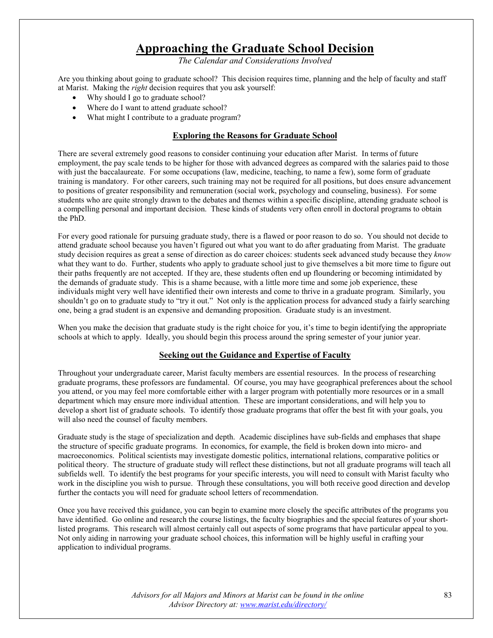## **Approaching the Graduate School Decision**

*The Calendar and Considerations Involved*

Are you thinking about going to graduate school? This decision requires time, planning and the help of faculty and staff at Marist. Making the *right* decision requires that you ask yourself:

- Why should I go to graduate school?
- Where do I want to attend graduate school?
- What might I contribute to a graduate program?

## **Exploring the Reasons for Graduate School**

There are several extremely good reasons to consider continuing your education after Marist. In terms of future employment, the pay scale tends to be higher for those with advanced degrees as compared with the salaries paid to those with just the baccalaureate. For some occupations (law, medicine, teaching, to name a few), some form of graduate training is mandatory. For other careers, such training may not be required for all positions, but does ensure advancement to positions of greater responsibility and remuneration (social work, psychology and counseling, business). For some students who are quite strongly drawn to the debates and themes within a specific discipline, attending graduate school is a compelling personal and important decision. These kinds of students very often enroll in doctoral programs to obtain the PhD.

For every good rationale for pursuing graduate study, there is a flawed or poor reason to do so. You should not decide to attend graduate school because you haven't figured out what you want to do after graduating from Marist. The graduate study decision requires as great a sense of direction as do career choices: students seek advanced study because they *know* what they want to do. Further, students who apply to graduate school just to give themselves a bit more time to figure out their paths frequently are not accepted. If they are, these students often end up floundering or becoming intimidated by the demands of graduate study. This is a shame because, with a little more time and some job experience, these individuals might very well have identified their own interests and come to thrive in a graduate program. Similarly, you shouldn't go on to graduate study to "try it out." Not only is the application process for advanced study a fairly searching one, being a grad student is an expensive and demanding proposition. Graduate study is an investment.

When you make the decision that graduate study is the right choice for you, it's time to begin identifying the appropriate schools at which to apply. Ideally, you should begin this process around the spring semester of your junior year.

### **Seeking out the Guidance and Expertise of Faculty**

Throughout your undergraduate career, Marist faculty members are essential resources. In the process of researching graduate programs, these professors are fundamental. Of course, you may have geographical preferences about the school you attend, or you may feel more comfortable either with a larger program with potentially more resources or in a small department which may ensure more individual attention. These are important considerations, and will help you to develop a short list of graduate schools. To identify those graduate programs that offer the best fit with your goals, you will also need the counsel of faculty members.

Graduate study is the stage of specialization and depth. Academic disciplines have sub-fields and emphases that shape the structure of specific graduate programs. In economics, for example, the field is broken down into micro- and macroeconomics. Political scientists may investigate domestic politics, international relations, comparative politics or political theory. The structure of graduate study will reflect these distinctions, but not all graduate programs will teach all subfields well. To identify the best programs for your specific interests, you will need to consult with Marist faculty who work in the discipline you wish to pursue. Through these consultations, you will both receive good direction and develop further the contacts you will need for graduate school letters of recommendation.

Once you have received this guidance, you can begin to examine more closely the specific attributes of the programs you have identified. Go online and research the course listings, the faculty biographies and the special features of your shortlisted programs. This research will almost certainly call out aspects of some programs that have particular appeal to you. Not only aiding in narrowing your graduate school choices, this information will be highly useful in crafting your application to individual programs.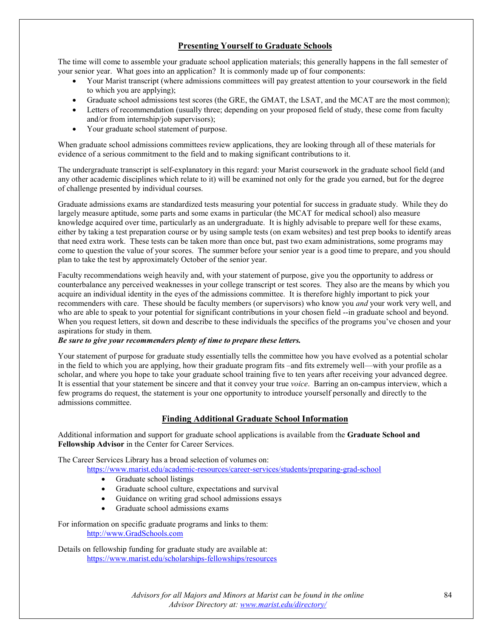## **Presenting Yourself to Graduate Schools**

The time will come to assemble your graduate school application materials; this generally happens in the fall semester of your senior year. What goes into an application? It is commonly made up of four components:

- Your Marist transcript (where admissions committees will pay greatest attention to your coursework in the field to which you are applying);
- Graduate school admissions test scores (the GRE, the GMAT, the LSAT, and the MCAT are the most common);
- Letters of recommendation (usually three; depending on your proposed field of study, these come from faculty and/or from internship/job supervisors);
- Your graduate school statement of purpose.

When graduate school admissions committees review applications, they are looking through all of these materials for evidence of a serious commitment to the field and to making significant contributions to it.

The undergraduate transcript is self-explanatory in this regard: your Marist coursework in the graduate school field (and any other academic disciplines which relate to it) will be examined not only for the grade you earned, but for the degree of challenge presented by individual courses.

Graduate admissions exams are standardized tests measuring your potential for success in graduate study. While they do largely measure aptitude, some parts and some exams in particular (the MCAT for medical school) also measure knowledge acquired over time, particularly as an undergraduate. It is highly advisable to prepare well for these exams, either by taking a test preparation course or by using sample tests (on exam websites) and test prep books to identify areas that need extra work. These tests can be taken more than once but, past two exam administrations, some programs may come to question the value of your scores. The summer before your senior year is a good time to prepare, and you should plan to take the test by approximately October of the senior year.

Faculty recommendations weigh heavily and, with your statement of purpose, give you the opportunity to address or counterbalance any perceived weaknesses in your college transcript or test scores. They also are the means by which you acquire an individual identity in the eyes of the admissions committee. It is therefore highly important to pick your recommenders with care. These should be faculty members (or supervisors) who know you *and* your work very well, and who are able to speak to your potential for significant contributions in your chosen field --in graduate school and beyond. When you request letters, sit down and describe to these individuals the specifics of the programs you've chosen and your aspirations for study in them.

### *Be sure to give your recommenders plenty of time to prepare these letters.*

Your statement of purpose for graduate study essentially tells the committee how you have evolved as a potential scholar in the field to which you are applying, how their graduate program fits –and fits extremely well—with your profile as a scholar, and where you hope to take your graduate school training five to ten years after receiving your advanced degree. It is essential that your statement be sincere and that it convey your true *voice*. Barring an on-campus interview, which a few programs do request, the statement is your one opportunity to introduce yourself personally and directly to the admissions committee.

## **Finding Additional Graduate School Information**

Additional information and support for graduate school applications is available from the **Graduate School and Fellowship Advisor** in the Center for Career Services.

The Career Services Library has a broad selection of volumes on:

<https://www.marist.edu/academic-resources/career-services/students/preparing-grad-school>

- Graduate school listings
- Graduate school culture, expectations and survival
- Guidance on writing grad school admissions essays
- Graduate school admissions exams

For information on specific graduate programs and links to them: [http://www.GradSchools.com](http://www.gradschools.com/)

Details on fellowship funding for graduate study are available at: <https://www.marist.edu/scholarships-fellowships/resources>

> *Advisors for all Majors and Minors at Marist can be found in the online Advisor Directory at: [www.marist.edu/directory/](http://www.marist.edu/directory/)*